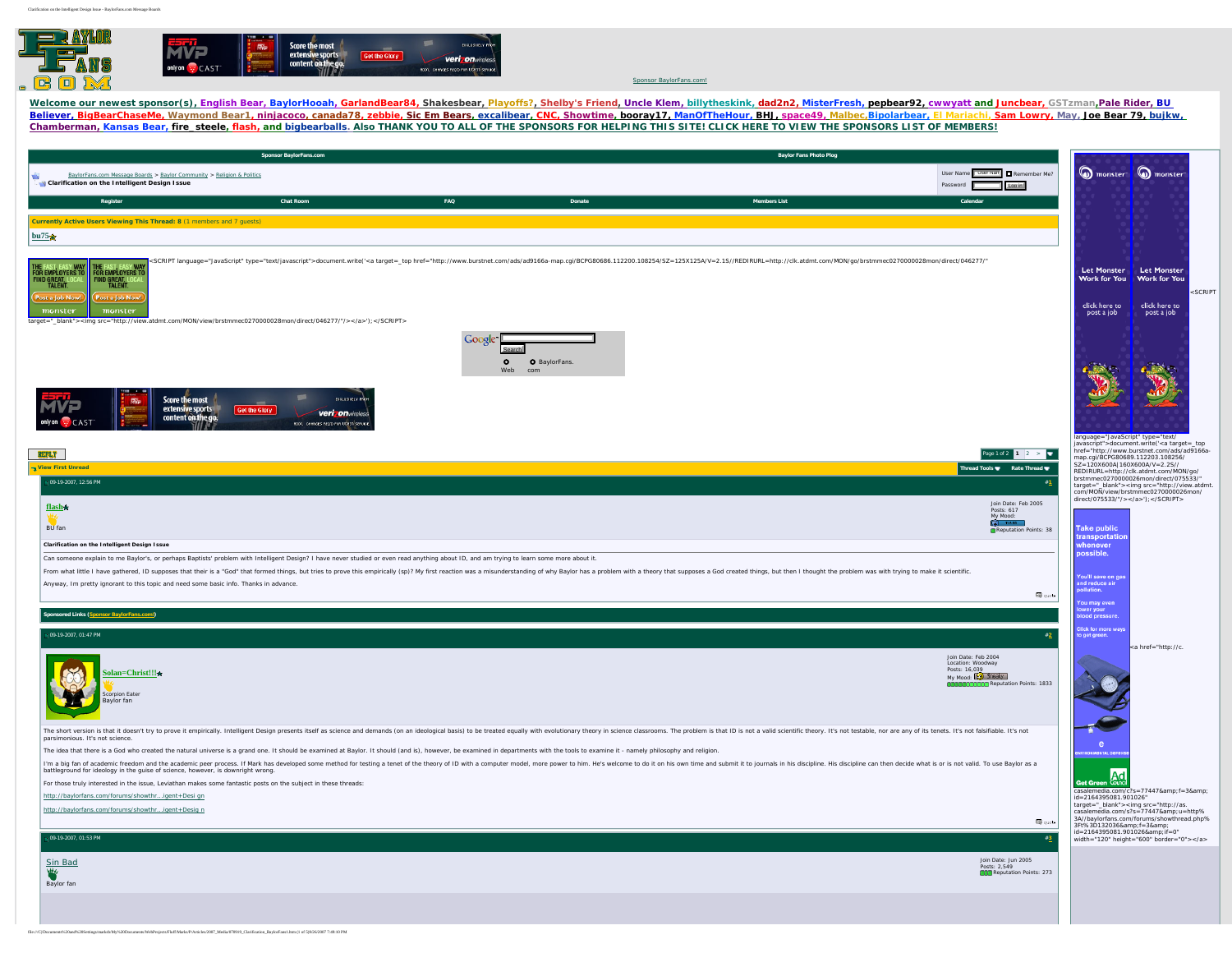<span id="page-0-0"></span>

[Sponsor BaylorFans.com!](http://baylorfans.com/sponsor.php)

[Welcome our newest sponsor\(s\), English Bear, BaylorHooah, GarlandBear84, Shakesbear, Playoffs?, Shelby's Friend, Uncle Klem, billytheskink,](http://www.baylorfans.com/forums/showgroups.php) dad2n2, MisterFresh, pepbear92, cwwyatt and Juncbear, GSTzman, Pale Rider, BU <u>Believer, BigBearChaseMe, Waymond Bear1, ninjacoco, canada78, zebbie, [Sic Em Bears, excalibear, CNC, Showtime, booray17, ManOfTheHour,](http://www.baylorfans.com/forums/showgroups.php) BHJ, space49, Malbec,Bipolarbear, El Mariachi, Sam Lowry, May, Joe Bear 79, bujkw,<br>Cha</u>

| <b>Sponsor BaylorFans.com</b>                                                                                                                                                                                                                                                                                                                                                                                                                                                                                                                                                                                                                                                                                                                                                                                                                         |        |                                        | <b>Baylor Fans Photo Plog</b> |                                                                                                             |                                                                                                                                                                                                                                                                                                                                                                                                                                                                                                                                                                                                                                                                                                                                |                                                                                                                                                                                                                                                                                                                                                                                               |  |
|-------------------------------------------------------------------------------------------------------------------------------------------------------------------------------------------------------------------------------------------------------------------------------------------------------------------------------------------------------------------------------------------------------------------------------------------------------------------------------------------------------------------------------------------------------------------------------------------------------------------------------------------------------------------------------------------------------------------------------------------------------------------------------------------------------------------------------------------------------|--------|----------------------------------------|-------------------------------|-------------------------------------------------------------------------------------------------------------|--------------------------------------------------------------------------------------------------------------------------------------------------------------------------------------------------------------------------------------------------------------------------------------------------------------------------------------------------------------------------------------------------------------------------------------------------------------------------------------------------------------------------------------------------------------------------------------------------------------------------------------------------------------------------------------------------------------------------------|-----------------------------------------------------------------------------------------------------------------------------------------------------------------------------------------------------------------------------------------------------------------------------------------------------------------------------------------------------------------------------------------------|--|
| BaylorFans.com Message Boards > Baylor Community > Religion & Politics<br>Clarification on the Intelligent Design Issue                                                                                                                                                                                                                                                                                                                                                                                                                                                                                                                                                                                                                                                                                                                               |        |                                        |                               | e User Nam Remember Me?<br>User Nan<br>Log <sub>in</sub><br>Password                                        | <b>I</b> monster                                                                                                                                                                                                                                                                                                                                                                                                                                                                                                                                                                                                                                                                                                               | <b>I</b> monster                                                                                                                                                                                                                                                                                                                                                                              |  |
| <b>Chat Room</b><br>Register                                                                                                                                                                                                                                                                                                                                                                                                                                                                                                                                                                                                                                                                                                                                                                                                                          | FAQ    | Donate                                 | <b>Members List</b>           | Calendar                                                                                                    |                                                                                                                                                                                                                                                                                                                                                                                                                                                                                                                                                                                                                                                                                                                                |                                                                                                                                                                                                                                                                                                                                                                                               |  |
| Currently Active Users Viewing This Thread: 8 (1 members and 7 guests)                                                                                                                                                                                                                                                                                                                                                                                                                                                                                                                                                                                                                                                                                                                                                                                |        |                                        |                               |                                                                                                             |                                                                                                                                                                                                                                                                                                                                                                                                                                                                                                                                                                                                                                                                                                                                |                                                                                                                                                                                                                                                                                                                                                                                               |  |
| bu75                                                                                                                                                                                                                                                                                                                                                                                                                                                                                                                                                                                                                                                                                                                                                                                                                                                  |        |                                        |                               |                                                                                                             |                                                                                                                                                                                                                                                                                                                                                                                                                                                                                                                                                                                                                                                                                                                                |                                                                                                                                                                                                                                                                                                                                                                                               |  |
|                                                                                                                                                                                                                                                                                                                                                                                                                                                                                                                                                                                                                                                                                                                                                                                                                                                       |        |                                        |                               |                                                                                                             |                                                                                                                                                                                                                                                                                                                                                                                                                                                                                                                                                                                                                                                                                                                                |                                                                                                                                                                                                                                                                                                                                                                                               |  |
| <script language="JavaScript" type="text/javascript">document.write('<a target=_top href="http://www.burstnet.com/ads/ad9166a-map.cgi/BCPG80686.112200.108254/SZ=125X125A/V=2.1S//REDIRURL=http://clk.atdmt.com/MON/go/brstmme<br>THE FAST, EASY WAY<br>For Employers to<br>Find Great, Local<br>Talent.<br><b>OR EMPLOYERS</b><br>D GREAT, L<br>TALENT.<br>ost a Job No<br>ost a Job No</td><td></td><td></td><td></td><td></td><td>Let Monster<br><b>Work for You</b></td><td><b>Let Monster</b><br><b>Work for You</b></td><td>SCRIPT</td></tr><tr><td>monster<br>monster</td><td></td><td></td><td></td><td></td><td>click here to<br>post a job</td><td>click here to<br>post a job</td><td></td></tr><tr><td>target="_blank"><img src="http://view.atdmt.com/MON/view/brstmmec0270000028mon/direct/046277/"/></a>');</script><br>Score the most | Google | $\circ$<br>O BaylorFans.<br>Web<br>com |                               |                                                                                                             |                                                                                                                                                                                                                                                                                                                                                                                                                                                                                                                                                                                                                                                                                                                                |                                                                                                                                                                                                                                                                                                                                                                                               |  |
| extensive sports<br>content on the go.<br>Get the Glory<br><b>veri</b> onwire<br>CAST<br><b>ADD'L CHARGES REO'D FOR UCA</b>                                                                                                                                                                                                                                                                                                                                                                                                                                                                                                                                                                                                                                                                                                                           |        |                                        |                               |                                                                                                             |                                                                                                                                                                                                                                                                                                                                                                                                                                                                                                                                                                                                                                                                                                                                |                                                                                                                                                                                                                                                                                                                                                                                               |  |
| <b>REPLY</b>                                                                                                                                                                                                                                                                                                                                                                                                                                                                                                                                                                                                                                                                                                                                                                                                                                          |        |                                        |                               | Page 1 of 2   1   2 >   v                                                                                   | language="JavaScript" type="text/                                                                                                                                                                                                                                                                                                                                                                                                                                                                                                                                                                                                                                                                                              | javascript">document.write(' <a target="_top&lt;br">href="http://www.burstnet.com/ads/ad9166a-</a>                                                                                                                                                                                                                                                                                            |  |
| J. View First Unread                                                                                                                                                                                                                                                                                                                                                                                                                                                                                                                                                                                                                                                                                                                                                                                                                                  |        |                                        |                               | Thread Tools $\bullet$ Rate Thread $\bullet$                                                                | SZ=120X600A 160X600A/V=2.2S//                                                                                                                                                                                                                                                                                                                                                                                                                                                                                                                                                                                                                                                                                                  | map.cgi/BCPG80689.112203.108256/                                                                                                                                                                                                                                                                                                                                                              |  |
| 09-19-2007, 12:56 PM                                                                                                                                                                                                                                                                                                                                                                                                                                                                                                                                                                                                                                                                                                                                                                                                                                  |        |                                        |                               |                                                                                                             |                                                                                                                                                                                                                                                                                                                                                                                                                                                                                                                                                                                                                                                                                                                                | REDIRURL=http://clk.atdmt.com/MON/go/<br>brstmmec0270000026mon/direct/075533/"<br>target="_blank"> <img src="http://view.atdmt&lt;/td&gt;&lt;td&gt;&lt;/td&gt;&lt;/tr&gt;&lt;tr&gt;&lt;td&gt;&lt;/td&gt;&lt;td&gt;&lt;/td&gt;&lt;td&gt;&lt;/td&gt;&lt;td&gt;&lt;/td&gt;&lt;td&gt;&lt;/td&gt;&lt;td&gt;&lt;/td&gt;&lt;td&gt;com/MON/view/brstmmec0270000026mon/&lt;br&gt;direct/075533/"/> '); |  |
| flash*                                                                                                                                                                                                                                                                                                                                                                                                                                                                                                                                                                                                                                                                                                                                                                                                                                                |        |                                        |                               | Join Date: Feb 2005<br>Posts: 617                                                                           |                                                                                                                                                                                                                                                                                                                                                                                                                                                                                                                                                                                                                                                                                                                                |                                                                                                                                                                                                                                                                                                                                                                                               |  |
| BU fan                                                                                                                                                                                                                                                                                                                                                                                                                                                                                                                                                                                                                                                                                                                                                                                                                                                |        |                                        |                               | My Mood:<br>Reputation Points: 38                                                                           | <b>Take public</b>                                                                                                                                                                                                                                                                                                                                                                                                                                                                                                                                                                                                                                                                                                             |                                                                                                                                                                                                                                                                                                                                                                                               |  |
| Clarification on the Intelligent Design Issue                                                                                                                                                                                                                                                                                                                                                                                                                                                                                                                                                                                                                                                                                                                                                                                                         |        |                                        |                               |                                                                                                             | transportatio<br>whenever                                                                                                                                                                                                                                                                                                                                                                                                                                                                                                                                                                                                                                                                                                      |                                                                                                                                                                                                                                                                                                                                                                                               |  |
| Can someone explain to me Baylor's, or perhaps Baptists' problem with Intelligent Design? I have never studied or even read anything about ID, and am trying to learn some more about it.                                                                                                                                                                                                                                                                                                                                                                                                                                                                                                                                                                                                                                                             |        |                                        |                               |                                                                                                             | possible.                                                                                                                                                                                                                                                                                                                                                                                                                                                                                                                                                                                                                                                                                                                      |                                                                                                                                                                                                                                                                                                                                                                                               |  |
| From what little I have gathered, ID supposes that their is a "God" that formed things, but tries to prove this empirically (sp)? My first reaction was a misunderstanding of why Baylor has a problem with a theory that supp                                                                                                                                                                                                                                                                                                                                                                                                                                                                                                                                                                                                                        |        |                                        |                               |                                                                                                             | fou'll save on ga                                                                                                                                                                                                                                                                                                                                                                                                                                                                                                                                                                                                                                                                                                              |                                                                                                                                                                                                                                                                                                                                                                                               |  |
| Anyway, Im pretty ignorant to this topic and need some basic info. Thanks in advance.                                                                                                                                                                                                                                                                                                                                                                                                                                                                                                                                                                                                                                                                                                                                                                 |        |                                        |                               | 同 quote                                                                                                     | nd reduce air<br>ollution.                                                                                                                                                                                                                                                                                                                                                                                                                                                                                                                                                                                                                                                                                                     |                                                                                                                                                                                                                                                                                                                                                                                               |  |
|                                                                                                                                                                                                                                                                                                                                                                                                                                                                                                                                                                                                                                                                                                                                                                                                                                                       |        |                                        |                               |                                                                                                             | ou may even                                                                                                                                                                                                                                                                                                                                                                                                                                                                                                                                                                                                                                                                                                                    |                                                                                                                                                                                                                                                                                                                                                                                               |  |
| onsored Links (Sponsor BaylorFans.com!)                                                                                                                                                                                                                                                                                                                                                                                                                                                                                                                                                                                                                                                                                                                                                                                                               |        |                                        |                               |                                                                                                             | wer your<br>ood pressure                                                                                                                                                                                                                                                                                                                                                                                                                                                                                                                                                                                                                                                                                                       |                                                                                                                                                                                                                                                                                                                                                                                               |  |
| 09-19-2007, 01:47 PM                                                                                                                                                                                                                                                                                                                                                                                                                                                                                                                                                                                                                                                                                                                                                                                                                                  |        |                                        |                               | $-2$                                                                                                        | <b>Click for more wa</b><br>get green.                                                                                                                                                                                                                                                                                                                                                                                                                                                                                                                                                                                                                                                                                         | a href="http://c.                                                                                                                                                                                                                                                                                                                                                                             |  |
| Solan=Christ!!! <mark>*</mark><br>rnion Fater<br>Baylor fan                                                                                                                                                                                                                                                                                                                                                                                                                                                                                                                                                                                                                                                                                                                                                                                           |        |                                        |                               | Join Date: Feb 2004<br>Location: Woodway<br>Posts: 16.039<br>My Mood: (2) Sneaky<br>Reputation Points: 1833 |                                                                                                                                                                                                                                                                                                                                                                                                                                                                                                                                                                                                                                                                                                                                |                                                                                                                                                                                                                                                                                                                                                                                               |  |
| The short version is that it doesn't try to prove it empirically. Intelligent Design presents itself as science and demands (on an ideological basis) to be treated equally with evolutionary theory in science classrooms. Th                                                                                                                                                                                                                                                                                                                                                                                                                                                                                                                                                                                                                        |        |                                        |                               |                                                                                                             |                                                                                                                                                                                                                                                                                                                                                                                                                                                                                                                                                                                                                                                                                                                                |                                                                                                                                                                                                                                                                                                                                                                                               |  |
| parsimonious. It's not science.<br>The idea that there is a God who created the natural universe is a grand one. It should be examined at Baylor. It should (and is), however, be examined in departments with the tools to examine it - namely philosophy and re                                                                                                                                                                                                                                                                                                                                                                                                                                                                                                                                                                                     |        |                                        |                               |                                                                                                             | e                                                                                                                                                                                                                                                                                                                                                                                                                                                                                                                                                                                                                                                                                                                              |                                                                                                                                                                                                                                                                                                                                                                                               |  |
| I'm a big fan of academic freedom and the academic peer process. If Mark has developed some method for testing a tenet of the theory of ID with a computer model, more power to him. He's welcome to do it on his own time and<br>battleground for ideology in the guise of science, however, is downright wrong.                                                                                                                                                                                                                                                                                                                                                                                                                                                                                                                                     |        |                                        |                               |                                                                                                             |                                                                                                                                                                                                                                                                                                                                                                                                                                                                                                                                                                                                                                                                                                                                |                                                                                                                                                                                                                                                                                                                                                                                               |  |
| For those truly interested in the issue, Leviathan makes some fantastic posts on the subject in these threads:                                                                                                                                                                                                                                                                                                                                                                                                                                                                                                                                                                                                                                                                                                                                        |        |                                        |                               |                                                                                                             | Get Green Council                                                                                                                                                                                                                                                                                                                                                                                                                                                                                                                                                                                                                                                                                                              |                                                                                                                                                                                                                                                                                                                                                                                               |  |
| http://baylorfans.com/forums/showthrigent+Desi gn                                                                                                                                                                                                                                                                                                                                                                                                                                                                                                                                                                                                                                                                                                                                                                                                     |        |                                        |                               |                                                                                                             | id=2164395081.901026"                                                                                                                                                                                                                                                                                                                                                                                                                                                                                                                                                                                                                                                                                                          | casalemedia.com/c?s=77447&f=3&                                                                                                                                                                                                                                                                                                                                                                |  |
| http://baylorfans.com/forums/showthrjgent+Desig n                                                                                                                                                                                                                                                                                                                                                                                                                                                                                                                                                                                                                                                                                                                                                                                                     |        |                                        |                               |                                                                                                             | target="_blank"> <img <br="" src="http://as.&lt;/td&gt;&lt;td&gt;casalemedia.com/s?s=77447&amp;u=http%&lt;br&gt;3A//baylorfans.com/forums/showthread.php%&lt;/td&gt;&lt;td&gt;&lt;/td&gt;&lt;/tr&gt;&lt;tr&gt;&lt;td&gt;&lt;/td&gt;&lt;td&gt;&lt;/td&gt;&lt;td&gt;&lt;/td&gt;&lt;td&gt;&lt;/td&gt;&lt;td&gt;&lt;b&gt;Eig&lt;/b&gt; quote&lt;/td&gt;&lt;td&gt;3Ft%3D132036&amp; f=3&amp;&lt;/td&gt;&lt;td&gt;&lt;/td&gt;&lt;td&gt;&lt;/td&gt;&lt;/tr&gt;&lt;tr&gt;&lt;td&gt;09-19-2007, 01:53 PM&lt;/td&gt;&lt;td&gt;&lt;/td&gt;&lt;td&gt;&lt;/td&gt;&lt;td&gt;&lt;/td&gt;&lt;td&gt;&lt;math&gt;+3&lt;/math&gt;&lt;/td&gt;&lt;td&gt;&lt;/td&gt;&lt;td&gt;id=2164395081.901026&amp; if=0"/> width="120" height="600" border="0"> |                                                                                                                                                                                                                                                                                                                                                                                               |  |
| Sin Bad<br>₩                                                                                                                                                                                                                                                                                                                                                                                                                                                                                                                                                                                                                                                                                                                                                                                                                                          |        |                                        |                               | Join Date: Jun 2005<br>Posts: 2.549<br><b>COD</b> Reputation Points: 273                                    |                                                                                                                                                                                                                                                                                                                                                                                                                                                                                                                                                                                                                                                                                                                                |                                                                                                                                                                                                                                                                                                                                                                                               |  |
| Baylor fan                                                                                                                                                                                                                                                                                                                                                                                                                                                                                                                                                                                                                                                                                                                                                                                                                                            |        |                                        |                               |                                                                                                             |                                                                                                                                                                                                                                                                                                                                                                                                                                                                                                                                                                                                                                                                                                                                |                                                                                                                                                                                                                                                                                                                                                                                               |  |
|                                                                                                                                                                                                                                                                                                                                                                                                                                                                                                                                                                                                                                                                                                                                                                                                                                                       |        |                                        |                               |                                                                                                             |                                                                                                                                                                                                                                                                                                                                                                                                                                                                                                                                                                                                                                                                                                                                |                                                                                                                                                                                                                                                                                                                                                                                               |  |
| eent/%20and%20Settings/marksbMy%20Documents/WebProjects/Fluff/Marks/P/Articles/2007_Media/070919_Clarification_BaylorFans1.htm (1 of 5)9/26/2007 7:49:10 PM<br>file:///C/Doc                                                                                                                                                                                                                                                                                                                                                                                                                                                                                                                                                                                                                                                                          |        |                                        |                               |                                                                                                             |                                                                                                                                                                                                                                                                                                                                                                                                                                                                                                                                                                                                                                                                                                                                |                                                                                                                                                                                                                                                                                                                                                                                               |  |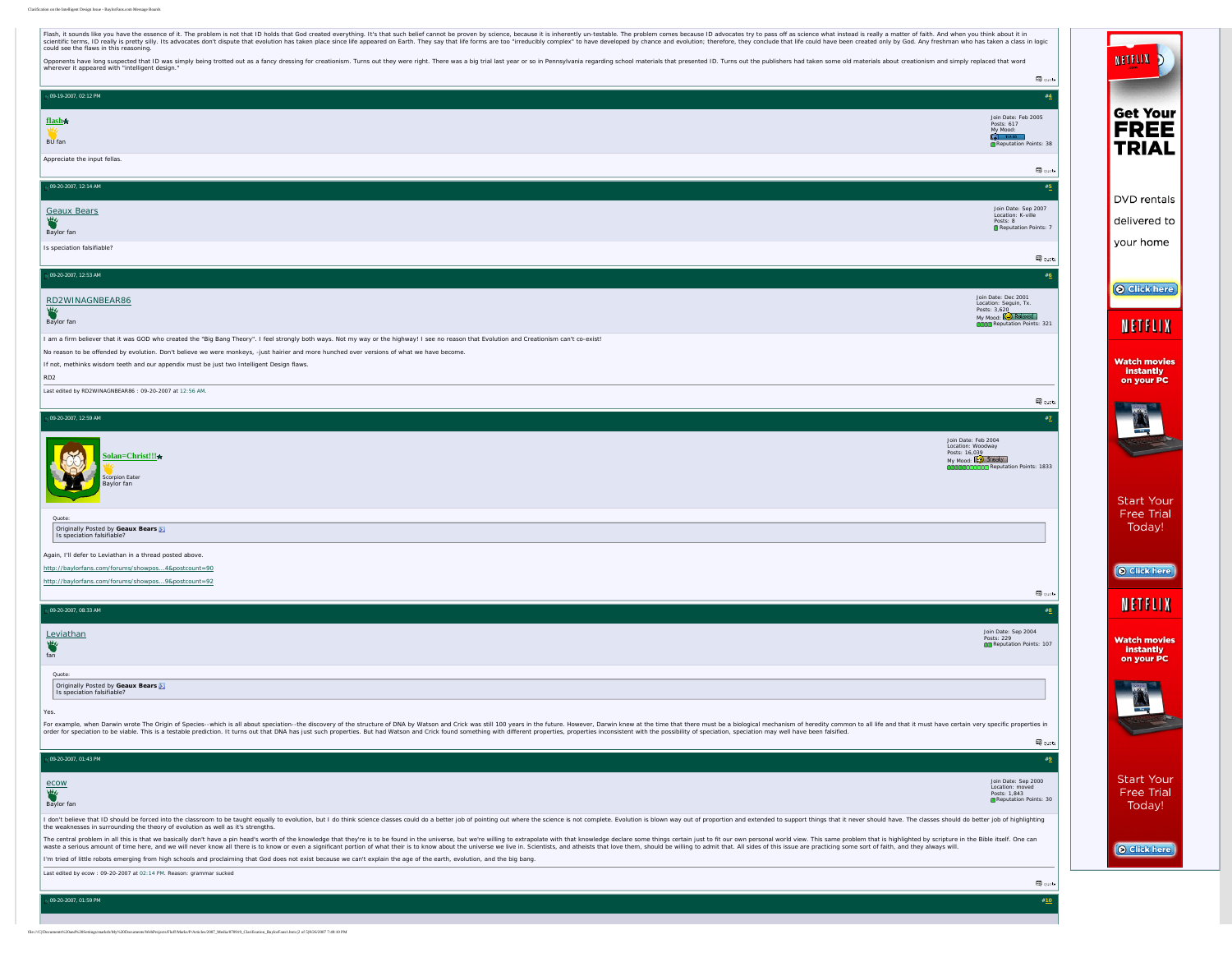#### Clarification on the Intelligent Design Issue - BaylorFans.com Message Boards

| Flash, it sounds like you have the essence of it. The problem is not that ID holds that God created everything. It's that such belief cannot be proven by science, because it is inherently un-testable. The problem comes bec<br>scientific terms, ID really is pretty silly. Its advocates don't dispute that evolution has taken place since life appeared on Earth. They say that life forms are too "irreducibly complex" to have developed by chance and e |                                                                            |                                        |
|------------------------------------------------------------------------------------------------------------------------------------------------------------------------------------------------------------------------------------------------------------------------------------------------------------------------------------------------------------------------------------------------------------------------------------------------------------------|----------------------------------------------------------------------------|----------------------------------------|
| could see the flaws in this reasoning.                                                                                                                                                                                                                                                                                                                                                                                                                           |                                                                            | NETFLIX                                |
| Opponents have long suspected that ID was simply being trotted out as a fancy dressing for creationism. Turns out they were right. There was a big trial last year or so in Pennsylvania regarding school materials that prese<br>wherever it appeared with "intelligent design."                                                                                                                                                                                | <b>Eig</b> quote                                                           |                                        |
| 09-19-2007, 02:12 PM                                                                                                                                                                                                                                                                                                                                                                                                                                             | #4                                                                         |                                        |
|                                                                                                                                                                                                                                                                                                                                                                                                                                                                  |                                                                            | <b>Get Your</b>                        |
| flash*                                                                                                                                                                                                                                                                                                                                                                                                                                                           | Join Date: Feb 2005<br>Posts: 617<br>My Mood:                              | FREE                                   |
| <b>BU</b> fan                                                                                                                                                                                                                                                                                                                                                                                                                                                    | $\binom{n}{2}$ TIREI<br>Reputation Points: 38                              | <b>TRIAL</b>                           |
| Appreciate the input fellas.                                                                                                                                                                                                                                                                                                                                                                                                                                     | <b>Eig</b> quote                                                           |                                        |
| 09-20-2007, 12:14 AM                                                                                                                                                                                                                                                                                                                                                                                                                                             | #5                                                                         |                                        |
| <b>Geaux Bears</b>                                                                                                                                                                                                                                                                                                                                                                                                                                               | Join Date: Sep 2007                                                        | DVD rentals                            |
| $\sum_{\text{Baylor fan}}$                                                                                                                                                                                                                                                                                                                                                                                                                                       | Location: K-ville<br>Posts: 8<br>Reputation Points: 7                      | delivered to                           |
| Is speciation falsifiable?                                                                                                                                                                                                                                                                                                                                                                                                                                       |                                                                            | your home                              |
|                                                                                                                                                                                                                                                                                                                                                                                                                                                                  | <b>Eig</b> quote                                                           |                                        |
| 09-20-2007, 12:53 AM                                                                                                                                                                                                                                                                                                                                                                                                                                             | #6                                                                         | <b>O</b> Click here                    |
| RD2WINAGNBEAR86                                                                                                                                                                                                                                                                                                                                                                                                                                                  | Join Date: Dec 2001<br>Location: Seguin, Tx.                               |                                        |
| ₩<br>Baylor fan                                                                                                                                                                                                                                                                                                                                                                                                                                                  | Posts: 3,620<br>My Mood: (C) Relaxed<br><b>COOD</b> Reputation Points: 321 | <b>NETFLIX</b>                         |
| I am a firm believer that it was GOD who created the "Big Bang Theory". I feel strongly both ways. Not my way or the highway! I see no reason that Evolution and Creationism can't co-exist!                                                                                                                                                                                                                                                                     |                                                                            |                                        |
| No reason to be offended by evolution. Don't believe we were monkeys, -just hairier and more hunched over versions of what we have become<br>If not, methinks wisdom teeth and our appendix must be just two Intelligent Design flaws                                                                                                                                                                                                                            |                                                                            | <b>Watch movies</b>                    |
| RD <sub>2</sub>                                                                                                                                                                                                                                                                                                                                                                                                                                                  |                                                                            | instantly<br>on your PC                |
| Last edited by RD2WINAGNBEAR86 : 09-20-2007 at 12:56 AM.                                                                                                                                                                                                                                                                                                                                                                                                         | Eigh quote                                                                 |                                        |
| 09-20-2007, 12:59 AM                                                                                                                                                                                                                                                                                                                                                                                                                                             | $H_{2}$                                                                    |                                        |
|                                                                                                                                                                                                                                                                                                                                                                                                                                                                  |                                                                            |                                        |
| Solan=Christ!!! <mark>*</mark>                                                                                                                                                                                                                                                                                                                                                                                                                                   | Join Date: Feb 2004<br>Location: Woodway<br>Posts: 16,039                  |                                        |
|                                                                                                                                                                                                                                                                                                                                                                                                                                                                  | My Mood: (6) Sneaky<br>Reputation Points: 1833                             |                                        |
| Scorpion Eater<br>Baylor fan                                                                                                                                                                                                                                                                                                                                                                                                                                     |                                                                            |                                        |
|                                                                                                                                                                                                                                                                                                                                                                                                                                                                  |                                                                            | <b>Start Your</b>                      |
| Originally Posted by Geaux Bears                                                                                                                                                                                                                                                                                                                                                                                                                                 |                                                                            | <b>Free Trial</b><br>Today!            |
| Is speciation falsifiable?                                                                                                                                                                                                                                                                                                                                                                                                                                       |                                                                            |                                        |
| Again, I'll defer to Leviathan in a thread posted above                                                                                                                                                                                                                                                                                                                                                                                                          |                                                                            |                                        |
| http://baylorfans.com/forums/showpos4&postcount=90<br>http://baylorfans.com/forums/showpos9&postcount=92                                                                                                                                                                                                                                                                                                                                                         |                                                                            | <b>O</b> Click here                    |
|                                                                                                                                                                                                                                                                                                                                                                                                                                                                  | Eigh quote                                                                 | NETFLIX                                |
| 09-20-2007, 08:33 AM                                                                                                                                                                                                                                                                                                                                                                                                                                             | $\# \underline{8}$                                                         |                                        |
| Leviathan                                                                                                                                                                                                                                                                                                                                                                                                                                                        | Join Date: Sep 2004<br>Posts: 229<br>Reputation Points: 107                | <b>Watch movies</b>                    |
| ۳<br>fan                                                                                                                                                                                                                                                                                                                                                                                                                                                         |                                                                            | <b>instantly</b><br>on your PC         |
| Quote                                                                                                                                                                                                                                                                                                                                                                                                                                                            |                                                                            |                                        |
| Originally Posted by Geaux Bears<br>Is speciation falsifiable?                                                                                                                                                                                                                                                                                                                                                                                                   |                                                                            |                                        |
| Yes.                                                                                                                                                                                                                                                                                                                                                                                                                                                             |                                                                            |                                        |
| For example, when Darwin wrote The Origin of Species--which is all about speciation--the discovery of the structure of DNA by Watson and Crick was still 100 years in the future. However, Darwin knew at the time that there<br>order for speciation to be viable. This is a testable prediction. It turns out that DNA has just such properties. But had Watson and Crick found something with different properties, properties inconsistent with the possibi  |                                                                            |                                        |
|                                                                                                                                                                                                                                                                                                                                                                                                                                                                  | <b>Eig</b> quote                                                           |                                        |
| 09-20-2007, 01:43 PM                                                                                                                                                                                                                                                                                                                                                                                                                                             | #2                                                                         |                                        |
| ecow                                                                                                                                                                                                                                                                                                                                                                                                                                                             | Join Date: Sep 2000<br>Location: moved<br>Posts: 1,843                     | <b>Start Your</b><br><b>Free Trial</b> |
| Baylor fan                                                                                                                                                                                                                                                                                                                                                                                                                                                       | Reputation Points: 30                                                      | Today!                                 |
| I don't believe that ID should be forced into the classroom to be taught equally to evolution, but I do think science classes could do a better job of pointing out where the science is not complete. Evolution is blown way<br>the weaknesses in surrounding the theory of evolution as well as it's strengths.                                                                                                                                                |                                                                            |                                        |
| The central problem in all this is that we basically don't have a pin head's worth of the knowledge that they're is to be found in the universe, but we're willing to extrapolate with that knowledge declare some things cert<br>waste a serious amount of time here, and we will never know all there is to know or even a significant portion of what their is to know about the universe we live in. Scientists, and atheists that love them, should be will |                                                                            | <b>O</b> Click here                    |
| I'm tried of little robots emerging from high schools and proclaiming that God does not exist because we can't explain the age of the earth, evolution, and the big bang.                                                                                                                                                                                                                                                                                        |                                                                            |                                        |
| Last edited by ecow : 09-20-2007 at 02:14 PM. Reason: grammar sucked                                                                                                                                                                                                                                                                                                                                                                                             | Eig quote                                                                  |                                        |
| 09-20-2007, 01:59 PM                                                                                                                                                                                                                                                                                                                                                                                                                                             | $*10$                                                                      |                                        |
|                                                                                                                                                                                                                                                                                                                                                                                                                                                                  |                                                                            |                                        |
|                                                                                                                                                                                                                                                                                                                                                                                                                                                                  |                                                                            |                                        |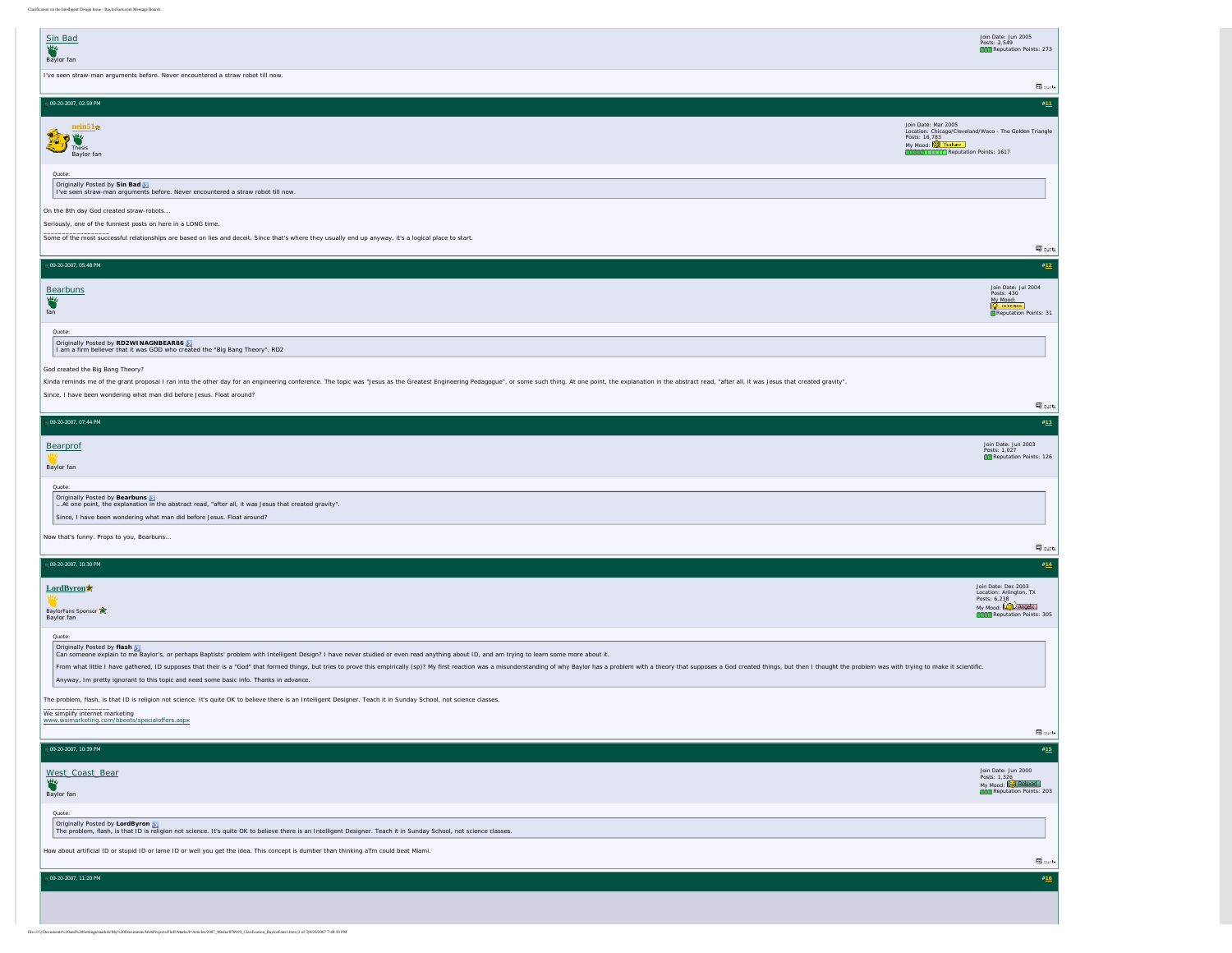| Sin Bad                                                                                                                                                                                                                                                                                                                                                                                                                                                                                                                                                      |                                                                                                                                                  |
|--------------------------------------------------------------------------------------------------------------------------------------------------------------------------------------------------------------------------------------------------------------------------------------------------------------------------------------------------------------------------------------------------------------------------------------------------------------------------------------------------------------------------------------------------------------|--------------------------------------------------------------------------------------------------------------------------------------------------|
| ₩<br>Baylor fan                                                                                                                                                                                                                                                                                                                                                                                                                                                                                                                                              | Join Date: Jun 2005<br>Posts: 2,549<br>Reputation Points: 273                                                                                    |
| I've seen straw-man arguments before. Never encountered a straw robot till now.                                                                                                                                                                                                                                                                                                                                                                                                                                                                              |                                                                                                                                                  |
| 09-20-2007, 02:59 PM                                                                                                                                                                                                                                                                                                                                                                                                                                                                                                                                         | <b>Eig</b> quote<br>$*11$                                                                                                                        |
| nein 51<br>ريفانا<br>Thesis<br>Baylor fan                                                                                                                                                                                                                                                                                                                                                                                                                                                                                                                    | Join Date: Mar 2005<br>Location: Chicago/Cleveland/Waco - The Golden Triangle<br>Posts: 16,783<br>My Mood: (C) Yeehaw<br>Reputation Points: 1617 |
| Quote:<br>Originally Posted by Sin Bad De Content Content Properties a straw robot till now.<br>I've seen straw-man arguments before. Never encountered a straw robot till now.                                                                                                                                                                                                                                                                                                                                                                              |                                                                                                                                                  |
| On the 8th day God created straw-robots                                                                                                                                                                                                                                                                                                                                                                                                                                                                                                                      |                                                                                                                                                  |
| Seriously, one of the funniest posts on here in a LONG time.<br>Some of the most successful relationships are based on lies and deceit. Since that's where they usually end up anyway, it's a logical place to start.                                                                                                                                                                                                                                                                                                                                        | Eig quote                                                                                                                                        |
| 09-20-2007, 05:48 PM                                                                                                                                                                                                                                                                                                                                                                                                                                                                                                                                         | $\# \underline{\bf 12}$                                                                                                                          |
| Bearbuns<br>Wa<br>fan                                                                                                                                                                                                                                                                                                                                                                                                                                                                                                                                        | Join Date: Jul 2004<br>Posts: 430<br>My Mood:<br>INSPIRED<br>Reputation Points: 31                                                               |
| Quote<br>Originally Posted by RD2WINAGNBEAR86<br>I am a firm believer that it was GOD who created the "Big Bang Theory". RD2                                                                                                                                                                                                                                                                                                                                                                                                                                 |                                                                                                                                                  |
| God created the Big Bang Theory?<br>Kinda reminds me of the grant proposal I ran into the other day for an engineering conference. The topic was "Jesus as the Greatest Engineering Pedagogue", or some such thing. At one point, the explanation in the abstract<br>Since, I have been wondering what man did before Jesus. Float around?                                                                                                                                                                                                                   | Eigh quote                                                                                                                                       |
| 09-20-2007, 07:44 PM                                                                                                                                                                                                                                                                                                                                                                                                                                                                                                                                         | $-13$                                                                                                                                            |
| Bearprof<br>Baylor fan                                                                                                                                                                                                                                                                                                                                                                                                                                                                                                                                       | Join Date: Jun 2003<br>Posts: 1,027<br>Reputation Points: 126                                                                                    |
| Quote<br>Originally Posted by Bearbuns<br>At one point, the explanation in the abstract read, "after all, it was Jesus that created gravity".<br>Since, I have been wondering what man did before Jesus. Float around?                                                                                                                                                                                                                                                                                                                                       |                                                                                                                                                  |
| Now that's funny. Props to you, Bearbuns                                                                                                                                                                                                                                                                                                                                                                                                                                                                                                                     | <b>Eig</b> quote                                                                                                                                 |
| 09-20-2007, 10:30 PM                                                                                                                                                                                                                                                                                                                                                                                                                                                                                                                                         | $\# \underline{14}$                                                                                                                              |
| LordByron<br>BaylorFans Sponsor<br>Baylor fan                                                                                                                                                                                                                                                                                                                                                                                                                                                                                                                | Join Date: Dec 2003<br>Location: Arlington, TX<br>Posts: 6,238<br>My Mood: <b>19 Angelic</b><br><b>CCCC</b> Reputation Points: 305               |
| Quote:<br>Originally Posted by flash<br>Can someone explain to me Baylor's, or perhaps Baptists' problem with Intelligent Design? I have never studied or even read anything about ID, and am trying to learn some more about it.<br>From what little I have gathered, ID supposes that their is a "God" that formed things, but tries to prove this empirically (sp)? My first reaction was a misunderstanding of why Baylor has a problem with a theory that supp<br>Anyway, Im pretty ignorant to this topic and need some basic info. Thanks in advance. |                                                                                                                                                  |
| The problem, flash, is that ID is religion not science. It's quite OK to believe there is an Intelligent Designer. Teach it in Sunday School, not science classes.                                                                                                                                                                                                                                                                                                                                                                                           |                                                                                                                                                  |
| We simplify internet marketing<br>www.wsimarketing.com/                                                                                                                                                                                                                                                                                                                                                                                                                                                                                                      | <b>Eig</b> quote                                                                                                                                 |
| 09-20-2007, 10:39 PM                                                                                                                                                                                                                                                                                                                                                                                                                                                                                                                                         | $+15$                                                                                                                                            |
| West_Coast_Bear<br>Baylor fan                                                                                                                                                                                                                                                                                                                                                                                                                                                                                                                                | Join Date: Jun 2000<br>Posts: 1,326<br>My Mood: (Call Relaxed)<br>QOO Reputation Points: 203                                                     |
| Quote<br>Originally Posted by LordByron and the crience. It's quite OK to believe there is an Intelligent Designer. Teach it in Sunday School, not science classes.                                                                                                                                                                                                                                                                                                                                                                                          |                                                                                                                                                  |
| How about artificial ID or stupid ID or lame ID or well you get the idea. This concept is dumber than thinking aTm could beat Miami.                                                                                                                                                                                                                                                                                                                                                                                                                         |                                                                                                                                                  |
| 09-20-2007, 11:20 PM                                                                                                                                                                                                                                                                                                                                                                                                                                                                                                                                         | <b>Eiji</b> quote<br>$*16$                                                                                                                       |
|                                                                                                                                                                                                                                                                                                                                                                                                                                                                                                                                                              |                                                                                                                                                  |
|                                                                                                                                                                                                                                                                                                                                                                                                                                                                                                                                                              |                                                                                                                                                  |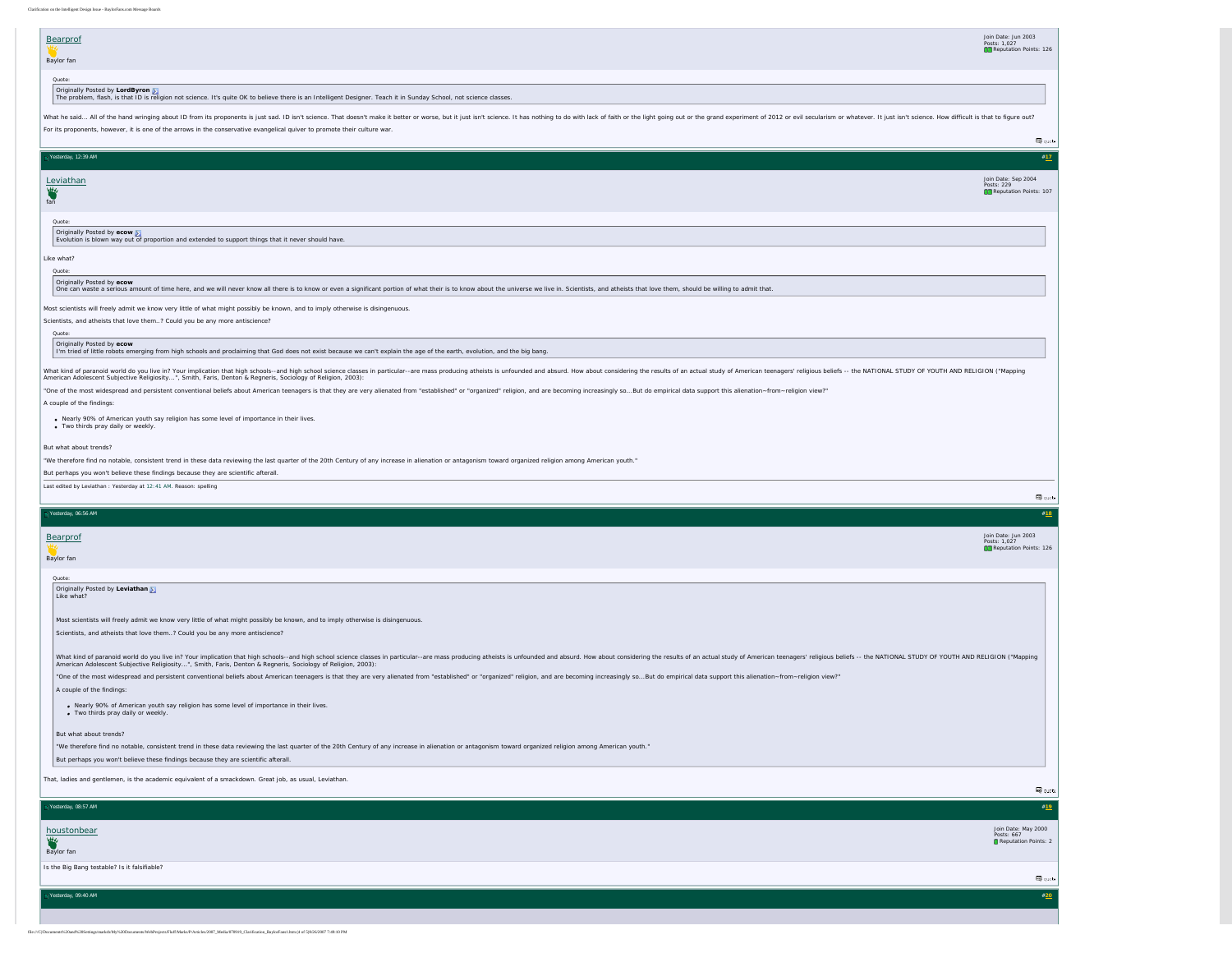Clarification on the Intelligent Design Issue - BaylorFans.com Message Boards

| Bearprof                                                                                                                                                                                                                                                                                                                                      |                                     |
|-----------------------------------------------------------------------------------------------------------------------------------------------------------------------------------------------------------------------------------------------------------------------------------------------------------------------------------------------|-------------------------------------|
|                                                                                                                                                                                                                                                                                                                                               | Join Date: Jun 2003<br>Posts: 1,027 |
| Baylor fan                                                                                                                                                                                                                                                                                                                                    | Reputation Points: 126              |
| Quote                                                                                                                                                                                                                                                                                                                                         |                                     |
| Originally Posted by LordByron                                                                                                                                                                                                                                                                                                                |                                     |
| The problem, flash, is that ID is religion not science. It's quite OK to believe there is an Intelligent Designer. Teach it in Sunday School, not science classes.                                                                                                                                                                            |                                     |
| What he said All of the hand wringing about ID from its proponents is just sad. ID isn't science. That doesn't make it better or worse, but it just isn't science. It has nothing to do with lack of faith or the light goi                                                                                                                   |                                     |
| For its proponents, however, it is one of the arrows in the conservative evangelical quiver to promote their culture war                                                                                                                                                                                                                      |                                     |
|                                                                                                                                                                                                                                                                                                                                               | Eiji quote                          |
| Yesterday, 12:39 AM                                                                                                                                                                                                                                                                                                                           | $+17$                               |
| Leviathan<br>Posts: 229                                                                                                                                                                                                                                                                                                                       | Join Date: Sep 2004                 |
| ۳                                                                                                                                                                                                                                                                                                                                             | Reputation Points: 107              |
| fan                                                                                                                                                                                                                                                                                                                                           |                                     |
| Quote                                                                                                                                                                                                                                                                                                                                         |                                     |
| Originally Posted by ecow<br>Evolution is blown way out of proportion and extended to support things that it never should have.                                                                                                                                                                                                               |                                     |
| Like what?                                                                                                                                                                                                                                                                                                                                    |                                     |
| Quote                                                                                                                                                                                                                                                                                                                                         |                                     |
| Originally Posted by ecow<br>One can waste a serious amount of time here, and we will never know all there is to know or even a significant portion of what their is to know about the universe we live in. Scientists, and atheists that love them, should                                                                                   |                                     |
|                                                                                                                                                                                                                                                                                                                                               |                                     |
| Most scientists will freely admit we know very little of what might possibly be known, and to imply otherwise is disingenuous.<br>Scientists, and atheists that love them? Could you be any more antiscience?                                                                                                                                 |                                     |
| Quote                                                                                                                                                                                                                                                                                                                                         |                                     |
| Originally Posted by ecow<br>I'm tried of little robots emerging from high schools and proclaiming that God does not exist because we can't explain the age of the earth, evolution, and the big bang.                                                                                                                                        |                                     |
|                                                                                                                                                                                                                                                                                                                                               |                                     |
| What kind of paranoid world do you live in? Your implication that high schools --and high school science classes in particular--are mass producing atheists is unfounded and absurd. How about considering the results of an a<br>American Adolescent Subjective Religiosity", Smith, Faris, Denton & Regneris, Sociology of Religion, 2003): |                                     |
| "One of the most widespread and persistent conventional beliefs about American teenagers is that they are very alienated from "established" or "organized" religion, and are becoming increasingly soBut do empirical data                                                                                                                    |                                     |
| A couple of the findings:                                                                                                                                                                                                                                                                                                                     |                                     |
| . Nearly 90% of American youth say religion has some level of importance in their lives.<br>. Two thirds pray daily or weekly.                                                                                                                                                                                                                |                                     |
|                                                                                                                                                                                                                                                                                                                                               |                                     |
| But what about trends?                                                                                                                                                                                                                                                                                                                        |                                     |
| "We therefore find no notable, consistent trend in these data reviewing the last quarter of the 20th Century of any increase in alienation or antagonism toward organized religion among American youth."<br>But perhaps you won't believe these findings because they are scientific afterall.                                               |                                     |
| Last edited by Leviathan : Yesterday at 12:41 AM. Reason: spelling                                                                                                                                                                                                                                                                            |                                     |
|                                                                                                                                                                                                                                                                                                                                               | <b>Eig</b> quote                    |
| Yesterday, 06:56 AM                                                                                                                                                                                                                                                                                                                           | $*18$                               |
|                                                                                                                                                                                                                                                                                                                                               | Join Date: Jun 2003                 |
| Bearprof<br>Posts: 1,027                                                                                                                                                                                                                                                                                                                      | Reputation Points: 126              |
| Baylor fan                                                                                                                                                                                                                                                                                                                                    |                                     |
| Quote                                                                                                                                                                                                                                                                                                                                         |                                     |
| Originally Posted by Leviathan<br>Like what?                                                                                                                                                                                                                                                                                                  |                                     |
|                                                                                                                                                                                                                                                                                                                                               |                                     |
|                                                                                                                                                                                                                                                                                                                                               |                                     |
| Most scientists will freely admit we know very little of what might possibly be known, and to imply otherwise is disingenuous.                                                                                                                                                                                                                |                                     |
| Scientists, and atheists that love them? Could you be any more antiscience?                                                                                                                                                                                                                                                                   |                                     |
|                                                                                                                                                                                                                                                                                                                                               |                                     |
| What kind of paranoid world do you live in? Your implication that high schools -- and high school science classes in particular-- are mass producing atheists is unfounded and absurd. How about considering the results of an<br>American Adolescent Subjective Religiosity", Smith, Faris, Denton & Regneris, Sociology of Religion, 2003): |                                     |
| "One of the most widespread and persistent conventional beliefs about American teenagers is that they are very alienated from "established" or "organized" religion, and are becoming increasingly soBut do empirical data                                                                                                                    |                                     |
| A couple of the findings:                                                                                                                                                                                                                                                                                                                     |                                     |
| . Nearly 90% of American youth say religion has some level of importance in their lives.<br>· Two thirds pray daily or weekly.                                                                                                                                                                                                                |                                     |
|                                                                                                                                                                                                                                                                                                                                               |                                     |
| But what about trends?                                                                                                                                                                                                                                                                                                                        |                                     |
| "We therefore find no notable, consistent trend in these data reviewing the last quarter of the 20th Century of any increase in alienation or antagonism toward organized religion among American youth."                                                                                                                                     |                                     |
| But perhaps you won't believe these findings because they are scientific afterall                                                                                                                                                                                                                                                             |                                     |
| That, ladies and gentlemen, is the academic equivalent of a smackdown. Great job, as usual, Leviathan.                                                                                                                                                                                                                                        |                                     |
|                                                                                                                                                                                                                                                                                                                                               | 国 quot                              |
| Yesterday, 08:57 AM                                                                                                                                                                                                                                                                                                                           | #19                                 |
| houstonbear                                                                                                                                                                                                                                                                                                                                   | Join Date: May 2000                 |
|                                                                                                                                                                                                                                                                                                                                               | Posts: 667<br>Reputation Points: 2  |
| Baylor fan                                                                                                                                                                                                                                                                                                                                    |                                     |
| Is the Big Bang testable? Is it falsifiable?                                                                                                                                                                                                                                                                                                  |                                     |
|                                                                                                                                                                                                                                                                                                                                               | 国 quots                             |
| Yesterday, 09:40 AM                                                                                                                                                                                                                                                                                                                           | #20                                 |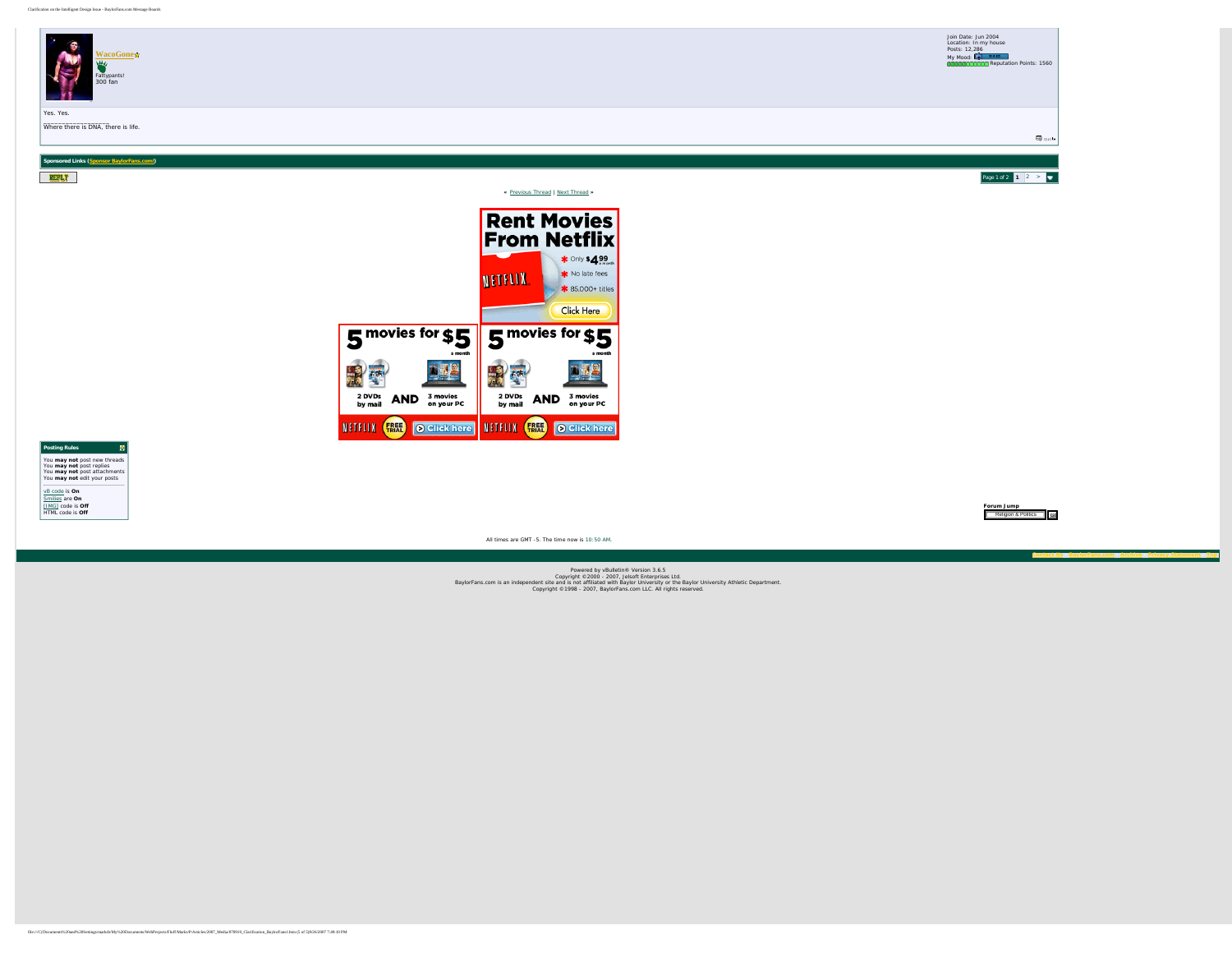Clarification on the Intelligent Design Issue - BaylorFans.com Message Boards



# REPLY

**«** [Previous Thread](http://baylorfans.com/forums/showthread.php?t=132036&goto=nextoldest) | [Next Thread](http://baylorfans.com/forums/showthread.php?t=132036&goto=nextnewest) **»**





**Forum Jump<br>Religion & Politics** 

Page 1 of [2](http://baylorfans.com/forums/showthread.php?t=132036&page=2) **1** 2 [>](http://baylorfans.com/forums/showthread.php?t=132036&page=2)  $\bullet$ 

All times are GMT -5. The time now is 10:50 AM.

Powered by yebuletin® Version a 5.6 5<br>Copyright © 2000 - 2007), alsoft Enterprises Ltd.<br>BaylorFans.com is an independent site and is not affiliated with Baylor University yer the Baylor University Athletic Department.<br>Copy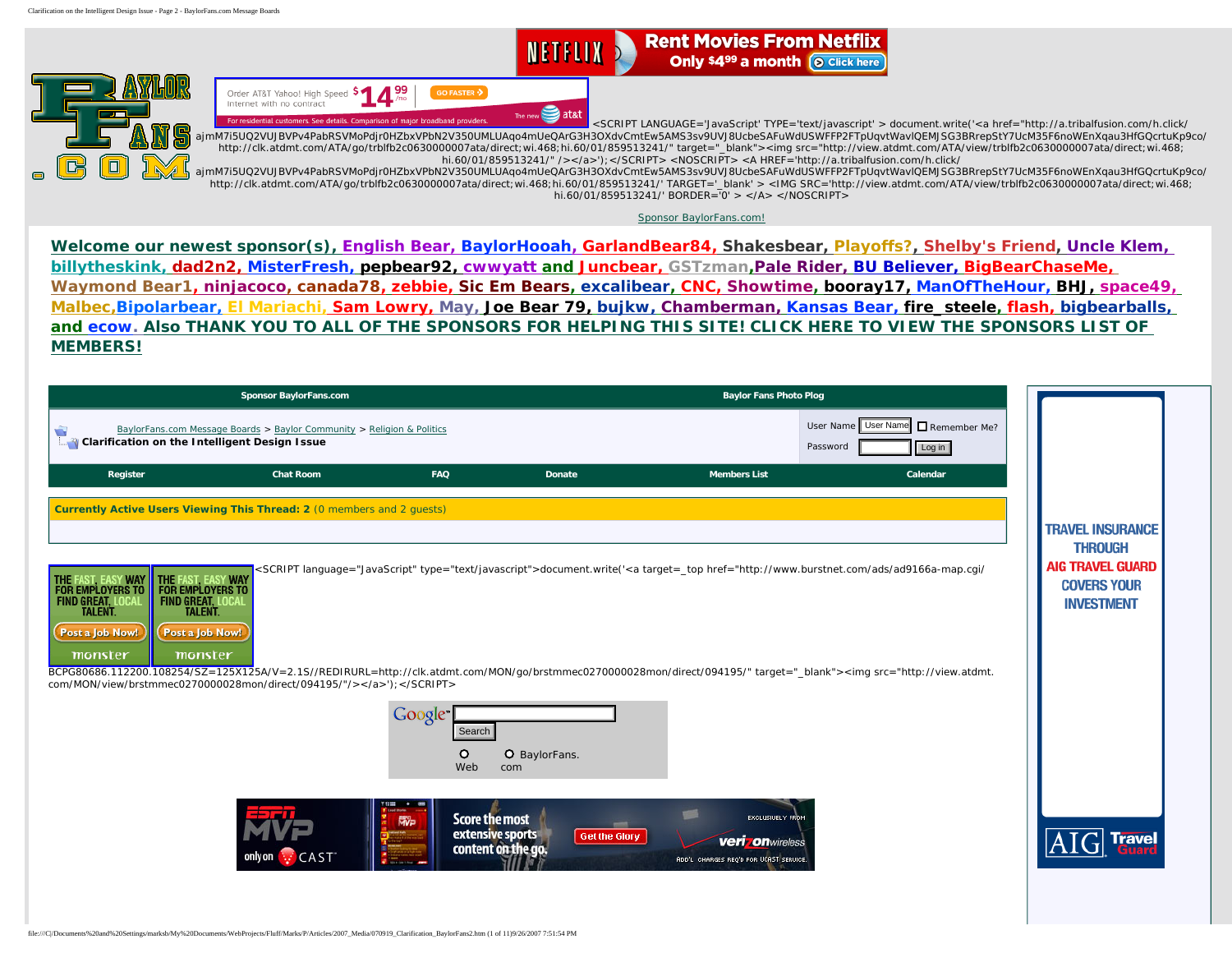Order AT&T Yahoo! High Speed \$1

nternet with no contract

99

O FASTER ?

**Rent Movies From Netflix** Only \$499 a month © Click here

 $\triangleq$  at st

<span id="page-5-0"></span>

ison of major broadband provide <SCRIPT LANGUAGE='JavaScript' TYPE='text/javascript' > document.write('<a href="http://a.tribalfusion.com/h.click/ ajmM7i5UQ2VUJBVPv4PabRSVMoPdjr0HZbxVPbN2V350UMLUAqo4mUeQArG3H3OXdvCmtEw5AMS3sv9UVJ8UcbeSAFuWdUSWFFP2FTpUqvtWavlQEMJSG3BRrepStY7UcM35F6noWEnXqau3HfGQcrtuKp9co/ http://clk.atdmt.com/ATA/go/trblfb2c0630000007ata/direct;wi.468;hi.60/01/859513241/" target="\_blank"><img src="http://view.atdmt.com/ATA/view/trblfb2c0630000007ata/direct;wi.468; hi.60/01/859513241/" /></a>');</SCRIPT> <NOSCRIPT> <A HREF='http://a.tribalfusion.com/h.click/

ajmM7i5UQ2VUJBVPv4PabRSVMoPdjr0HZbxVPbN2V350UMLUAqo4mUeQArG3H3OXdvCmtEw5AMS3sv9UVJ8UcbeSAFuWdUSWFFP2FTpUqvtWavlQEMJSG3BRrepStY7UcM35F6noWEnXqau3HfGQcrtuKp9co/ http://clk.atdmt.com/ATA/go/trblfb2c0630000007ata/direct;wi.468;hi.60/01/859513241/' TARGET='\_blank' > <IMG SRC='http://view.atdmt.com/ATA/view/trblfb2c0630000007ata/direct;wi.468; hi.60/01/859513241/' BORDER='0' > </A> </NOSCRIPT>

[Sponsor BaylorFans.com!](http://baylorfans.com/sponsor.php)

**[Welcome our newest sponsor\(s\), English Bear, BaylorHooah, GarlandBear84, Shakesbear, Playoffs?, Shelby's Friend, Uncle Klem,](http://www.baylorfans.com/forums/showgroups.php)  billytheskink, dad2n2, MisterFresh, [pepbear92, cwwyatt and Juncbear, GSTzman,Pale Rider,](http://www.baylorfans.com/forums/showgroups.php) BU Believer, BigBearChaseMe, Waymond Bear1, ninjacoco, canada78, zebbie, [Sic Em Bears, excalibear, CNC, Showtime, booray17, ManOfTheHour,](http://www.baylorfans.com/forums/showgroups.php) BHJ, space49, [Malbec,Bipolarbear, El Mariachi, Sam Lowry, May,](http://www.baylorfans.com/forums/showgroups.php) Joe Bear 79, bujkw, Chamberman, Kansas Bear, fire\_steele, flash, bigbearballs, [and ecow. Also THANK YOU TO ALL OF THE SPONSORS FOR HELPING THIS SITE! CLICK HERE TO VIEW THE SPONSORS LIST OF](http://www.baylorfans.com/forums/showgroups.php) [MEMBERS!](http://www.baylorfans.com/forums/showgroups.php)**

|                                                                                                                                                                                                               | <b>Sponsor BaylorFans.com</b>                                                 |            |               | <b>Baylor Fans Photo Plog</b> |                                                                  |                         |
|---------------------------------------------------------------------------------------------------------------------------------------------------------------------------------------------------------------|-------------------------------------------------------------------------------|------------|---------------|-------------------------------|------------------------------------------------------------------|-------------------------|
| ۳y<br>Clarification on the Intelligent Design Issue                                                                                                                                                           | BaylorFans.com Message Boards > Baylor Community > Religion & Politics        |            |               |                               | User Name User Name<br>$\Box$ Remember Me?<br>Password<br>Log in |                         |
| Register                                                                                                                                                                                                      | <b>Chat Room</b>                                                              | <b>FAQ</b> | <b>Donate</b> | <b>Members List</b>           | Calendar                                                         |                         |
|                                                                                                                                                                                                               | <b>Currently Active Users Viewing This Thread: 2 (0 members and 2 guests)</b> |            |               |                               |                                                                  |                         |
|                                                                                                                                                                                                               |                                                                               |            |               |                               |                                                                  | <b>TRAVEL INSURANCE</b> |
| THE FAST, EASY WAY<br>THE FAST, EASY WAY<br>FOR EMPLOYERS TO<br><b>FIND GREAT,</b><br><b>FIND GREAT, LOCA</b><br><b>TALENT.</b><br><b>TALENT.</b><br>Post a Job Now!<br>Post a Job Now!<br>monster<br>monster | com/MON/view/brstmmec0270000028mon/direct/094195/"/>');                       |            |               |                               | <script language="JavaScript" type="text/javascript"></script>   |                         |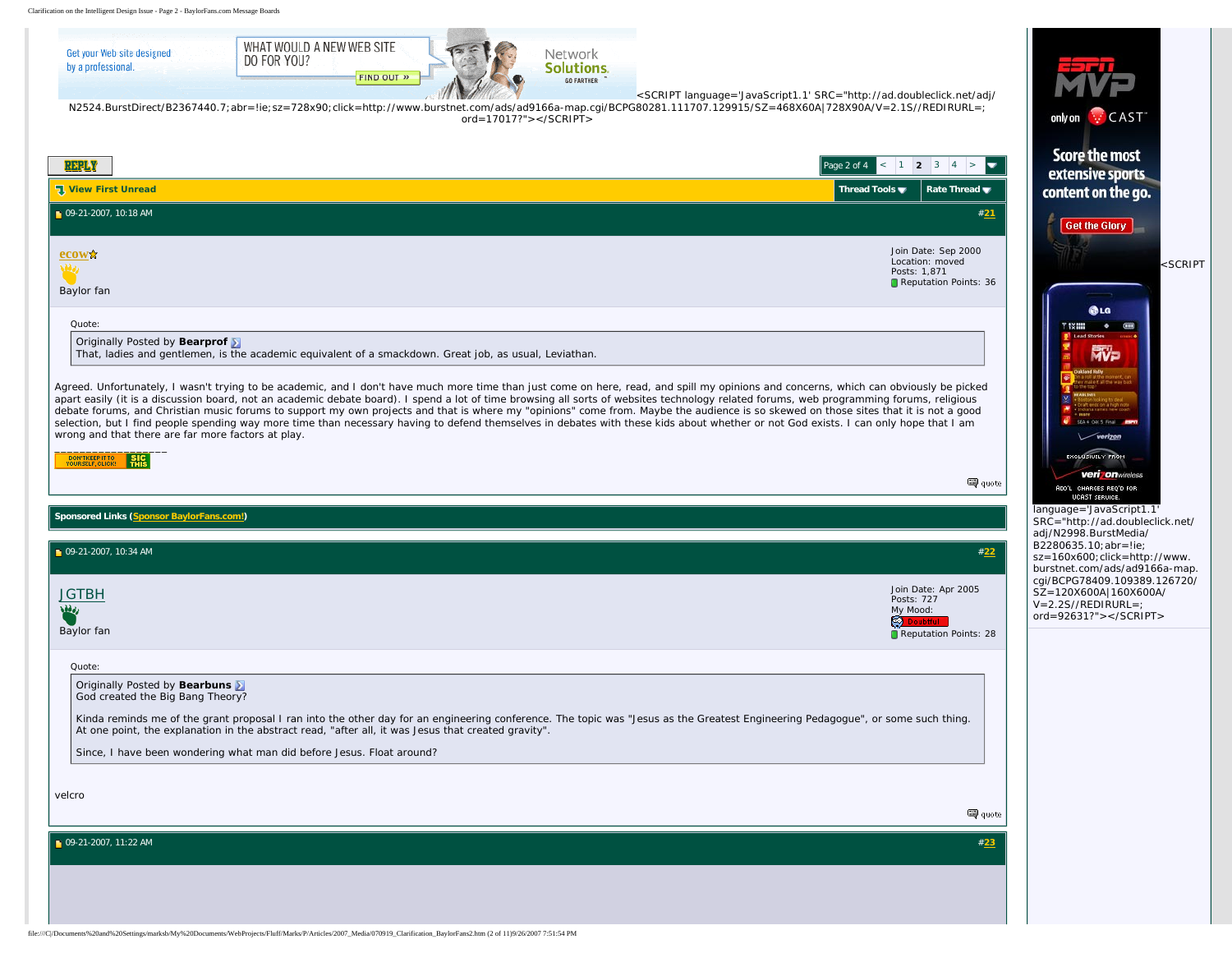<span id="page-6-0"></span>

| WHAT WOULD A NEW WEB SITE<br>Get your Web site designed<br>Network<br>DO FOR YOU?<br>by a professional.<br>Solutions.<br><b>FIND OUT »</b><br><b>GO FARTHER</b><br>N2524.BurstDirect/B2367440.7;abr=!ie;sz=728x90;click=http://www.burstnet.com/ads/ad9166a-map.cgi/BCPG80281.111707.129915/SZ=468X60A 728X90A/V=2.1S//REDIRURL=;<br>ord=17017?"><br><b>REPLY</b>                                                                              | <script a="" audience="" come="" from.="" good<br="" is="" it="" language="JavaScript1.1" maybe="" not="" on="" opinions"="" sites="" skewed="" so="" src="http://ad.doubleclick.net/adj/&lt;br&gt;&lt;b&gt;CAST&lt;/b&gt;&lt;br&gt;only on&lt;br&gt;&lt;b&gt;Score the most&lt;/b&gt;&lt;br&gt;&lt;math&gt;&lt;&lt;/math&gt; 1 2 3 4 &gt;&lt;br&gt;▼&lt;br&gt;Page 2 of 4&lt;/th&gt;&lt;/tr&gt;&lt;tr&gt;&lt;th&gt;&lt;b&gt;J&lt;/b&gt; View First Unread&lt;/th&gt;&lt;th&gt;extensive sports&lt;br&gt;Rate Thread &lt;math&gt;\blacksquare&lt;/math&gt;&lt;br&gt;Thread Tools&lt;br&gt;content on the go.&lt;/th&gt;&lt;/tr&gt;&lt;tr&gt;&lt;td&gt;09-21-2007, 10:18 AM&lt;/td&gt;&lt;td&gt;#21&lt;br&gt;Get the Glory&lt;/td&gt;&lt;/tr&gt;&lt;tr&gt;&lt;td&gt;&lt;b&gt;ecow&lt;/b&gt;&lt;br&gt;ريطه&lt;br&gt;Baylor fan&lt;/td&gt;&lt;td&gt;Join Date: Sep 2000&lt;br&gt;Location: moved&lt;br&gt;&lt;SCRIPT&lt;br&gt;Posts: 1,871&lt;br&gt;Reputation Points: 36&lt;br&gt;GLG&lt;/td&gt;&lt;/tr&gt;&lt;tr&gt;&lt;td&gt;Quote:&lt;br&gt;Originally Posted by Bearprof&lt;br&gt;That, ladies and gentlemen, is the academic equivalent of a smackdown. Great job, as usual, Leviathan.&lt;br&gt;Agreed. Unfortunately, I wasn't trying to be academic, and I don't have much more time than just come on here, read, and spill my opinions and concerns, which can obviously be picked&lt;br&gt;apart easily (it is a discussion board, not an academic debate board). I spend a lot of time browsing all sorts of websites technology related forums, web programming forums, religious&lt;br&gt;debate forums, and Christian music forums to support my own projects and that is where my " that="" the="" those="">selection, but I find people spending way more time than necessary having to defend themselves in debates with these kids about whether or not God exists. I can only hope that I am<br>wrong and that there are far more factors at play.</td><td>工程器<br><math>\bullet</math><br><b>EA 4 OAK 5 FINALE ROOM</b><br>verizon</td></tr><tr><td>DON'T KEEP IT TO<br>YOURSELF, CLICK!<br>녧<br>Sponsored Links (Sponsor BaylorFans.com!)</td><td><b>EXCLUSIVELY FROM</b><br><b>veri on</b>wireless<br>国 quote<br>ADD'L CHARGES REQ'D FOR<br>UCAST SERVICE.<br>language='JavaScript1.1'<br>SRC="http://ad.doubleclick.net/</td></tr><tr><td>09-21-2007, 10:34 AM</td><td>adj/N2998.BurstMedia/<br>B2280635.10; abr=!ie;<br>#22<br>sz=160x600;click=http://www.</td></tr><tr><td><b>JGTBH</b><br><b>Yide</b><br>Baylor fan</td><td>burstnet.com/ads/ad9166a-map.<br>cgi/BCPG78409.109389.126720/<br>Join Date: Apr 2005<br>SZ=120X600A 160X600A/<br>Posts: 727<br><math>V = 2.2</math>S//REDIRURL=;<br>My Mood:<br>ord=92631?"></script><br>Doubtful<br>Reputation Points: 28 |
|------------------------------------------------------------------------------------------------------------------------------------------------------------------------------------------------------------------------------------------------------------------------------------------------------------------------------------------------------------------------------------------------------------------------------------------------|-------------------------------------------------------------------------------------------------------------------------------------------------------------------------------------------------------------------------------------------------------------------------------------------------------------------------------------------------------------------------------------------------------------------------------------------------------------------------------------------------------------------------------------------------------------------------------------------------------------------------------------------------------------------------------------------------------------------------------------------------------------------------------------------------------------------------------------------------------------------------------------------------------------------------------------------------------------------------------------------------------------------------------------------------------------------------------------------------------------------------------------------------------------------------------------------------------------------------------------------------------------------------------------------------------------------------------------------------------------------------------------------------------------------------------------------------------------------------------------------------------------------------------------------------------------------------------------------------------------------------------------------------------------------------------------------------------------------------------------------------------------------------------------------------------------------------------------------------------------------------------------------------------------------------------------------------------------------------------------------------------------------------------------------------------------------------------------------------------------------------------------------------------------------------------------------------------------------------------------------------------------------------------------------------------------------------------------------------------------------------------------------------------------------------------------------------------------------------------------------------------------------------------------------------------------------------------------------------------------------------------------------------------------------------------------------------------------------------------------------------------------------------------------------------|
| Quote:<br>Originally Posted by Bearbuns<br>God created the Big Bang Theory?<br>Kinda reminds me of the grant proposal I ran into the other day for an engineering conference. The topic was "Jesus as the Greatest Engineering Pedagogue", or some such thing.<br>At one point, the explanation in the abstract read, "after all, it was Jesus that created gravity".<br>Since, I have been wondering what man did before Jesus. Float around? |                                                                                                                                                                                                                                                                                                                                                                                                                                                                                                                                                                                                                                                                                                                                                                                                                                                                                                                                                                                                                                                                                                                                                                                                                                                                                                                                                                                                                                                                                                                                                                                                                                                                                                                                                                                                                                                                                                                                                                                                                                                                                                                                                                                                                                                                                                                                                                                                                                                                                                                                                                                                                                                                                                                                                                                                 |
|                                                                                                                                                                                                                                                                                                                                                                                                                                                |                                                                                                                                                                                                                                                                                                                                                                                                                                                                                                                                                                                                                                                                                                                                                                                                                                                                                                                                                                                                                                                                                                                                                                                                                                                                                                                                                                                                                                                                                                                                                                                                                                                                                                                                                                                                                                                                                                                                                                                                                                                                                                                                                                                                                                                                                                                                                                                                                                                                                                                                                                                                                                                                                                                                                                                                 |
| velcro                                                                                                                                                                                                                                                                                                                                                                                                                                         | 国 quote                                                                                                                                                                                                                                                                                                                                                                                                                                                                                                                                                                                                                                                                                                                                                                                                                                                                                                                                                                                                                                                                                                                                                                                                                                                                                                                                                                                                                                                                                                                                                                                                                                                                                                                                                                                                                                                                                                                                                                                                                                                                                                                                                                                                                                                                                                                                                                                                                                                                                                                                                                                                                                                                                                                                                                                         |
| ■ 09-21-2007, 11:22 AM                                                                                                                                                                                                                                                                                                                                                                                                                         | #23                                                                                                                                                                                                                                                                                                                                                                                                                                                                                                                                                                                                                                                                                                                                                                                                                                                                                                                                                                                                                                                                                                                                                                                                                                                                                                                                                                                                                                                                                                                                                                                                                                                                                                                                                                                                                                                                                                                                                                                                                                                                                                                                                                                                                                                                                                                                                                                                                                                                                                                                                                                                                                                                                                                                                                                             |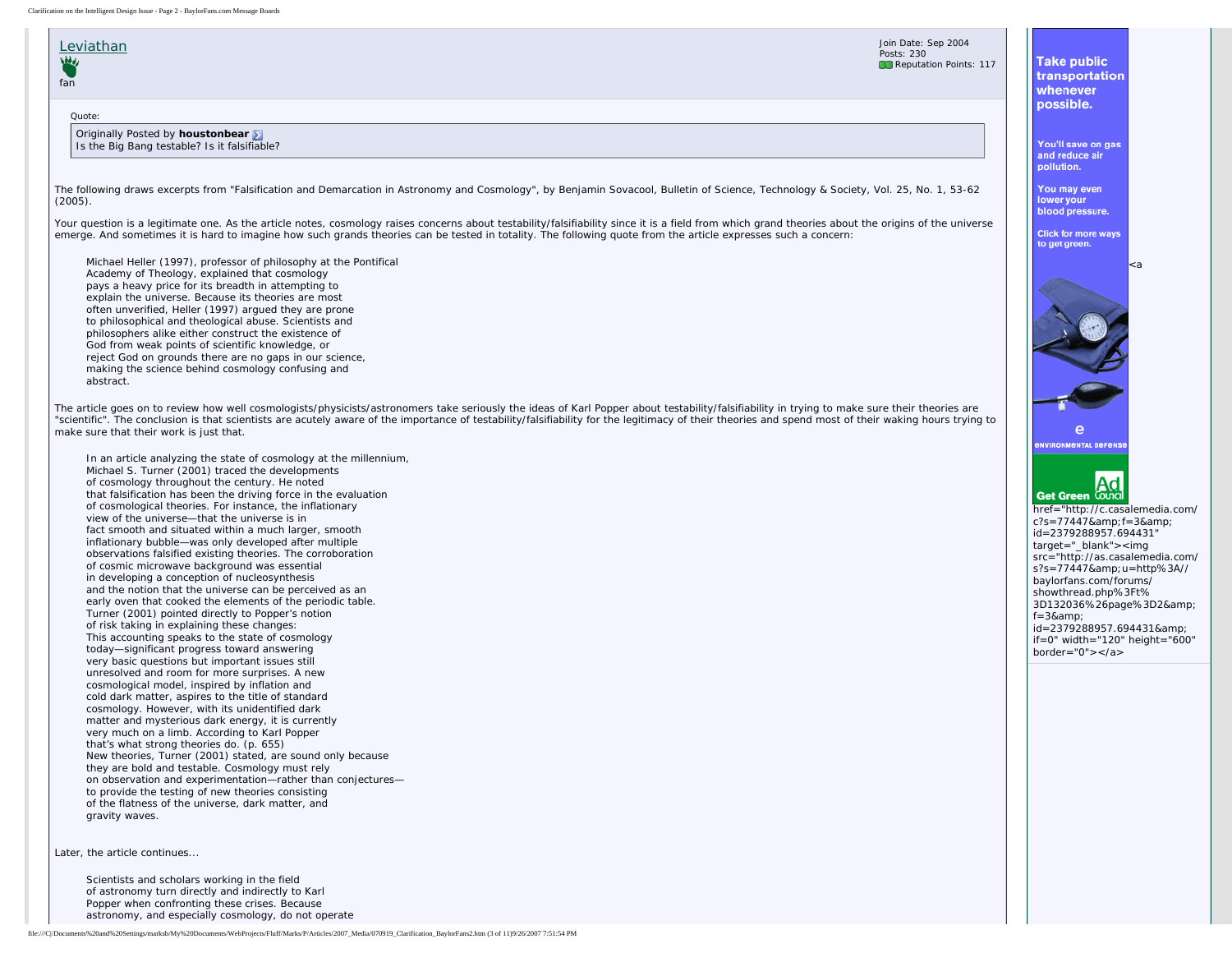Clarification on the Intelligent Design Issue - Page 2 - BaylorFans.com Message Boards

[Leviathan](http://baylorfans.com/forums/member.php?u=7994)

fan

ريفقها

Quote:

Join Date: Sep 2004 Posts: 230 **Reputation Points: 117** 

Originally Posted by **houstonbear** *Is the Big Bang testable? Is it falsifiable?*

The following draws excerpts from "Falsification and Demarcation in Astronomy and Cosmology", by Benjamin Sovacool, *Bulletin of Science, Technology & Society*, Vol. 25, No. 1, 53-62 (2005).

Your question is a legitimate one. As the article notes, cosmology raises concerns about testability/falsifiability since it is a field from which grand theories about the origins of the universe emerge. And sometimes it is hard to imagine how such grands theories can be tested in totality. The following quote from the article expresses such a concern:

Michael Heller (1997), professor of philosophy at the Pontifical Academy of Theology, explained that cosmology pays a heavy price for its breadth in attempting to explain the universe. Because its theories are most often unverified, Heller (1997) argued they are prone to philosophical and theological abuse. Scientists and philosophers alike either construct the existence of God from weak points of scientific knowledge, or reject God on grounds there are no gaps in our science, making the science behind cosmology confusing and abstract.

The article goes on to review how well cosmologists/physicists/astronomers take seriously the ideas of Karl Popper about testability/falsifiability in trying to make sure their theories are "scientific". The conclusion is that scientists are acutely aware of the importance of testability/falsifiability for the legitimacy of their theories and spend most of their waking hours trying to make sure that their work is just that.

In an article analyzing the state of cosmology at the millennium, Michael S. Turner (2001) traced the developments of cosmology throughout the century. He noted that falsification has been the driving force in the evaluation of cosmological theories. For instance, the inflationary view of the universe—that the universe is in fact smooth and situated within a much larger, smooth inflationary bubble—was only developed after multiple observations falsified existing theories. The corroboration of cosmic microwave background was essential in developing a conception of nucleosynthesis and the notion that the universe can be perceived as an early oven that cooked the elements of the periodic table. Turner (2001) pointed directly to Popper's notion of risk taking in explaining these changes: This accounting speaks to the state of cosmology today—significant progress toward answering very basic questions but important issues still unresolved and room for more surprises. A new cosmological model, inspired by inflation and cold dark matter, aspires to the title of standard cosmology. However, with its unidentified dark matter and mysterious dark energy, it is currently very much on a limb. According to Karl Popper that's what strong theories do. (p. 655) New theories, Turner (2001) stated, are sound only because they are bold and testable. Cosmology must rely on observation and experimentation—rather than conjectures to provide the testing of new theories consisting of the flatness of the universe, dark matter, and gravity waves.

Later, the article continues...

Scientists and scholars working in the field of astronomy turn directly and indirectly to Karl Popper when confronting these crises. Because astronomy, and especially cosmology, do not operate





**Take public** transportation whenever possible.

You'll save on gas and reduce air pollution. You may even lower your blood pressure. **Click for more ways** to get green.



**Get Green** 

href="http://c.casalemedia.com/  $c$ ?s=77447& f=3& id=2379288957.694431" target="\_blank"><img src="http://as.casalemedia.com/ s?s=77447& u=http%3A// baylorfans.com/forums/ showthread.php%3Ft% 3D132036%26page%3D2&  $f=3&amn$ : id=2379288957.694431& if=0" width="120" height="600" border="0"> </a>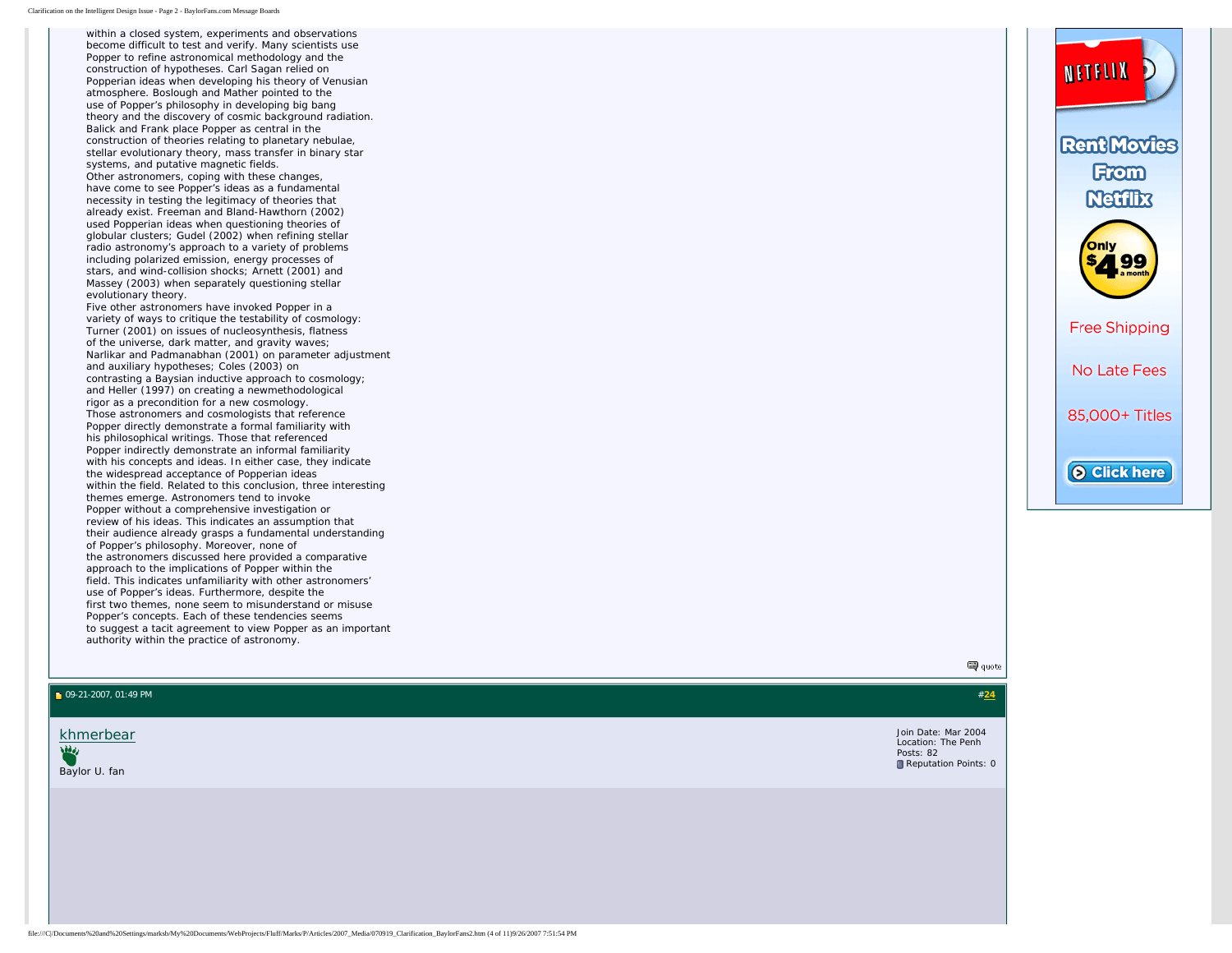Clarification on the Intelligent Design Issue - Page 2 - BaylorFans.com Message Boards

within a closed system, experiments and observations become difficult to test and verify. Many scientists use Popper to refine astronomical methodology and the construction of hypotheses. Carl Sagan relied on Popperian ideas when developing his theory of Venusian atmosphere. Boslough and Mather pointed to the use of Popper's philosophy in developing big bang theory and the discovery of cosmic background radiation. Balick and Frank place Popper as central in the construction of theories relating to planetary nebulae, stellar evolutionary theory, mass transfer in binary star systems, and putative magnetic fields. Other astronomers, coping with these changes, have come to see Popper's ideas as a fundamental necessity in testing the legitimacy of theories that already exist. Freeman and Bland-Hawthorn (2002) used Popperian ideas when questioning theories of globular clusters; Gudel (2002) when refining stellar radio astronomy's approach to a variety of problems including polarized emission, energy processes of stars, and wind-collision shocks; Arnett (2001) and Massey (2003) when separately questioning stellar

evolutionary theory. Five other astronomers have invoked Popper in a variety of ways to critique the testability of cosmology: Turner (2001) on issues of nucleosynthesis, flatness of the universe, dark matter, and gravity waves; Narlikar and Padmanabhan (2001) on parameter adjustment and auxiliary hypotheses; Coles (2003) on contrasting a Baysian inductive approach to cosmology; and Heller (1997) on creating a newmethodological rigor as a precondition for a new cosmology. Those astronomers and cosmologists that reference Popper directly demonstrate a formal familiarity with his philosophical writings. Those that referenced Popper indirectly demonstrate an informal familiarity with his concepts and ideas. In either case, they indicate the widespread acceptance of Popperian ideas within the field. Related to this conclusion, three interesting themes emerge. Astronomers tend to invoke Popper without a comprehensive investigation or review of his ideas. This indicates an assumption that their audience already grasps a fundamental understanding of Popper's philosophy. Moreover, none of the astronomers discussed here provided a comparative approach to the implications of Popper within the field. This indicates unfamiliarity with other astronomers' use of Popper's ideas. Furthermore, despite the first two themes, none seem to misunderstand or misuse Popper's concepts. Each of these tendencies seems to suggest a tacit agreement to view Popper as an important authority within the practice of astronomy.

| NETFLIX                                            |
|----------------------------------------------------|
| <b>RentMovies</b><br><b>From</b><br><b>Netflix</b> |
| v                                                  |
| <b>Free Shipping</b>                               |
| <b>No Late Fees</b>                                |
| 85,000+ Titles                                     |
| <b>O</b> Click here                                |

国 quote

# 09-21-2007, 01:49 PM #**[24](http://baylorfans.com/forums/showpost.php?p=2197930&postcount=24)** Join Date: Mar 2004 [khmerbear](http://baylorfans.com/forums/member.php?u=7460) Location: The Penh رىققا Posts: 82 Reputation Points: 0 Baylor U. fan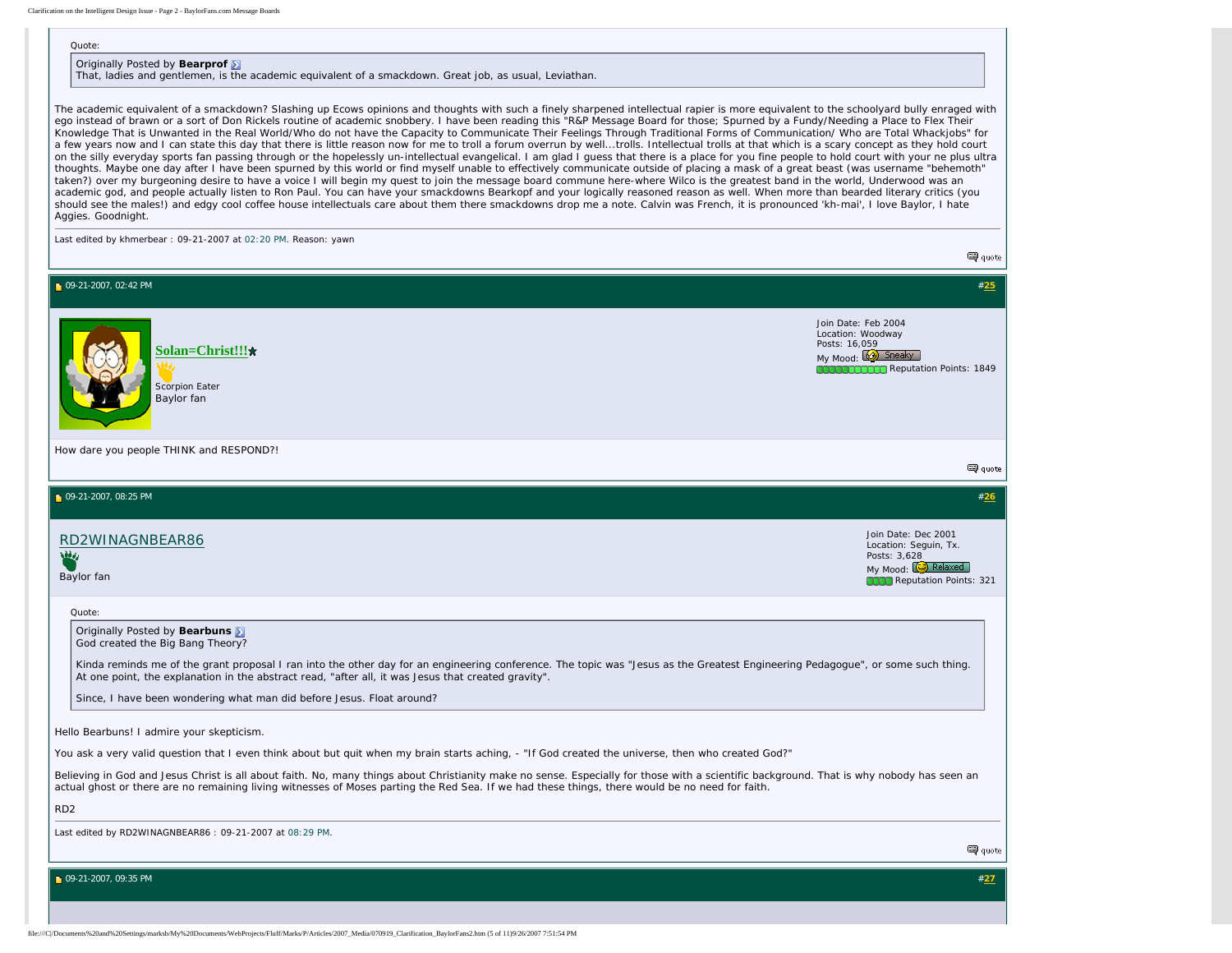#### Quote:

#### Originally Posted by **Bearprof**

*That, ladies and gentlemen, is the academic equivalent of a smackdown. Great job, as usual, Leviathan.*

The academic equivalent of a smackdown? Slashing up Ecows opinions and thoughts with such a finely sharpened intellectual rapier is more equivalent to the schoolyard bully enraged with ego instead of brawn or a sort of Don Rickels routine of academic snobbery. I have been reading this "R&P Message Board for those; Spurned by a Fundy/Needing a Place to Flex Their Knowledge That is Unwanted in the Real World/Who do not have the Capacity to Communicate Their Feelings Through Traditional Forms of Communication/ Who are Total Whackjobs" for a few years now and I can state this day that there is little reason now for me to troll a forum overrun by well...trolls. Intellectual trolls at that which is a scary concept as they hold court on the silly everyday sports fan passing through or the hopelessly un-intellectual evangelical. I am glad I guess that there is a place for you fine people to hold court with your ne plus ultra thoughts. Maybe one day after I have been spurned by this world or find myself unable to effectively communicate outside of placing a mask of a great beast (was username "behemoth" taken?) over my burgeoning desire to have a voice I will begin my quest to join the message board commune here-where Wilco is the greatest band in the world, Underwood was an academic god, and people actually listen to Ron Paul. You can have your smackdowns Bearkopf and your logically reasoned reason as well. When more than bearded literary critics (you should see the males!) and edgy cool coffee house intellectuals care about them there smackdowns drop me a note. Calvin was French, it is pronounced 'kh-mai', I love Baylor, I hate Aggies. Goodnight.

*Last edited by khmerbear : 09-21-2007 at 02:20 PM. Reason: yawn* 

国 quote

| 09-21-2007, 02:42 PM                                                                                                                                                                                                                                                                                                                                                                                                                                                                               | #25                                                                                                                                  |
|----------------------------------------------------------------------------------------------------------------------------------------------------------------------------------------------------------------------------------------------------------------------------------------------------------------------------------------------------------------------------------------------------------------------------------------------------------------------------------------------------|--------------------------------------------------------------------------------------------------------------------------------------|
| Solan=Christ!!!★<br>Scorpion Eater<br>Baylor fan                                                                                                                                                                                                                                                                                                                                                                                                                                                   | Join Date: Feb 2004<br>Location: Woodway<br>Posts: 16,059<br>My Mood: (4) Sneaky<br><b>COLORADO Reputation Points: 1849</b>          |
| How dare you people THINK and RESPOND?!                                                                                                                                                                                                                                                                                                                                                                                                                                                            | 国 quote                                                                                                                              |
| 09-21-2007, 08:25 PM                                                                                                                                                                                                                                                                                                                                                                                                                                                                               | #26                                                                                                                                  |
| RD2WINAGNBEAR86<br><b>Mark</b><br>Baylor fan                                                                                                                                                                                                                                                                                                                                                                                                                                                       | Join Date: Dec 2001<br>Location: Seguin, Tx.<br>Posts: 3,628<br>My Mood: (ت <mark>َ)</mark> Relaxed<br><b>Reputation Points: 321</b> |
| Quote:<br>Originally Posted by Bearbuns<br>God created the Big Bang Theory?                                                                                                                                                                                                                                                                                                                                                                                                                        |                                                                                                                                      |
| Kinda reminds me of the grant proposal I ran into the other day for an engineering conference. The topic was "Jesus as the Greatest Engineering Pedagogue", or some such thing.<br>At one point, the explanation in the abstract read, "after all, it was Jesus that created gravity".                                                                                                                                                                                                             |                                                                                                                                      |
| Since, I have been wondering what man did before Jesus. Float around?                                                                                                                                                                                                                                                                                                                                                                                                                              |                                                                                                                                      |
| Hello Bearbuns! I admire your skepticism.                                                                                                                                                                                                                                                                                                                                                                                                                                                          |                                                                                                                                      |
| You ask a very valid question that I even think about but quit when my brain starts aching, - "If God created the universe, then who created God?"<br>Believing in God and Jesus Christ is all about faith. No, many things about Christianity make no sense. Especially for those with a scientific background. That is why nobody has seen an<br>actual ghost or there are no remaining living witnesses of Moses parting the Red Sea. If we had these things, there would be no need for faith. |                                                                                                                                      |
| RD <sub>2</sub><br>Last edited by RD2WINAGNBEAR86: 09-21-2007 at 08:29 PM.                                                                                                                                                                                                                                                                                                                                                                                                                         |                                                                                                                                      |
|                                                                                                                                                                                                                                                                                                                                                                                                                                                                                                    | 国 quote                                                                                                                              |
| $\blacksquare$ 09-21-2007, 09:35 PM                                                                                                                                                                                                                                                                                                                                                                                                                                                                | #27                                                                                                                                  |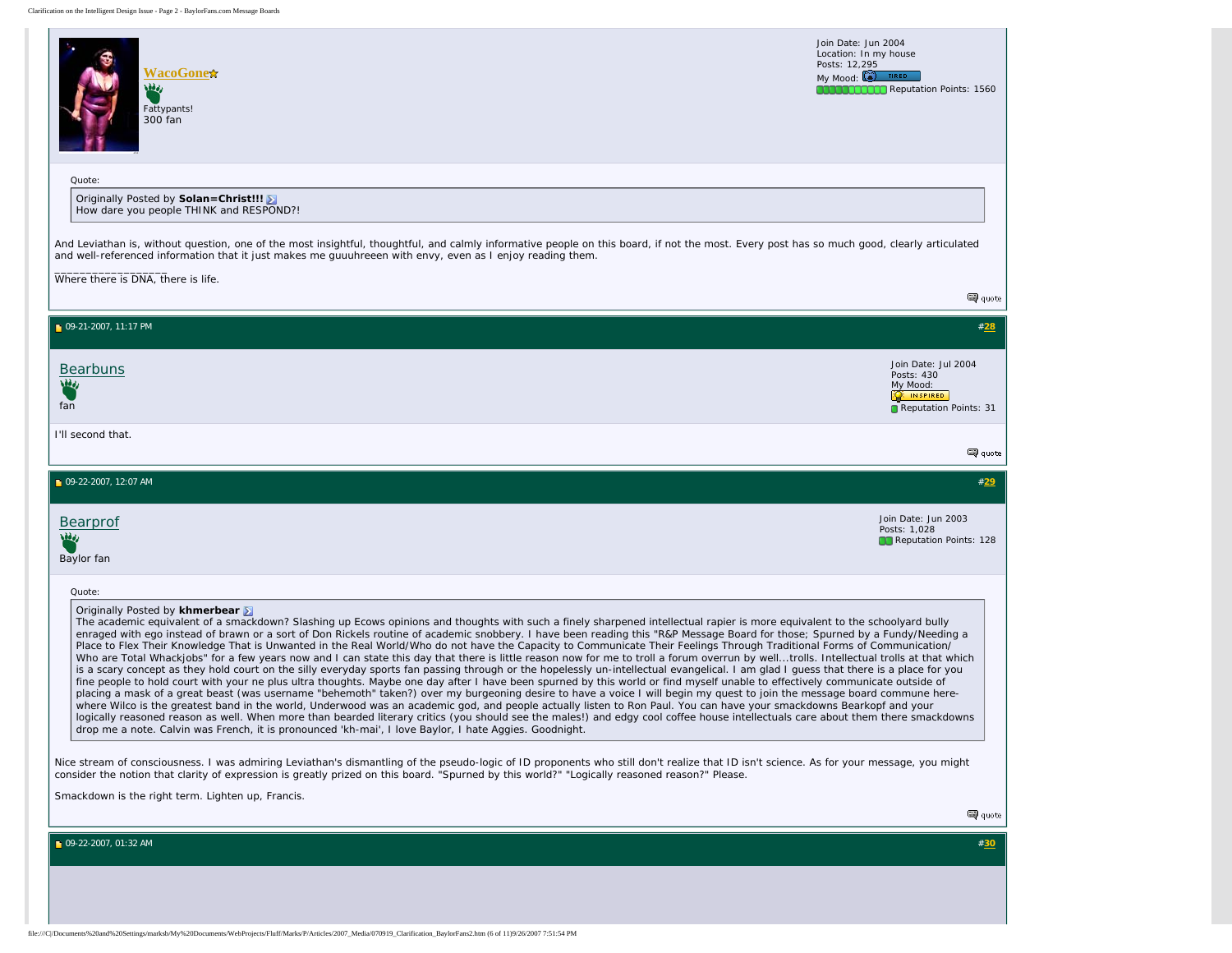$\mathbf{r}$ 

| <b>WacoGone*</b><br>豐<br>Fattypants!<br>300 fan                                                                                                                                                                                                                                                                                                                                                                                                                                                                                                                                                                                                                                                                                                                                                                                                                                                                                                                                                                                                                                                                                                                                                                                                                                                                                                                                                                                                                                                                                                                                                                                                                                                                                                                                                                                                                                                                                                                                                                                                                                                                                                                                                           | Join Date: Jun 2004<br>Location: In my house<br>Posts: 12,295<br>My Mood: (2) TIRED<br><b>COLORADO Reputation Points: 1560</b> |
|-----------------------------------------------------------------------------------------------------------------------------------------------------------------------------------------------------------------------------------------------------------------------------------------------------------------------------------------------------------------------------------------------------------------------------------------------------------------------------------------------------------------------------------------------------------------------------------------------------------------------------------------------------------------------------------------------------------------------------------------------------------------------------------------------------------------------------------------------------------------------------------------------------------------------------------------------------------------------------------------------------------------------------------------------------------------------------------------------------------------------------------------------------------------------------------------------------------------------------------------------------------------------------------------------------------------------------------------------------------------------------------------------------------------------------------------------------------------------------------------------------------------------------------------------------------------------------------------------------------------------------------------------------------------------------------------------------------------------------------------------------------------------------------------------------------------------------------------------------------------------------------------------------------------------------------------------------------------------------------------------------------------------------------------------------------------------------------------------------------------------------------------------------------------------------------------------------------|--------------------------------------------------------------------------------------------------------------------------------|
| Quote:<br>Originally Posted by Solan=Christ!!!<br>How dare you people THINK and RESPOND?!<br>And Leviathan is, without question, one of the most insightful, thoughtful, and calmly informative people on this board, if not the most. Every post has so much good, clearly articulated                                                                                                                                                                                                                                                                                                                                                                                                                                                                                                                                                                                                                                                                                                                                                                                                                                                                                                                                                                                                                                                                                                                                                                                                                                                                                                                                                                                                                                                                                                                                                                                                                                                                                                                                                                                                                                                                                                                   |                                                                                                                                |
| and well-referenced information that it just makes me guuuhreeen with envy, even as I enjoy reading them.<br>Where there is DNA, there is life.                                                                                                                                                                                                                                                                                                                                                                                                                                                                                                                                                                                                                                                                                                                                                                                                                                                                                                                                                                                                                                                                                                                                                                                                                                                                                                                                                                                                                                                                                                                                                                                                                                                                                                                                                                                                                                                                                                                                                                                                                                                           | 国 quote                                                                                                                        |
| $\blacksquare$ 09-21-2007, 11:17 PM                                                                                                                                                                                                                                                                                                                                                                                                                                                                                                                                                                                                                                                                                                                                                                                                                                                                                                                                                                                                                                                                                                                                                                                                                                                                                                                                                                                                                                                                                                                                                                                                                                                                                                                                                                                                                                                                                                                                                                                                                                                                                                                                                                       | #28                                                                                                                            |
| <b>Bearbuns</b><br>رفانا<br>fan                                                                                                                                                                                                                                                                                                                                                                                                                                                                                                                                                                                                                                                                                                                                                                                                                                                                                                                                                                                                                                                                                                                                                                                                                                                                                                                                                                                                                                                                                                                                                                                                                                                                                                                                                                                                                                                                                                                                                                                                                                                                                                                                                                           | Join Date: Jul 2004<br>Posts: 430<br>My Mood:<br><b>OF INSPIRED</b><br>Reputation Points: 31                                   |
| I'll second that.                                                                                                                                                                                                                                                                                                                                                                                                                                                                                                                                                                                                                                                                                                                                                                                                                                                                                                                                                                                                                                                                                                                                                                                                                                                                                                                                                                                                                                                                                                                                                                                                                                                                                                                                                                                                                                                                                                                                                                                                                                                                                                                                                                                         | 国 quote                                                                                                                        |
| 09-22-2007, 12:07 AM                                                                                                                                                                                                                                                                                                                                                                                                                                                                                                                                                                                                                                                                                                                                                                                                                                                                                                                                                                                                                                                                                                                                                                                                                                                                                                                                                                                                                                                                                                                                                                                                                                                                                                                                                                                                                                                                                                                                                                                                                                                                                                                                                                                      | #29                                                                                                                            |
| <b>Bearprof</b><br>رتفا<br>Baylor fan                                                                                                                                                                                                                                                                                                                                                                                                                                                                                                                                                                                                                                                                                                                                                                                                                                                                                                                                                                                                                                                                                                                                                                                                                                                                                                                                                                                                                                                                                                                                                                                                                                                                                                                                                                                                                                                                                                                                                                                                                                                                                                                                                                     | Join Date: Jun 2003<br>Posts: 1,028<br>Reputation Points: 128                                                                  |
| Quote:<br>Originally Posted by khmerbear<br>The academic equivalent of a smackdown? Slashing up Ecows opinions and thoughts with such a finely sharpened intellectual rapier is more equivalent to the schoolyard bully<br>enraged with ego instead of brawn or a sort of Don Rickels routine of academic snobbery. I have been reading this "R&P Message Board for those; Spurned by a Fundy/Needing a<br>Place to Flex Their Knowledge That is Unwanted in the Real World/Who do not have the Capacity to Communicate Their Feelings Through Traditional Forms of Communication/<br>Who are Total Whackjobs" for a few years now and I can state this day that there is little reason now for me to troll a forum overrun by welltrolls. Intellectual trolls at that which<br>is a scary concept as they hold court on the silly everyday sports fan passing through or the hopelessly un-intellectual evangelical. I am glad I guess that there is a place for you<br>fine people to hold court with your ne plus ultra thoughts. Maybe one day after I have been spurned by this world or find myself unable to effectively communicate outside of<br>placing a mask of a great beast (was username "behemoth" taken?) over my burgeoning desire to have a voice I will begin my quest to join the message board commune here-<br>where Wilco is the greatest band in the world, Underwood was an academic god, and people actually listen to Ron Paul. You can have your smackdowns Bearkopf and your<br>logically reasoned reason as well. When more than bearded literary critics (you should see the males!) and edgy cool coffee house intellectuals care about them there smackdowns<br>drop me a note. Calvin was French, it is pronounced 'kh-mai', I love Baylor, I hate Aggies. Goodnight.<br>Nice stream of consciousness. I was admiring Leviathan's dismantling of the pseudo-logic of ID proponents who still don't realize that ID isn't science. As for your message, you might<br>consider the notion that clarity of expression is greatly prized on this board. "Spurned by this world?" "Logically reasoned reason?" Please.<br>Smackdown is the right term. Lighten up, Francis. |                                                                                                                                |
|                                                                                                                                                                                                                                                                                                                                                                                                                                                                                                                                                                                                                                                                                                                                                                                                                                                                                                                                                                                                                                                                                                                                                                                                                                                                                                                                                                                                                                                                                                                                                                                                                                                                                                                                                                                                                                                                                                                                                                                                                                                                                                                                                                                                           | 国 quote                                                                                                                        |
| $\blacksquare$ 09-22-2007, 01:32 AM                                                                                                                                                                                                                                                                                                                                                                                                                                                                                                                                                                                                                                                                                                                                                                                                                                                                                                                                                                                                                                                                                                                                                                                                                                                                                                                                                                                                                                                                                                                                                                                                                                                                                                                                                                                                                                                                                                                                                                                                                                                                                                                                                                       | #30                                                                                                                            |
|                                                                                                                                                                                                                                                                                                                                                                                                                                                                                                                                                                                                                                                                                                                                                                                                                                                                                                                                                                                                                                                                                                                                                                                                                                                                                                                                                                                                                                                                                                                                                                                                                                                                                                                                                                                                                                                                                                                                                                                                                                                                                                                                                                                                           |                                                                                                                                |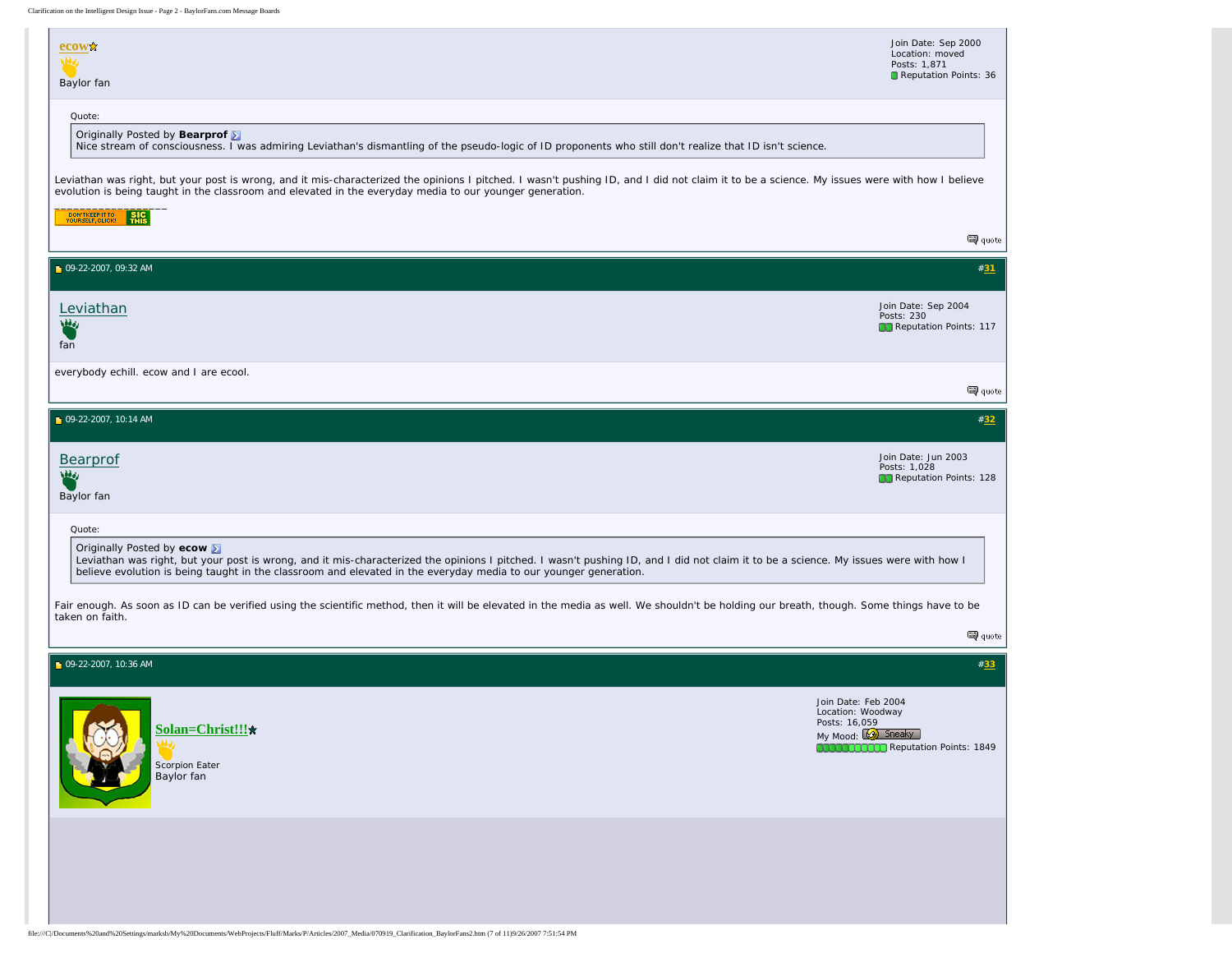Clarification on the Intelligent Design Issue - Page 2 - BaylorFans.com Message Boards

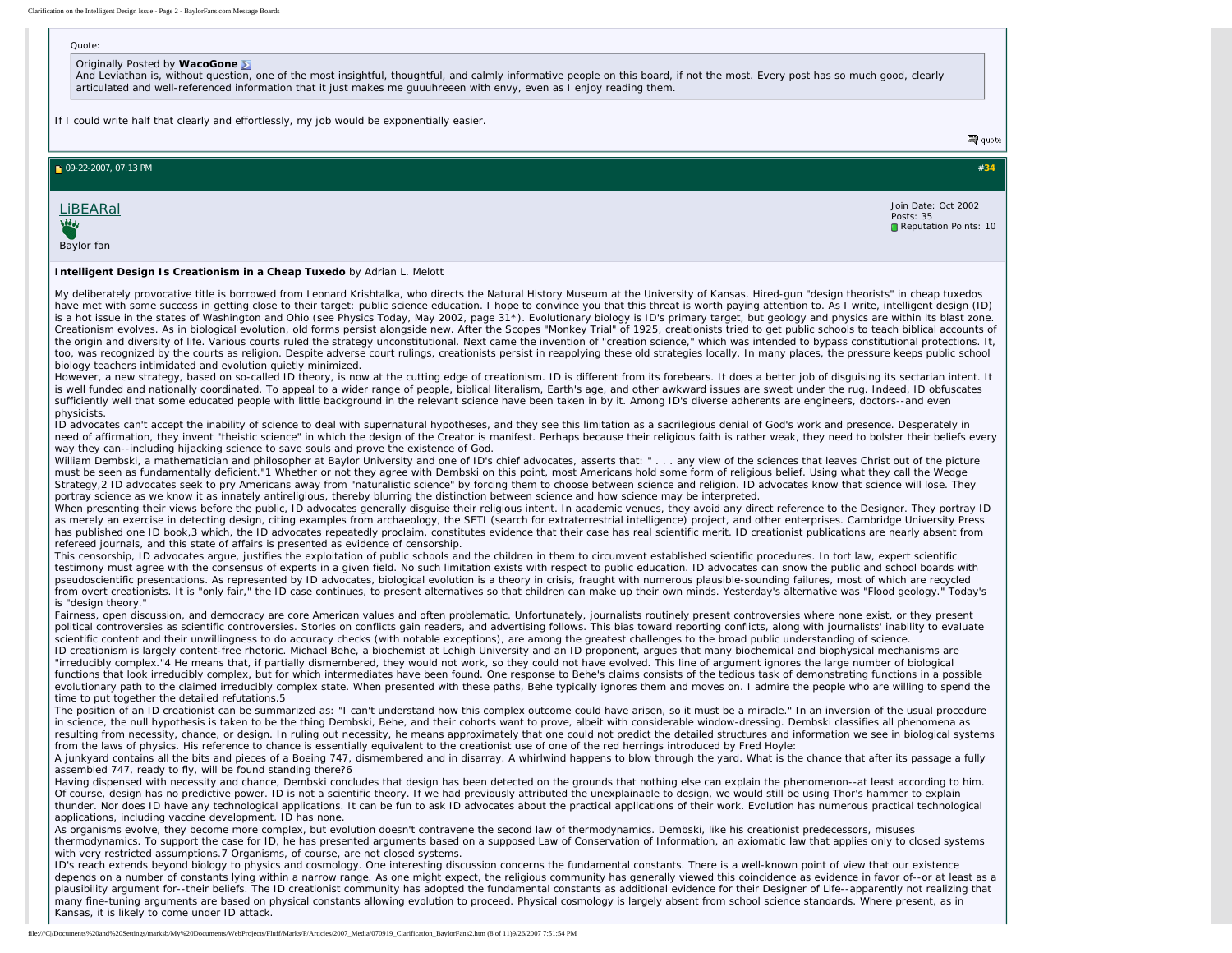#### Quote:

## Originally Posted by **WacoGone**

And Leviathan is, without question, one of the most insightful, thoughtful, and calmly informative people on this board, if not the most. Every post has so much good, clearly<br>articulated and well-referenced information tha

If I could write half that clearly and effortlessly, my job would be exponentially easier.

car

|                                                                                                                                                                                                                                                                                                                                                                                                                                                                                                                                                                                                                                                                                                                                                                                                                                                                                                                                                                                                                                                                                                                                                                                                                                                                                                                                                                                                                                                                                                                                                                                                                                                                                                                                                                                                                                                                                                                                                                                                                                                                                                                                                                                                                                                                                                                                                                                                                                                                                                                                                                                                                                                                                                                                                                                                                                                                                                                                                                                                                                                                                                                                                                                                                                                                                                                                                                                                                                                                                                                                                                                                                                                                                                    | ≔a∿dnoα               |
|----------------------------------------------------------------------------------------------------------------------------------------------------------------------------------------------------------------------------------------------------------------------------------------------------------------------------------------------------------------------------------------------------------------------------------------------------------------------------------------------------------------------------------------------------------------------------------------------------------------------------------------------------------------------------------------------------------------------------------------------------------------------------------------------------------------------------------------------------------------------------------------------------------------------------------------------------------------------------------------------------------------------------------------------------------------------------------------------------------------------------------------------------------------------------------------------------------------------------------------------------------------------------------------------------------------------------------------------------------------------------------------------------------------------------------------------------------------------------------------------------------------------------------------------------------------------------------------------------------------------------------------------------------------------------------------------------------------------------------------------------------------------------------------------------------------------------------------------------------------------------------------------------------------------------------------------------------------------------------------------------------------------------------------------------------------------------------------------------------------------------------------------------------------------------------------------------------------------------------------------------------------------------------------------------------------------------------------------------------------------------------------------------------------------------------------------------------------------------------------------------------------------------------------------------------------------------------------------------------------------------------------------------------------------------------------------------------------------------------------------------------------------------------------------------------------------------------------------------------------------------------------------------------------------------------------------------------------------------------------------------------------------------------------------------------------------------------------------------------------------------------------------------------------------------------------------------------------------------------------------------------------------------------------------------------------------------------------------------------------------------------------------------------------------------------------------------------------------------------------------------------------------------------------------------------------------------------------------------------------------------------------------------------------------------------------------------|-----------------------|
| ■ 09-22-2007, 07:13 PM                                                                                                                                                                                                                                                                                                                                                                                                                                                                                                                                                                                                                                                                                                                                                                                                                                                                                                                                                                                                                                                                                                                                                                                                                                                                                                                                                                                                                                                                                                                                                                                                                                                                                                                                                                                                                                                                                                                                                                                                                                                                                                                                                                                                                                                                                                                                                                                                                                                                                                                                                                                                                                                                                                                                                                                                                                                                                                                                                                                                                                                                                                                                                                                                                                                                                                                                                                                                                                                                                                                                                                                                                                                                             | #34                   |
| Join Date: Oct 2002<br>LiBEARal<br>Posts: 35<br>Baylor fan                                                                                                                                                                                                                                                                                                                                                                                                                                                                                                                                                                                                                                                                                                                                                                                                                                                                                                                                                                                                                                                                                                                                                                                                                                                                                                                                                                                                                                                                                                                                                                                                                                                                                                                                                                                                                                                                                                                                                                                                                                                                                                                                                                                                                                                                                                                                                                                                                                                                                                                                                                                                                                                                                                                                                                                                                                                                                                                                                                                                                                                                                                                                                                                                                                                                                                                                                                                                                                                                                                                                                                                                                                         | Reputation Points: 10 |
| Intelligent Design Is Creationism in a Cheap Tuxedo by Adrian L. Melott                                                                                                                                                                                                                                                                                                                                                                                                                                                                                                                                                                                                                                                                                                                                                                                                                                                                                                                                                                                                                                                                                                                                                                                                                                                                                                                                                                                                                                                                                                                                                                                                                                                                                                                                                                                                                                                                                                                                                                                                                                                                                                                                                                                                                                                                                                                                                                                                                                                                                                                                                                                                                                                                                                                                                                                                                                                                                                                                                                                                                                                                                                                                                                                                                                                                                                                                                                                                                                                                                                                                                                                                                            |                       |
| My deliberately provocative title is borrowed from Leonard Krishtalka, who directs the Natural History Museum at the University of Kansas. Hired-gun "design theorists" in cheap tuxedos<br>have met with some success in getting close to their target: public science education. I hope to convince you that this threat is worth paying attention to. As I write, intelligent design (ID)<br>is a hot issue in the states of Washington and Ohio (see Physics Today, May 2002, page 31*). Evolutionary biology is ID's primary target, but geology and physics are within its blast zone.<br>Creationism evolves. As in biological evolution, old forms persist alongside new. After the Scopes "Monkey Trial" of 1925, creationists tried to get public schools to teach biblical accounts of<br>the origin and diversity of life. Various courts ruled the strategy unconstitutional. Next came the invention of "creation science," which was intended to bypass constitutional protections. It,<br>too, was recognized by the courts as religion. Despite adverse court rulings, creationists persist in reapplying these old strategies locally. In many places, the pressure keeps public school<br>biology teachers intimidated and evolution quietly minimized.                                                                                                                                                                                                                                                                                                                                                                                                                                                                                                                                                                                                                                                                                                                                                                                                                                                                                                                                                                                                                                                                                                                                                                                                                                                                                                                                                                                                                                                                                                                                                                                                                                                                                                                                                                                                                                                                                                                                                                                                                                                                                                                                                                                                                                                                                                                                                                                                                         |                       |
| However, a new strategy, based on so-called ID theory, is now at the cutting edge of creationism. ID is different from its forebears. It does a better job of disguising its sectarian intent. It<br>is well funded and nationally coordinated. To appeal to a wider range of people, biblical literalism, Earth's age, and other awkward issues are swept under the rug. Indeed, ID obfuscates<br>sufficiently well that some educated people with little background in the relevant science have been taken in by it. Among ID's diverse adherents are engineers, doctors--and even                                                                                                                                                                                                                                                                                                                                                                                                                                                                                                                                                                                                                                                                                                                                                                                                                                                                                                                                                                                                                                                                                                                                                                                                                                                                                                                                                                                                                                                                                                                                                                                                                                                                                                                                                                                                                                                                                                                                                                                                                                                                                                                                                                                                                                                                                                                                                                                                                                                                                                                                                                                                                                                                                                                                                                                                                                                                                                                                                                                                                                                                                                              |                       |
| physicists.<br>ID advocates can't accept the inability of science to deal with supernatural hypotheses, and they see this limitation as a sacrilegious denial of God's work and presence. Desperately in<br>need of affirmation, they invent "theistic science" in which the design of the Creator is manifest. Perhaps because their religious faith is rather weak, they need to bolster their beliefs every<br>way they can--including hijacking science to save souls and prove the existence of God.<br>William Dembski, a mathematician and philosopher at Baylor University and one of ID's chief advocates, asserts that: " any view of the sciences that leaves Christ out of the picture<br>must be seen as fundamentally deficient."1 Whether or not they agree with Dembski on this point, most Americans hold some form of religious belief. Using what they call the Wedge<br>Strategy, 2 ID advocates seek to pry Americans away from "naturalistic science" by forcing them to choose between science and religion. ID advocates know that science will lose. They<br>portray science as we know it as innately antireligious, thereby blurring the distinction between science and how science may be interpreted.<br>When presenting their views before the public, ID advocates generally disguise their religious intent. In academic venues, they avoid any direct reference to the Designer. They portray ID<br>as merely an exercise in detecting design, citing examples from archaeology, the SETI (search for extraterrestrial intelligence) project, and other enterprises. Cambridge University Press<br>has published one ID book,3 which, the ID advocates repeatedly proclaim, constitutes evidence that their case has real scientific merit. ID creationist publications are nearly absent from<br>refereed journals, and this state of affairs is presented as evidence of censorship.<br>This censorship, ID advocates argue, justifies the exploitation of public schools and the children in them to circumvent established scientific procedures. In tort law, expert scientific<br>testimony must agree with the consensus of experts in a given field. No such limitation exists with respect to public education. ID advocates can snow the public and school boards with<br>pseudoscientific presentations. As represented by ID advocates, biological evolution is a theory in crisis, fraught with numerous plausible-sounding failures, most of which are recycled<br>from overt creationists. It is "only fair," the ID case continues, to present alternatives so that children can make up their own minds. Yesterday's alternative was "Flood geology." Today's<br>is "design theory."<br>Fairness, open discussion, and democracy are core American values and often problematic. Unfortunately, journalists routinely present controversies where none exist, or they present<br>political controversies as scientific controversies. Stories on conflicts gain readers, and advertising follows. This bias toward reporting conflicts, along with journalists' inability to evaluate<br>scientific content and their unwillingness to do accuracy checks (with notable exceptions), are among the greatest challenges to the broad public understanding of science.<br>ID creationism is largely content-free rhetoric. Michael Behe, a biochemist at Lehigh University and an ID proponent, argues that many biochemical and biophysical mechanisms are<br>"irreducibly complex."4 He means that, if partially dismembered, they would not work, so they could not have evolved. This line of argument ignores the large number of biological |                       |
| functions that look irreducibly complex, but for which intermediates have been found. One response to Behe's claims consists of the tedious task of demonstrating functions in a possible<br>evolutionary path to the claimed irreducibly complex state. When presented with these paths, Behe typically ignores them and moves on. I admire the people who are willing to spend the<br>time to put together the detailed refutations.5<br>The position of an ID creationist can be summarized as: "I can't understand how this complex outcome could have arisen, so it must be a miracle." In an inversion of the usual procedure                                                                                                                                                                                                                                                                                                                                                                                                                                                                                                                                                                                                                                                                                                                                                                                                                                                                                                                                                                                                                                                                                                                                                                                                                                                                                                                                                                                                                                                                                                                                                                                                                                                                                                                                                                                                                                                                                                                                                                                                                                                                                                                                                                                                                                                                                                                                                                                                                                                                                                                                                                                                                                                                                                                                                                                                                                                                                                                                                                                                                                                                |                       |
| in science, the null hypothesis is taken to be the thing Dembski, Behe, and their cohorts want to prove, albeit with considerable window-dressing. Dembski classifies all phenomena as<br>resulting from necessity, chance, or design. In ruling out necessity, he means approximately that one could not predict the detailed structures and information we see in biological systems<br>from the laws of physics. His reference to chance is essentially equivalent to the creationist use of one of the red herrings introduced by Fred Hoyle:<br>A junkyard contains all the bits and pieces of a Boeing 747, dismembered and in disarray. A whirlwind happens to blow through the yard. What is the chance that after its passage a fully                                                                                                                                                                                                                                                                                                                                                                                                                                                                                                                                                                                                                                                                                                                                                                                                                                                                                                                                                                                                                                                                                                                                                                                                                                                                                                                                                                                                                                                                                                                                                                                                                                                                                                                                                                                                                                                                                                                                                                                                                                                                                                                                                                                                                                                                                                                                                                                                                                                                                                                                                                                                                                                                                                                                                                                                                                                                                                                                                     |                       |
| assembled 747, ready to fly, will be found standing there?6<br>Having dispensed with necessity and chance, Dembski concludes that design has been detected on the grounds that nothing else can explain the phenomenon--at least according to him.<br>Of course, design has no predictive power. ID is not a scientific theory. If we had previously attributed the unexplainable to design, we would still be using Thor's hammer to explain<br>thunder. Nor does ID have any technological applications. It can be fun to ask ID advocates about the practical applications of their work. Evolution has numerous practical technological<br>applications, including vaccine development. ID has none.                                                                                                                                                                                                                                                                                                                                                                                                                                                                                                                                                                                                                                                                                                                                                                                                                                                                                                                                                                                                                                                                                                                                                                                                                                                                                                                                                                                                                                                                                                                                                                                                                                                                                                                                                                                                                                                                                                                                                                                                                                                                                                                                                                                                                                                                                                                                                                                                                                                                                                                                                                                                                                                                                                                                                                                                                                                                                                                                                                                           |                       |
| As organisms evolve, they become more complex, but evolution doesn't contravene the second law of thermodynamics. Dembski, like his creationist predecessors, misuses<br>thermodynamics. To support the case for ID, he has presented arguments based on a supposed Law of Conservation of Information, an axiomatic law that applies only to closed systems<br>with very restricted assumptions.7 Organisms, of course, are not closed systems.<br>ID's reach extends beyond biology to physics and cosmology. One interesting discussion concerns the fundamental constants. There is a well-known point of view that our existence<br>depends on a number of constants lying within a narrow range. As one might expect, the religious community has generally viewed this coincidence as evidence in favor of--or at least as a<br>plausibility argument for--their beliefs. The ID creationist community has adopted the fundamental constants as additional evidence for their Designer of Life--apparently not realizing that<br>many fine-tuning arguments are based on physical constants allowing evolution to proceed. Physical cosmology is largely absent from school science standards. Where present, as in                                                                                                                                                                                                                                                                                                                                                                                                                                                                                                                                                                                                                                                                                                                                                                                                                                                                                                                                                                                                                                                                                                                                                                                                                                                                                                                                                                                                                                                                                                                                                                                                                                                                                                                                                                                                                                                                                                                                                                                                                                                                                                                                                                                                                                                                                                                                                                                                                                                                         |                       |

Kansas, it is likely to come under ID attack.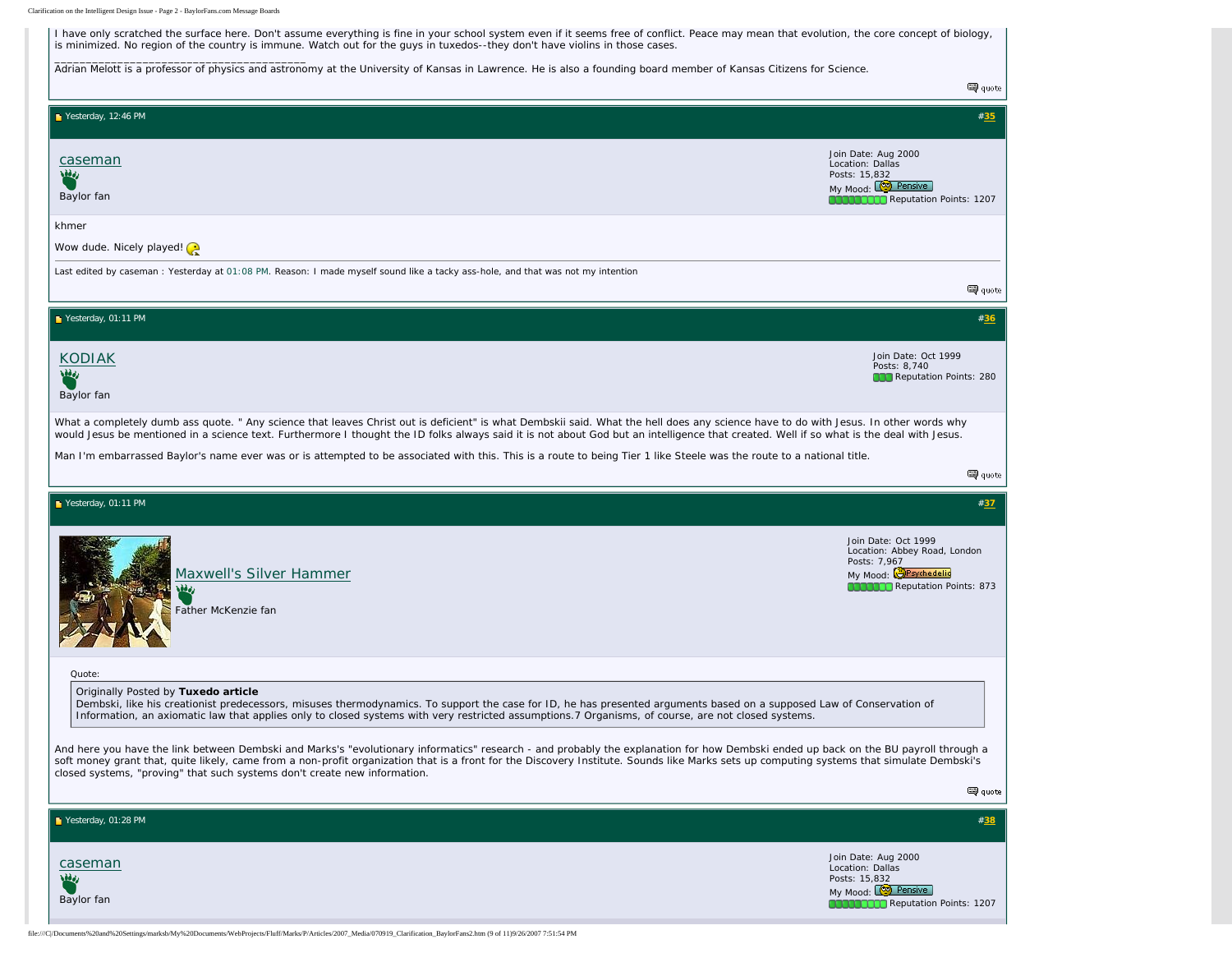| I have only scratched the surface here. Don't assume everything is fine in your school system even if it seems free of conflict. Peace may mean that evolution, the core concept of biology,<br>is minimized. No region of the country is immune. Watch out for the guys in tuxedos--they don't have violins in those cases.                                                                                                                                  |                                                                                                                              |
|---------------------------------------------------------------------------------------------------------------------------------------------------------------------------------------------------------------------------------------------------------------------------------------------------------------------------------------------------------------------------------------------------------------------------------------------------------------|------------------------------------------------------------------------------------------------------------------------------|
| Adrian Melott is a professor of physics and astronomy at the University of Kansas in Lawrence. He is also a founding board member of Kansas Citizens for Science.                                                                                                                                                                                                                                                                                             |                                                                                                                              |
| Yesterday, 12:46 PM                                                                                                                                                                                                                                                                                                                                                                                                                                           | 国 quote                                                                                                                      |
|                                                                                                                                                                                                                                                                                                                                                                                                                                                               | #35                                                                                                                          |
| caseman<br>Mar 19<br>Baylor fan                                                                                                                                                                                                                                                                                                                                                                                                                               | Join Date: Aug 2000<br>Location: Dallas<br>Posts: 15,832<br>My Mood: (C) Pensive<br><b>COOCOOO</b> Reputation Points: 1207   |
| khmer                                                                                                                                                                                                                                                                                                                                                                                                                                                         |                                                                                                                              |
| Wow dude. Nicely played!                                                                                                                                                                                                                                                                                                                                                                                                                                      |                                                                                                                              |
| Last edited by caseman: Yesterday at 01:08 PM. Reason: I made myself sound like a tacky ass-hole, and that was not my intention                                                                                                                                                                                                                                                                                                                               | 国 quote                                                                                                                      |
| Yesterday, 01:11 PM                                                                                                                                                                                                                                                                                                                                                                                                                                           | #36                                                                                                                          |
| <b>KODIAK</b><br>رىققا<br>Baylor fan                                                                                                                                                                                                                                                                                                                                                                                                                          | Join Date: Oct 1999<br>Posts: 8,740<br><b>CCC</b> Reputation Points: 280                                                     |
| What a completely dumb ass quote. " Any science that leaves Christ out is deficient" is what Dembskii said. What the hell does any science have to do with Jesus. In other words why<br>would Jesus be mentioned in a science text. Furthermore I thought the ID folks always said it is not about God but an intelligence that created. Well if so what is the deal with Jesus.                                                                              |                                                                                                                              |
| Man I'm embarrassed Baylor's name ever was or is attempted to be associated with this. This is a route to being Tier 1 like Steele was the route to a national title.                                                                                                                                                                                                                                                                                         |                                                                                                                              |
|                                                                                                                                                                                                                                                                                                                                                                                                                                                               | 国 quote                                                                                                                      |
| Yesterday, 01:11 PM                                                                                                                                                                                                                                                                                                                                                                                                                                           | #37                                                                                                                          |
| Maxwell's Silver Hammer<br>رفقة<br>Father McKenzie fan                                                                                                                                                                                                                                                                                                                                                                                                        | Join Date: Oct 1999<br>Location: Abbey Road, London<br>Posts: 7,967<br>My Mood: Psychedelic<br><b>Reputation Points: 873</b> |
| Quote:<br>Originally Posted by Tuxedo article<br>Dembski, like his creationist predecessors, misuses thermodynamics. To support the case for ID, he has presented arguments based on a supposed Law of Conservation of<br>Information, an axiomatic law that applies only to closed systems with very restricted assumptions. 7 Organisms, of course, are not closed systems.                                                                                 |                                                                                                                              |
| And here you have the link between Dembski and Marks's "evolutionary informatics" research - and probably the explanation for how Dembski ended up back on the BU payroll through a<br>soft money grant that, quite likely, came from a non-profit organization that is a front for the Discovery Institute. Sounds like Marks sets up computing systems that simulate Dembski's<br>closed systems, "proving" that such systems don't create new information. | 国 quote                                                                                                                      |
| Yesterday, 01:28 PM                                                                                                                                                                                                                                                                                                                                                                                                                                           | #38                                                                                                                          |
| caseman<br>رتفايا<br>Baylor fan                                                                                                                                                                                                                                                                                                                                                                                                                               | Join Date: Aug 2000<br>Location: Dallas<br>Posts: 15,832<br>My Mood: (C) Pensive<br><b>COOCOOO</b> Reputation Points: 1207   |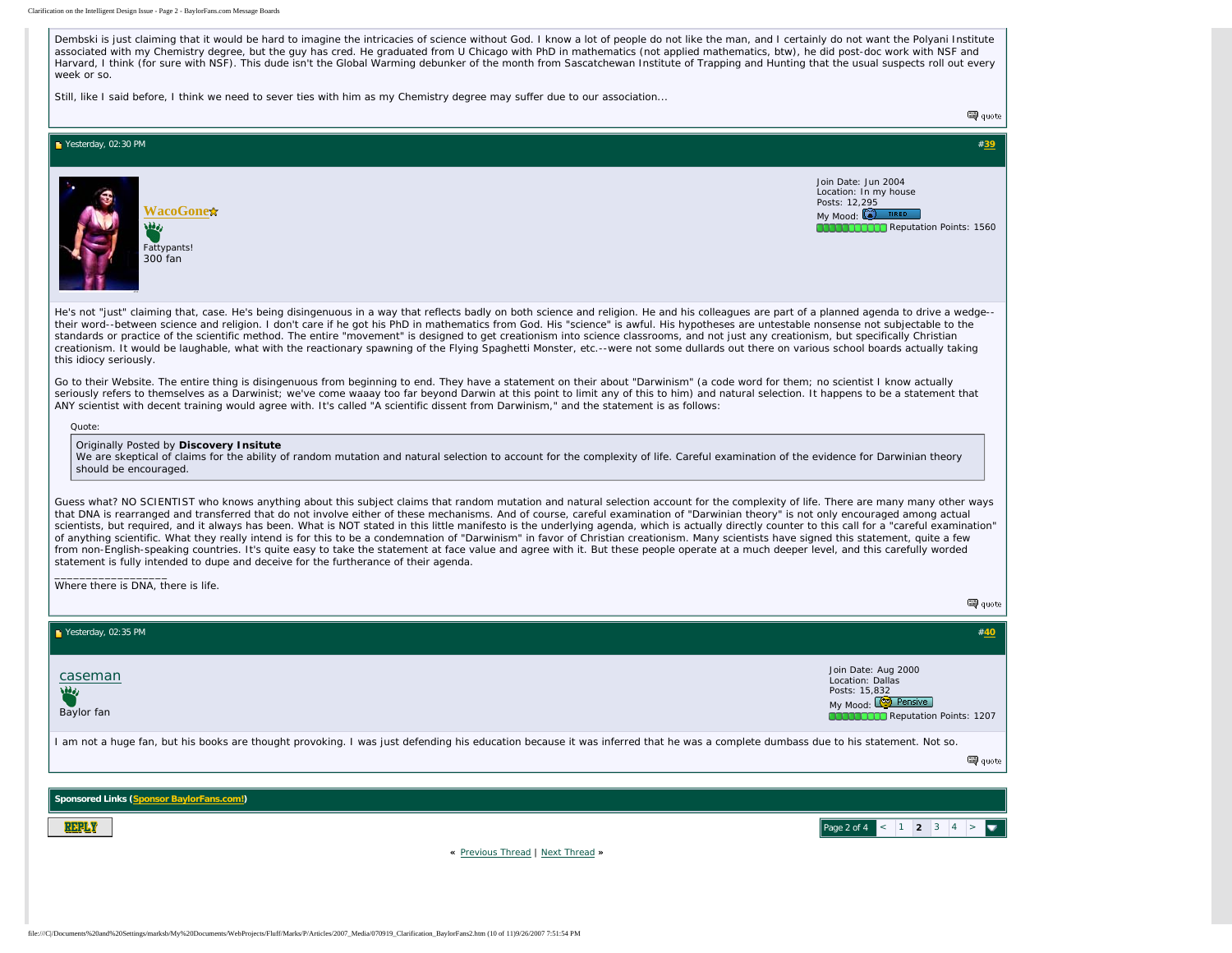Dembski is just claiming that it would be hard to imagine the intricacies of science without God. I know a lot of people do not like the man, and I certainly do not want the Polyani Institute<br>associated with my Chemistry d week or so.

Still, like I said before, I think we need to sever ties with him as my Chemistry degree may suffer due to our association...

| Yesterday, 02:30 PM<br>#39                                                                                                                                                                                                                                                                                                                                                                                                                                                                                                                                                                                                                                                                                                                                                                                                                                                                                                                                                                                                                                        |
|-------------------------------------------------------------------------------------------------------------------------------------------------------------------------------------------------------------------------------------------------------------------------------------------------------------------------------------------------------------------------------------------------------------------------------------------------------------------------------------------------------------------------------------------------------------------------------------------------------------------------------------------------------------------------------------------------------------------------------------------------------------------------------------------------------------------------------------------------------------------------------------------------------------------------------------------------------------------------------------------------------------------------------------------------------------------|
| Join Date: Jun 2004<br>Location: In my house<br>Posts: 12,295<br>WacoGone☆<br>My Mood: (4)<br>TIRED<br>رىققا<br><b>COLORATION</b> Reputation Points: 1560<br>Fattypants!<br>300 fan                                                                                                                                                                                                                                                                                                                                                                                                                                                                                                                                                                                                                                                                                                                                                                                                                                                                               |
| He's not "just" claiming that, case. He's being disingenuous in a way that reflects badly on both science and religion. He and his colleagues are part of a planned agenda to drive a wedge--<br>their word--between science and religion. I don't care if he got his PhD in mathematics from God. His "science" is awful. His hypotheses are untestable nonsense not subjectable to the<br>standards or practice of the scientific method. The entire "movement" is designed to get creationism into science classrooms, and not just any creationism, but specifically Christian<br>creationism. It would be laughable, what with the reactionary spawning of the Flying Spaghetti Monster, etc.--were not some dullards out there on various school boards actually taking<br>this idiocy seriously.                                                                                                                                                                                                                                                           |
| Go to their Website. The entire thing is disingenuous from beginning to end. They have a statement on their about "Darwinism" (a code word for them; no scientist I know actually<br>seriously refers to themselves as a Darwinist; we've come waaay too far beyond Darwin at this point to limit any of this to him) and natural selection. It happens to be a statement that<br>ANY scientist with decent training would agree with. It's called "A scientific dissent from Darwinism," and the statement is as follows:                                                                                                                                                                                                                                                                                                                                                                                                                                                                                                                                        |
| Quote:<br>Originally Posted by Discovery Insitute<br>We are skeptical of claims for the ability of random mutation and natural selection to account for the complexity of life. Careful examination of the evidence for Darwinian theory<br>should be encouraged.                                                                                                                                                                                                                                                                                                                                                                                                                                                                                                                                                                                                                                                                                                                                                                                                 |
| Guess what? NO SCIENTIST who knows anything about this subject claims that random mutation and natural selection account for the complexity of life. There are many many other ways<br>that DNA is rearranged and transferred that do not involve either of these mechanisms. And of course, careful examination of "Darwinian theory" is not only encouraged among actual<br>scientists, but required, and it always has been. What is NOT stated in this little manifesto is the underlying agenda, which is actually directly counter to this call for a "careful examination"<br>of anything scientific. What they really intend is for this to be a condemnation of "Darwinism" in favor of Christian creationism. Many scientists have signed this statement, quite a few<br>from non-English-speaking countries. It's quite easy to take the statement at face value and agree with it. But these people operate at a much deeper level, and this carefully worded<br>statement is fully intended to dupe and deceive for the furtherance of their agenda. |
| Where there is DNA, there is life.<br>国 quote                                                                                                                                                                                                                                                                                                                                                                                                                                                                                                                                                                                                                                                                                                                                                                                                                                                                                                                                                                                                                     |
| Yesterday, 02:35 PM<br>#40                                                                                                                                                                                                                                                                                                                                                                                                                                                                                                                                                                                                                                                                                                                                                                                                                                                                                                                                                                                                                                        |
| Join Date: Aug 2000<br>caseman<br>Location: Dallas<br>Posts: 15,832<br>My Mood: (C) Pensive<br>Baylor fan<br>Reputation Points: 1207                                                                                                                                                                                                                                                                                                                                                                                                                                                                                                                                                                                                                                                                                                                                                                                                                                                                                                                              |
| I am not a huge fan, but his books are thought provoking. I was just defending his education because it was inferred that he was a complete dumbass due to his statement. Not so.<br>国 quote                                                                                                                                                                                                                                                                                                                                                                                                                                                                                                                                                                                                                                                                                                                                                                                                                                                                      |
|                                                                                                                                                                                                                                                                                                                                                                                                                                                                                                                                                                                                                                                                                                                                                                                                                                                                                                                                                                                                                                                                   |
| Sponsored Links (Sponsor BaylorFans.com!)                                                                                                                                                                                                                                                                                                                                                                                                                                                                                                                                                                                                                                                                                                                                                                                                                                                                                                                                                                                                                         |
| $<$ 1 2 3 4 ><br>REFLY<br>Page 2 of 4                                                                                                                                                                                                                                                                                                                                                                                                                                                                                                                                                                                                                                                                                                                                                                                                                                                                                                                                                                                                                             |
| « Previous Thread   Next Thread »                                                                                                                                                                                                                                                                                                                                                                                                                                                                                                                                                                                                                                                                                                                                                                                                                                                                                                                                                                                                                                 |
|                                                                                                                                                                                                                                                                                                                                                                                                                                                                                                                                                                                                                                                                                                                                                                                                                                                                                                                                                                                                                                                                   |
|                                                                                                                                                                                                                                                                                                                                                                                                                                                                                                                                                                                                                                                                                                                                                                                                                                                                                                                                                                                                                                                                   |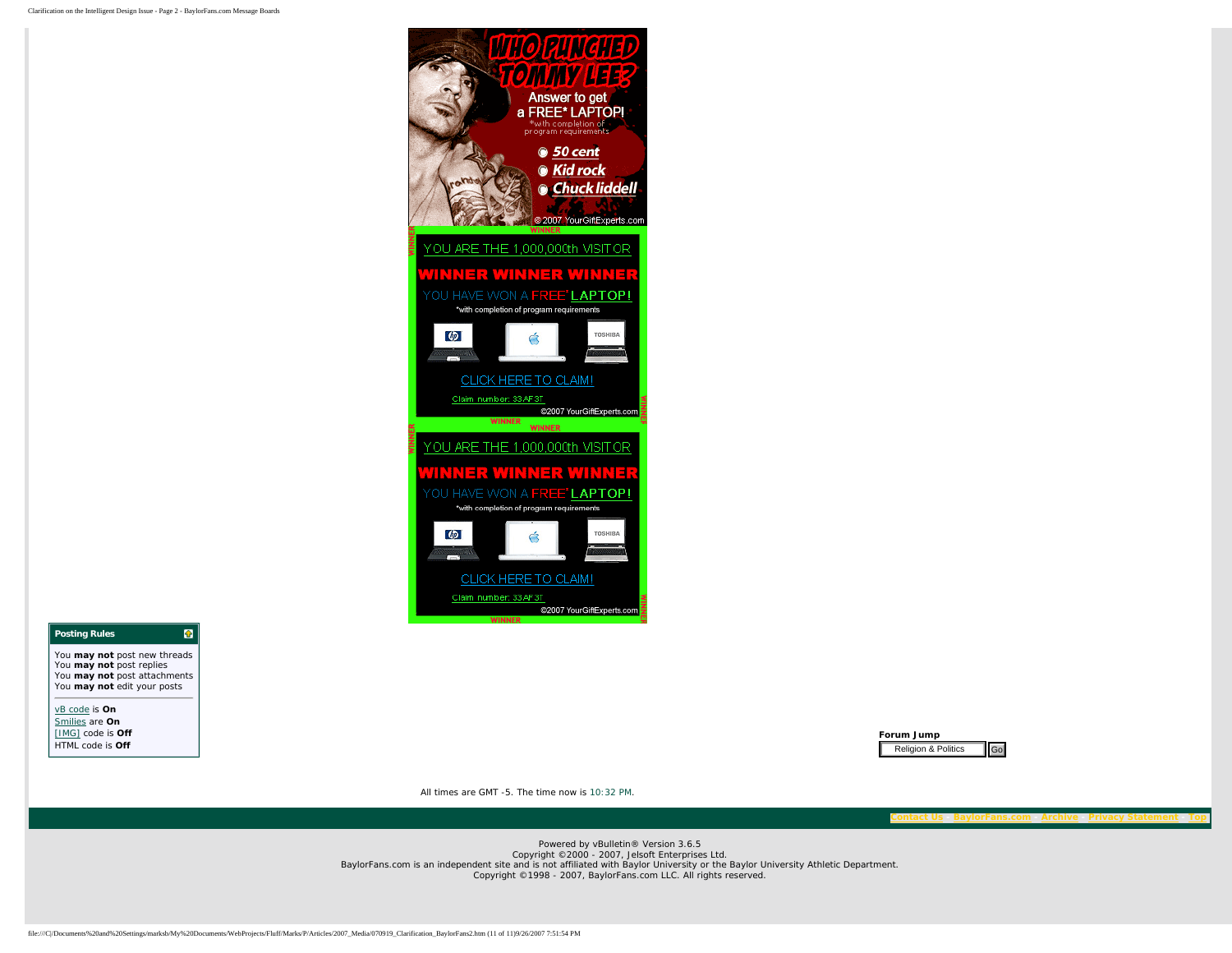

**Posting Rules** 

You **may not** post new threads You **may not** post replies You **may not** post attachments You **may not** edit your posts

 $\bullet$ 

[vB code](http://baylorfans.com/forums/misc.php?do=bbcode) is **On** [Smilies](http://baylorfans.com/forums/misc.php?do=showsmilies) are **On** [\[IMG\]](http://baylorfans.com/forums/misc.php?do=bbcode#imgcode) code is **Off** HTML code is **Off**

**Forum Jump** Religion & Politics Go

All times are GMT -5. The time now is 10:32 PM.

Powered by vBulletin® Version 3.6.5 Copyright ©2000 - 2007, Jelsoft Enterprises Ltd.<br>BaylorFans.com is an independent site and is not affiliated with Baylor University or the Baylor University Athletic Department. Copyright ©1998 - 2007, BaylorFans.com LLC. All rights reserved.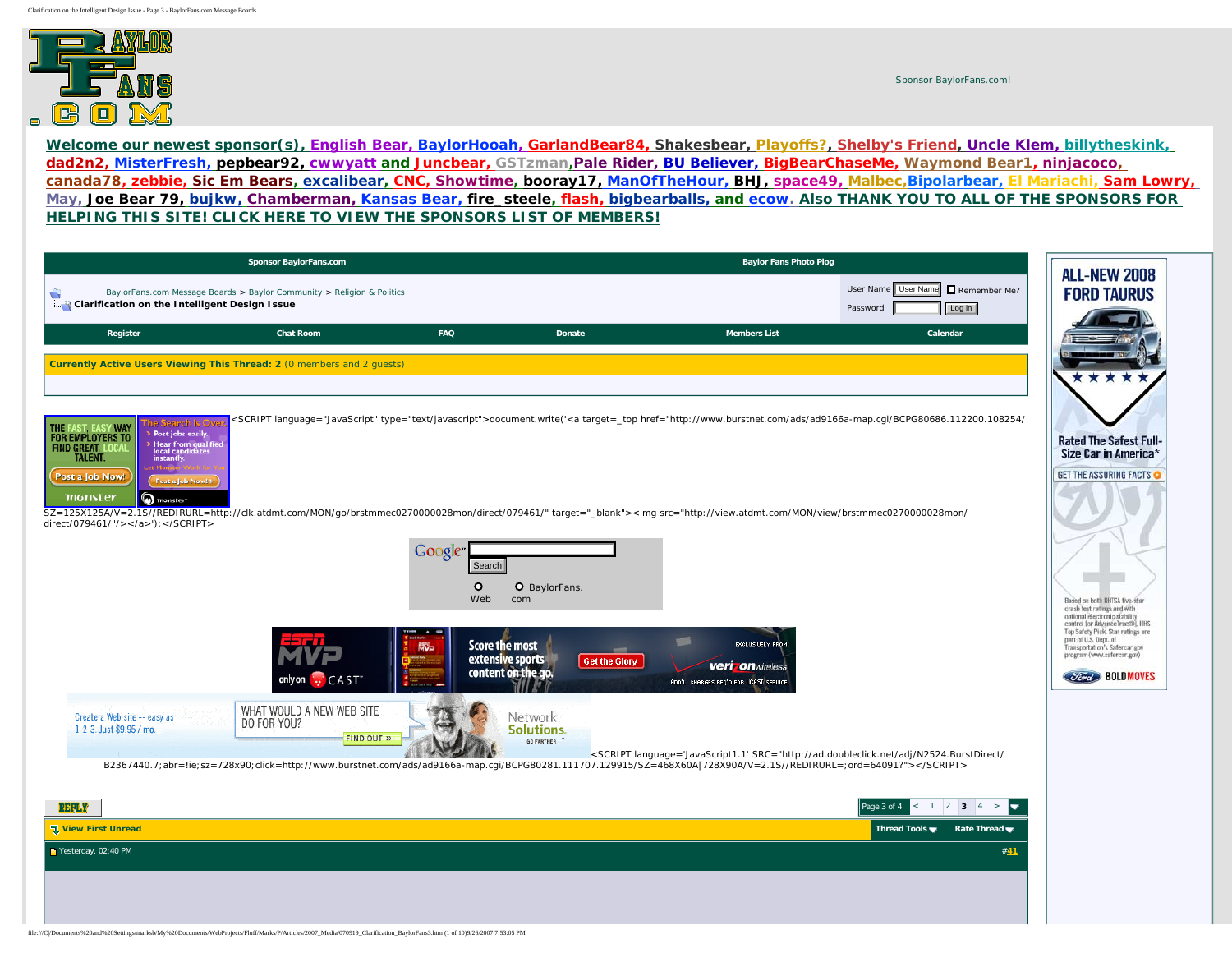<span id="page-16-1"></span>

[Sponsor BaylorFans.com!](http://baylorfans.com/sponsor.php)

**[Welcome our newest sponsor\(s\), English Bear, BaylorHooah, GarlandBear84, Shakesbear, Playoffs?, Shelby's Friend, Uncle Klem, billytheskink,](http://www.baylorfans.com/forums/showgroups.php) dad2n2, MisterFresh, [pepbear92, cwwyatt and Juncbear, GSTzman,Pale Rider,](http://www.baylorfans.com/forums/showgroups.php) BU Believer, BigBearChaseMe, Waymond Bear1, ninjacoco, canada78, zebbie, [Sic Em Bears, excalibear, CNC, Showtime, booray17, ManOfTheHour,](http://www.baylorfans.com/forums/showgroups.php) BHJ, space49, Malbec,Bipolarbear, El Mariachi, Sam Lowry, May, Joe Bear 79, bujkw, Chamberman, Kansas Bear, fire\_steele, flash, [bigbearballs, and ecow. Also THANK YOU TO ALL OF THE SPONSORS FOR](http://www.baylorfans.com/forums/showgroups.php) [HELPING THIS SITE! CLICK HERE TO VIEW THE SPONSORS LIST OF MEMBERS!](http://www.baylorfans.com/forums/showgroups.php)**

<span id="page-16-0"></span>

|                                                                                                                                                                                          | <b>Sponsor BaylorFans.com</b>                                          |            |        | <b>Baylor Fans Photo Plog</b>                                                                                                                            |                                                                                                                                                                                                                                                                                                                                                   | <b>ALL-NEW 2008</b> |                               |  |                                                                                                                                                                                                                                                                                                                                                                                                                                                                                                                                                                                                                                                                                                                                                                                                                                                                                                                                                                                                                                                                                                                                                                                                                                                                                                                                                                                                                                                                                                                                                                                                                                                                                                                                                                                                                                            |  |  |
|------------------------------------------------------------------------------------------------------------------------------------------------------------------------------------------|------------------------------------------------------------------------|------------|--------|----------------------------------------------------------------------------------------------------------------------------------------------------------|---------------------------------------------------------------------------------------------------------------------------------------------------------------------------------------------------------------------------------------------------------------------------------------------------------------------------------------------------|---------------------|-------------------------------|--|--------------------------------------------------------------------------------------------------------------------------------------------------------------------------------------------------------------------------------------------------------------------------------------------------------------------------------------------------------------------------------------------------------------------------------------------------------------------------------------------------------------------------------------------------------------------------------------------------------------------------------------------------------------------------------------------------------------------------------------------------------------------------------------------------------------------------------------------------------------------------------------------------------------------------------------------------------------------------------------------------------------------------------------------------------------------------------------------------------------------------------------------------------------------------------------------------------------------------------------------------------------------------------------------------------------------------------------------------------------------------------------------------------------------------------------------------------------------------------------------------------------------------------------------------------------------------------------------------------------------------------------------------------------------------------------------------------------------------------------------------------------------------------------------------------------------------------------------|--|--|
| Clarification on the Intelligent Design Issue                                                                                                                                            | BaylorFans.com Message Boards > Baylor Community > Religion & Politics |            |        |                                                                                                                                                          | $\Box$ Remember Me?<br>User Name<br>User Name<br>Log in<br>Password                                                                                                                                                                                                                                                                               | <b>FORD TAURUS</b>  |                               |  |                                                                                                                                                                                                                                                                                                                                                                                                                                                                                                                                                                                                                                                                                                                                                                                                                                                                                                                                                                                                                                                                                                                                                                                                                                                                                                                                                                                                                                                                                                                                                                                                                                                                                                                                                                                                                                            |  |  |
| Register                                                                                                                                                                                 | <b>Chat Room</b>                                                       | <b>FAQ</b> | Donate | <b>Members List</b>                                                                                                                                      | Calendar                                                                                                                                                                                                                                                                                                                                          |                     |                               |  |                                                                                                                                                                                                                                                                                                                                                                                                                                                                                                                                                                                                                                                                                                                                                                                                                                                                                                                                                                                                                                                                                                                                                                                                                                                                                                                                                                                                                                                                                                                                                                                                                                                                                                                                                                                                                                            |  |  |
|                                                                                                                                                                                          | Currently Active Users Viewing This Thread: 2 (0 members and 2 guests) |            |        |                                                                                                                                                          |                                                                                                                                                                                                                                                                                                                                                   |                     |                               |  |                                                                                                                                                                                                                                                                                                                                                                                                                                                                                                                                                                                                                                                                                                                                                                                                                                                                                                                                                                                                                                                                                                                                                                                                                                                                                                                                                                                                                                                                                                                                                                                                                                                                                                                                                                                                                                            |  |  |
|                                                                                                                                                                                          |                                                                        |            |        |                                                                                                                                                          |                                                                                                                                                                                                                                                                                                                                                   | * * * *             |                               |  |                                                                                                                                                                                                                                                                                                                                                                                                                                                                                                                                                                                                                                                                                                                                                                                                                                                                                                                                                                                                                                                                                                                                                                                                                                                                                                                                                                                                                                                                                                                                                                                                                                                                                                                                                                                                                                            |  |  |
| earch is Ov<br><b>ASY WAY</b><br>Post jobs easily.<br>FOR EMPLOYERS TO<br>Hear from qualifie<br>local candidates<br>FIND GREAT, LO<br>instantly.<br>Post a Job Now!<br>Post a Job Now! I |                                                                        |            |        |                                                                                                                                                          | <script language="JavaScript" type="text/javascript">document.write('<a target=_top href="http://www.burstnet.com/ads/ad9166a-map.cgi/BCPG80686.112200.108254/</td><td><b>Rated The Safest Full-</b><br>Size Car in America*<br><b>GET THE ASSURING FACTS O</b></td></tr><tr><td>monster<br><b>O</b> monster<br>direct/079461/"/></a>');</script> |                     | Google <sup>-</sup><br>Search |  | SZ=125X125A/V=2.1S//REDIRURL=http://clk.atdmt.com/MON/qo/brstmmec0270000028mon/direct/079461/" target="_blank"> <img <="" ad.doubleclick.net="" adj="" http:="" n2524.burstdirect="" src="http://view.atdmt.com/MON/view/brstmmec0270000028mon/&lt;/td&gt;&lt;td&gt;&lt;/td&gt;&lt;td&gt;&lt;/td&gt;&lt;/tr&gt;&lt;tr&gt;&lt;td&gt;&lt;/td&gt;&lt;td&gt;&lt;/td&gt;&lt;td&gt;&lt;math&gt;\circ&lt;/math&gt;&lt;br&gt;Web&lt;/td&gt;&lt;td&gt;O BaylorFans.&lt;br&gt;com&lt;/td&gt;&lt;td&gt;&lt;/td&gt;&lt;td&gt;&lt;/td&gt;&lt;td&gt;Based on both NHTSA five-star&lt;br&gt;crash test ratings and with&lt;br&gt;optional electronic stability&lt;/td&gt;&lt;/tr&gt;&lt;tr&gt;&lt;td&gt;&lt;/td&gt;&lt;td&gt;&lt;math&gt;\cdot&lt;/math&gt; CAST&lt;br&gt;only on&lt;/td&gt;&lt;td&gt;&lt;b&gt;Score the most&lt;/b&gt;&lt;br&gt;WP&lt;br&gt;extensive sports&lt;br&gt;content on the go.&lt;/td&gt;&lt;td&gt;&lt;b&gt;Get the Glory&lt;/b&gt;&lt;/td&gt;&lt;td&gt;&lt;b&gt;EXCLUSIVELY FROM&lt;/b&gt;&lt;br&gt;&lt;b&gt;Veri&lt;/b&gt; &lt;b&gt;On&lt;/b&gt;wireless&lt;br&gt;ADD'L CHARGES REQ'D FOR UCAST SERVICE.&lt;/td&gt;&lt;td&gt;&lt;/td&gt;&lt;td&gt;control [or AdvanceTrac®], IIHS&lt;br&gt;Top Safety Pick. Star ratings are&lt;br&gt;part of U.S. Dept. of&lt;br&gt;Transportation's Safercar.gov&lt;br&gt;program (www.safercar.gov)&lt;br&gt;&lt;b&gt;&lt;i&gt;Stord&lt;/i&gt;&lt;/b&gt; BOLDMOVES&lt;/td&gt;&lt;/tr&gt;&lt;tr&gt;&lt;td&gt;Create a Web site -- easy as&lt;br&gt;1-2-3. Just \$9.95 / mo.&lt;/td&gt;&lt;td&gt;WHAT WOULD A NEW WEB SITE&lt;br&gt;DO FOR YOU?&lt;br&gt;&lt;b&gt;FIND OUT »&lt;/b&gt;&lt;/td&gt;&lt;td&gt;&lt;/td&gt;&lt;td&gt;Network&lt;br&gt;&lt;b&gt;Solutions&lt;/b&gt;&lt;br&gt;GO FARTHER&lt;/td&gt;&lt;td&gt;&lt;SCRIPT language='JavaScript1.1' SRC=" td=""/> <td></td> <td></td> |  |  |
|                                                                                                                                                                                          |                                                                        |            |        | B2367440.7;abr=!ie;sz=728x90;click=http://www.burstnet.com/ads/ad9166a-map.cgi/BCPG80281.111707.129915/SZ=468X60A 728X90A/V=2.1S//REDIRURL=;ord=64091?"> |                                                                                                                                                                                                                                                                                                                                                   |                     |                               |  |                                                                                                                                                                                                                                                                                                                                                                                                                                                                                                                                                                                                                                                                                                                                                                                                                                                                                                                                                                                                                                                                                                                                                                                                                                                                                                                                                                                                                                                                                                                                                                                                                                                                                                                                                                                                                                            |  |  |
| <b>REPLY</b>                                                                                                                                                                             |                                                                        |            |        |                                                                                                                                                          | $1 \quad 2 \quad 3 \quad 4$<br>$\bullet$<br>Page 3 of 4<br>$\ge$                                                                                                                                                                                                                                                                                  |                     |                               |  |                                                                                                                                                                                                                                                                                                                                                                                                                                                                                                                                                                                                                                                                                                                                                                                                                                                                                                                                                                                                                                                                                                                                                                                                                                                                                                                                                                                                                                                                                                                                                                                                                                                                                                                                                                                                                                            |  |  |
| <b>7 View First Unread</b>                                                                                                                                                               |                                                                        |            |        |                                                                                                                                                          | Thread Tools ■ Rate Thread ■                                                                                                                                                                                                                                                                                                                      |                     |                               |  |                                                                                                                                                                                                                                                                                                                                                                                                                                                                                                                                                                                                                                                                                                                                                                                                                                                                                                                                                                                                                                                                                                                                                                                                                                                                                                                                                                                                                                                                                                                                                                                                                                                                                                                                                                                                                                            |  |  |
| Yesterday, 02:40 PM                                                                                                                                                                      |                                                                        |            |        |                                                                                                                                                          | #41                                                                                                                                                                                                                                                                                                                                               |                     |                               |  |                                                                                                                                                                                                                                                                                                                                                                                                                                                                                                                                                                                                                                                                                                                                                                                                                                                                                                                                                                                                                                                                                                                                                                                                                                                                                                                                                                                                                                                                                                                                                                                                                                                                                                                                                                                                                                            |  |  |
|                                                                                                                                                                                          |                                                                        |            |        |                                                                                                                                                          |                                                                                                                                                                                                                                                                                                                                                   |                     |                               |  |                                                                                                                                                                                                                                                                                                                                                                                                                                                                                                                                                                                                                                                                                                                                                                                                                                                                                                                                                                                                                                                                                                                                                                                                                                                                                                                                                                                                                                                                                                                                                                                                                                                                                                                                                                                                                                            |  |  |
|                                                                                                                                                                                          |                                                                        |            |        |                                                                                                                                                          |                                                                                                                                                                                                                                                                                                                                                   |                     |                               |  |                                                                                                                                                                                                                                                                                                                                                                                                                                                                                                                                                                                                                                                                                                                                                                                                                                                                                                                                                                                                                                                                                                                                                                                                                                                                                                                                                                                                                                                                                                                                                                                                                                                                                                                                                                                                                                            |  |  |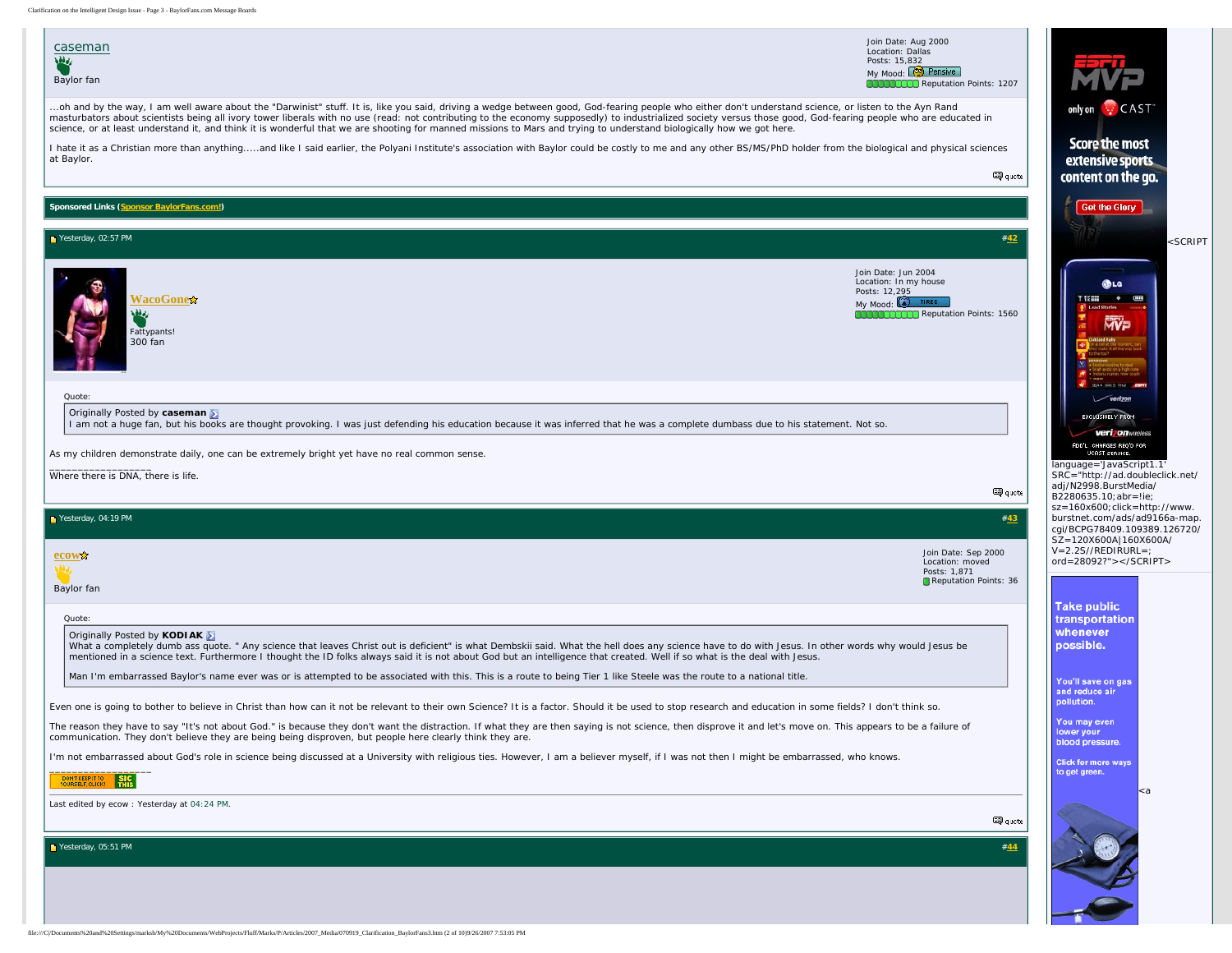```
Clarification on the Intelligent Design Issue - Page 3 - BaylorFans.com Message Boards
```

| Join Date: Aug 2000<br>caseman<br>Location: Dallas<br>鳖<br>Posts: 15,832<br>My Mood: (C) Pensive<br>Baylor fan<br><b>COLODOD</b> Reputation Points: 1207                                                                                                                                                                                                                                                                                                                                                                                                                                          |         |                                                                                                        |
|---------------------------------------------------------------------------------------------------------------------------------------------------------------------------------------------------------------------------------------------------------------------------------------------------------------------------------------------------------------------------------------------------------------------------------------------------------------------------------------------------------------------------------------------------------------------------------------------------|---------|--------------------------------------------------------------------------------------------------------|
| oh and by the way, I am well aware about the "Darwinist" stuff. It is, like you said, driving a wedge between good, God-fearing people who either don't understand science, or listen to the Ayn Rand<br>masturbators about scientists being all ivory tower liberals with no use (read: not contributing to the economy supposedly) to industrialized society versus those good, God-fearing people who are educated in<br>science, or at least understand it, and think it is wonderful that we are shooting for manned missions to Mars and trying to understand biologically how we got here. |         | only on CAST                                                                                           |
| I hate it as a Christian more than anythingand like I said earlier, the Polyani Institute's association with Baylor could be costly to me and any other BS/MS/PhD holder from the biological and physical sciences<br>at Baylor.                                                                                                                                                                                                                                                                                                                                                                  | 国 quote | Score the most<br>extensive sports<br>content on the go.                                               |
| Sponsored Links (Sponsor BaylorFans.com!)                                                                                                                                                                                                                                                                                                                                                                                                                                                                                                                                                         |         | Get the Glory                                                                                          |
| Yesterday, 02:57 PM                                                                                                                                                                                                                                                                                                                                                                                                                                                                                                                                                                               | #42     | <script< td=""></script<>                                                                              |
| Join Date: Jun 2004<br>Location: In my house<br>Posts: 12,295<br><b>WacoGone</b> ☆<br>My Mood: (a) TIRED<br>ببين<br><b>Reputation Points: 1560</b><br>Fattypants!<br>300 fan                                                                                                                                                                                                                                                                                                                                                                                                                      |         | GLG<br><b>Tixilli</b><br>$+ 0$<br><b>RVP</b><br>SEA 4 DAKS FINANCE ROOM                                |
| Quote:<br>Originally Posted by caseman<br>I am not a huge fan, but his books are thought provoking. I was just defending his education because it was inferred that he was a complete dumbass due to his statement. Not so.                                                                                                                                                                                                                                                                                                                                                                       |         | $\sqrt{vortzen}$<br><b>EXCLUSIVELY FROM</b>                                                            |
| As my children demonstrate daily, one can be extremely bright yet have no real common sense.                                                                                                                                                                                                                                                                                                                                                                                                                                                                                                      |         | <b>veri</b> onwireless<br><b>ADD'L</b> CHARGES REQ'D FOR<br>UCAST SERVICE.<br>language='JavaScript1.1' |
| Where there is DNA, there is life.                                                                                                                                                                                                                                                                                                                                                                                                                                                                                                                                                                | 国 quote | SRC="http://ad.doubleclick.net/<br>adj/N2998.BurstMedia/<br>B2280635.10; abr=!ie;                      |
| Yesterday, 04:19 PM                                                                                                                                                                                                                                                                                                                                                                                                                                                                                                                                                                               | #43     | sz=160x600;click=http://www.<br>burstnet.com/ads/ad9166a-map.<br>cgi/BCPG78409.109389.126720/          |
| Join Date: Sep 2000<br><b>ecows</b><br>Location: moved<br><b>MAG</b><br>Posts: 1,871<br>Reputation Points: 36<br>Baylor fan                                                                                                                                                                                                                                                                                                                                                                                                                                                                       |         | SZ=120X600A 160X600A/<br>$V = 2.2$ S//REDIRURL=;<br>ord=28092?">                                       |
| Quote:                                                                                                                                                                                                                                                                                                                                                                                                                                                                                                                                                                                            |         | <b>Take public</b><br>transportation                                                                   |
| Originally Posted by KODIAK<br>What a completely dumb ass quote. " Any science that leaves Christ out is deficient" is what Dembskii said. What the hell does any science have to do with Jesus. In other words why would Jesus be<br>mentioned in a science text. Furthermore I thought the ID folks always said it is not about God but an intelligence that created. Well if so what is the deal with Jesus.                                                                                                                                                                                   |         | whenever<br>possible.                                                                                  |
| Man I'm embarrassed Baylor's name ever was or is attempted to be associated with this. This is a route to being Tier 1 like Steele was the route to a national title.                                                                                                                                                                                                                                                                                                                                                                                                                             |         | You'll save on gas<br>and reduce air                                                                   |
| Even one is going to bother to believe in Christ than how can it not be relevant to their own Science? It is a factor. Should it be used to stop research and education in some fields? I don't think so.                                                                                                                                                                                                                                                                                                                                                                                         |         | pollution.                                                                                             |
| The reason they have to say "It's not about God." is because they don't want the distraction. If what they are then saying is not science, then disprove it and let's move on. This appears to be a failure of<br>communication. They don't believe they are being being disproven, but people here clearly think they are.                                                                                                                                                                                                                                                                       |         | You may even<br>ower your<br>blood pressure.                                                           |
| I'm not embarrassed about God's role in science being discussed at a University with religious ties. However, I am a believer myself, if I was not then I might be embarrassed, who knows.                                                                                                                                                                                                                                                                                                                                                                                                        |         | <b>Click for more ways</b><br>to get green.                                                            |
| DON'T KEEP IT TO<br>YOURSELF, CLICK!<br>$\frac{\text{SIC}}{\text{THIS}}$                                                                                                                                                                                                                                                                                                                                                                                                                                                                                                                          |         | ka >                                                                                                   |
| Last edited by ecow : Yesterday at 04:24 PM.                                                                                                                                                                                                                                                                                                                                                                                                                                                                                                                                                      | 国 quote |                                                                                                        |
| Yesterday, 05:51 PM                                                                                                                                                                                                                                                                                                                                                                                                                                                                                                                                                                               | #44     |                                                                                                        |
|                                                                                                                                                                                                                                                                                                                                                                                                                                                                                                                                                                                                   |         |                                                                                                        |

**Contract Contract Contract Contract Contract Contract Contract Contract Contract Contract Contract Contract Contract Contract Contract Contract Contract Contract Contract Contract Contract Contract Contract Contract Contr**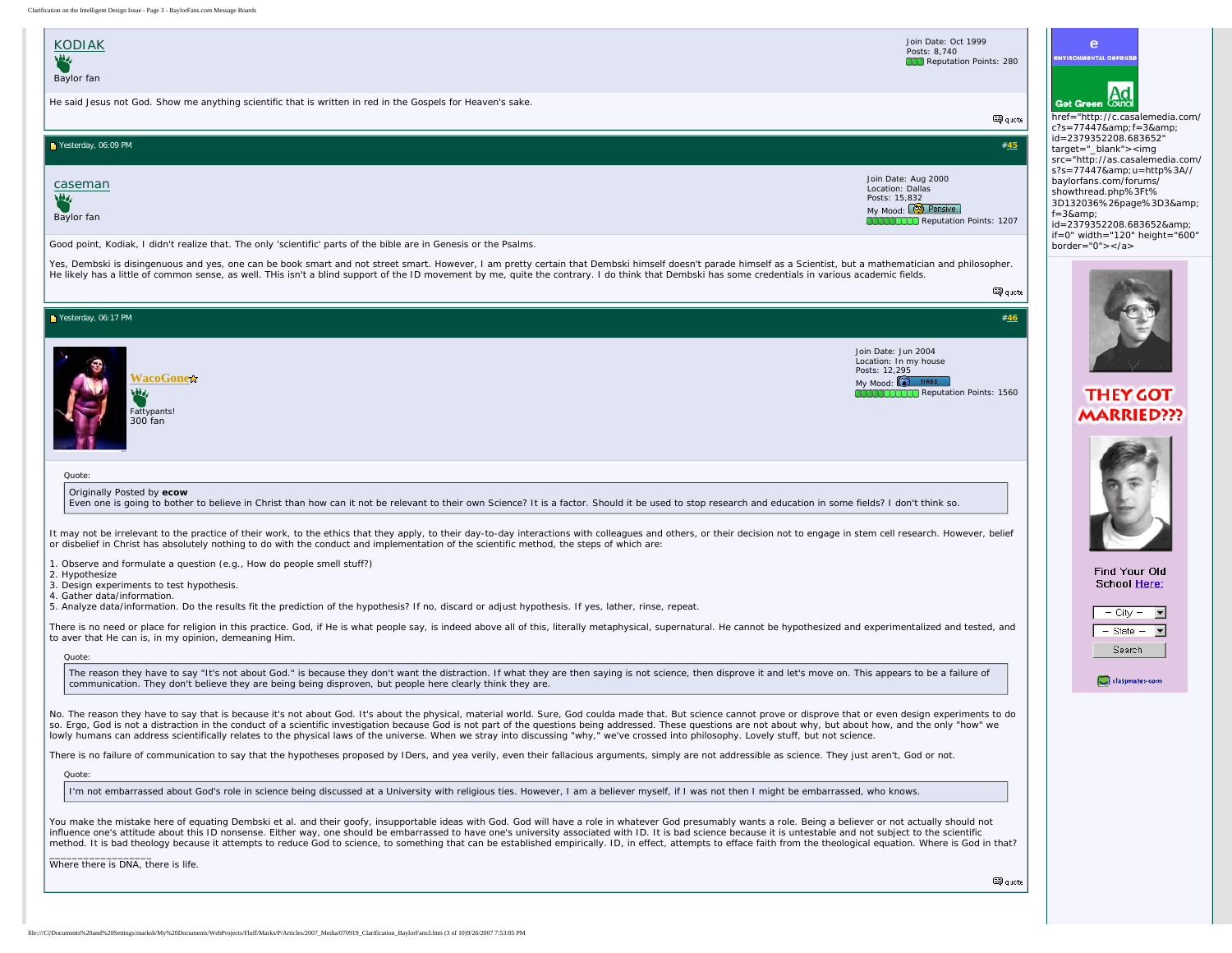Clarification on the Intelligent Design Issue - Page 3 - BaylorFans.com Message Boards

| Get Green Council<br>He said Jesus not God. Show me anything scientific that is written in red in the Gospels for Heaven's sake.<br>国 quote<br>c?s=77447&f=3&<br>Yesterday, 06:09 PM<br>#45<br>s?s=77447&u=http%3A//<br>Join Date: Aug 2000<br>caseman<br>Location: Dallas<br>豐<br>Posts: 15,832<br>My Mood: (2) Pensive<br>$f = 3$ &<br>Baylor fan<br><b>COLORED Reputation Points: 1207</b><br>$if=0"$ width="120" height="600"<br>Good point, Kodiak, I didn't realize that. The only 'scientific' parts of the bible are in Genesis or the Psalms.<br>border="0"><br>Yes, Dembski is disingenuous and yes, one can be book smart and not street smart. However, I am pretty certain that Dembski himself doesn't parade himself as a Scientist, but a mathematician and philosopher.<br>He likely has a little of common sense, as well. THis isn't a blind support of the ID movement by me, quite the contrary. I do think that Dembski has some credentials in various academic fields.<br>国 quote<br>Yesterday, 06:17 PM<br>#46<br>Join Date: Jun 2004<br>Location: In my house<br>Posts: 12,295<br>WacoGone∗<br>My Mood: (a) TIRED<br>₩<br><b>CODODODOO</b> Reputation Points: 1560<br>Fattypants!<br>300 fan<br>Quote:<br>Originally Posted by ecow<br>Even one is going to bother to believe in Christ than how can it not be relevant to their own Science? It is a factor. Should it be used to stop research and education in some fields? I don't think so.<br>It may not be irrelevant to the practice of their work, to the ethics that they apply, to their day-to-day interactions with colleagues and others, or their decision not to engage in stem cell research. However, belief<br>or disbelief in Christ has absolutely nothing to do with the conduct and implementation of the scientific method, the steps of which are:<br>1. Observe and formulate a question (e.g., How do people smell stuff?)<br>2. Hypothesize<br>School <u>Here:</u><br>3. Design experiments to test hypothesis.<br>4. Gather data/information.<br>5. Analyze data/information. Do the results fit the prediction of the hypothesis? If no, discard or adjust hypothesis. If yes, lather, rinse, repeat.<br>– City –<br>There is no need or place for religion in this practice. God, if He is what people say, is indeed above all of this, literally metaphysical, supernatural. He cannot be hypothesized and experimentalized and tested, and<br>to aver that He can is, in my opinion, demeaning Him.<br>Search<br>Quote:<br>The reason they have to say "It's not about God." is because they don't want the distraction. If what they are then saying is not science, then disprove it and let's move on. This appears to be a failure of<br>communication. They don't believe they are being being disproven, but people here clearly think they are.<br>No. The reason they have to say that is because it's not about God. It's about the physical, material world. Sure, God coulda made that. But science cannot prove or disprove that or even design experiments to do<br>so. Ergo, God is not a distraction in the conduct of a scientific investigation because God is not part of the questions being addressed. These questions are not about why, but about how, and the only "how<br>lowly humans can address scientifically relates to the physical laws of the universe. When we stray into discussing "why," we've crossed into philosophy. Lovely stuff, but not science.<br>There is no failure of communication to say that the hypotheses proposed by IDers, and yea verily, even their fallacious arguments, simply are not addressible as science. They just aren't, God or not.<br>Quote:<br>I'm not embarrassed about God's role in science being discussed at a University with religious ties. However, I am a believer myself, if I was not then I might be embarrassed, who knows.<br>You make the mistake here of equating Dembski et al. and their goofy, insupportable ideas with God. God will have a role in whatever God presumably wants a role. Being a believer or not actually should not<br>influence one's attitude about this ID nonsense. Either way, one should be embarrassed to have one's university associated with ID. It is bad science because it is untestable and not subject to the scientific<br>method. It is bad theology because it attempts to reduce God to science, to something that can be established empirically. ID, in effect, attempts to efface faith from the theological equation. Where is God in that?<br>Where there is DNA, there is life. | <b>KODIAK</b><br>Baylor fan | Join Date: Oct 1999<br>Posts: 8,740<br><b>Reputation Points: 280</b> | e<br><b>NVIRONMENTAL DEFENSE</b>                                                               |
|----------------------------------------------------------------------------------------------------------------------------------------------------------------------------------------------------------------------------------------------------------------------------------------------------------------------------------------------------------------------------------------------------------------------------------------------------------------------------------------------------------------------------------------------------------------------------------------------------------------------------------------------------------------------------------------------------------------------------------------------------------------------------------------------------------------------------------------------------------------------------------------------------------------------------------------------------------------------------------------------------------------------------------------------------------------------------------------------------------------------------------------------------------------------------------------------------------------------------------------------------------------------------------------------------------------------------------------------------------------------------------------------------------------------------------------------------------------------------------------------------------------------------------------------------------------------------------------------------------------------------------------------------------------------------------------------------------------------------------------------------------------------------------------------------------------------------------------------------------------------------------------------------------------------------------------------------------------------------------------------------------------------------------------------------------------------------------------------------------------------------------------------------------------------------------------------------------------------------------------------------------------------------------------------------------------------------------------------------------------------------------------------------------------------------------------------------------------------------------------------------------------------------------------------------------------------------------------------------------------------------------------------------------------------------------------------------------------------------------------------------------------------------------------------------------------------------------------------------------------------------------------------------------------------------------------------------------------------------------------------------------------------------------------------------------------------------------------------------------------------------------------------------------------------------------------------------------------------------------------------------------------------------------------------------------------------------------------------------------------------------------------------------------------------------------------------------------------------------------------------------------------------------------------------------------------------------------------------------------------------------------------------------------------------------------------------------------------------------------------------------------------------------------------------------------------------------------------------------------------------------------------------------------------------------------------------------------------------------------------------------------------------------------------------------------------------------------------------------------------------------------------------------------------------------------------------------------------------------------------------------------------------------------------------------------------------------------------------------------------------------------------------------------------------------------------------------------------------------------------------------------------------------------------------------------------------------------------------------------------------------------|-----------------------------|----------------------------------------------------------------------|------------------------------------------------------------------------------------------------|
|                                                                                                                                                                                                                                                                                                                                                                                                                                                                                                                                                                                                                                                                                                                                                                                                                                                                                                                                                                                                                                                                                                                                                                                                                                                                                                                                                                                                                                                                                                                                                                                                                                                                                                                                                                                                                                                                                                                                                                                                                                                                                                                                                                                                                                                                                                                                                                                                                                                                                                                                                                                                                                                                                                                                                                                                                                                                                                                                                                                                                                                                                                                                                                                                                                                                                                                                                                                                                                                                                                                                                                                                                                                                                                                                                                                                                                                                                                                                                                                                                                                                                                                                                                                                                                                                                                                                                                                                                                                                                                                                                                                                                                  |                             |                                                                      | href="http://c.casalemedia.com/                                                                |
|                                                                                                                                                                                                                                                                                                                                                                                                                                                                                                                                                                                                                                                                                                                                                                                                                                                                                                                                                                                                                                                                                                                                                                                                                                                                                                                                                                                                                                                                                                                                                                                                                                                                                                                                                                                                                                                                                                                                                                                                                                                                                                                                                                                                                                                                                                                                                                                                                                                                                                                                                                                                                                                                                                                                                                                                                                                                                                                                                                                                                                                                                                                                                                                                                                                                                                                                                                                                                                                                                                                                                                                                                                                                                                                                                                                                                                                                                                                                                                                                                                                                                                                                                                                                                                                                                                                                                                                                                                                                                                                                                                                                                                  |                             |                                                                      | id=2379352208.683652"<br>target="_blank"> <img<br>src="http://as.casalemedia.com/</img<br>     |
|                                                                                                                                                                                                                                                                                                                                                                                                                                                                                                                                                                                                                                                                                                                                                                                                                                                                                                                                                                                                                                                                                                                                                                                                                                                                                                                                                                                                                                                                                                                                                                                                                                                                                                                                                                                                                                                                                                                                                                                                                                                                                                                                                                                                                                                                                                                                                                                                                                                                                                                                                                                                                                                                                                                                                                                                                                                                                                                                                                                                                                                                                                                                                                                                                                                                                                                                                                                                                                                                                                                                                                                                                                                                                                                                                                                                                                                                                                                                                                                                                                                                                                                                                                                                                                                                                                                                                                                                                                                                                                                                                                                                                                  |                             |                                                                      | baylorfans.com/forums/<br>showthread.php%3Ft%<br>3D132036%26page%3D3&<br>id=2379352208.683652& |
|                                                                                                                                                                                                                                                                                                                                                                                                                                                                                                                                                                                                                                                                                                                                                                                                                                                                                                                                                                                                                                                                                                                                                                                                                                                                                                                                                                                                                                                                                                                                                                                                                                                                                                                                                                                                                                                                                                                                                                                                                                                                                                                                                                                                                                                                                                                                                                                                                                                                                                                                                                                                                                                                                                                                                                                                                                                                                                                                                                                                                                                                                                                                                                                                                                                                                                                                                                                                                                                                                                                                                                                                                                                                                                                                                                                                                                                                                                                                                                                                                                                                                                                                                                                                                                                                                                                                                                                                                                                                                                                                                                                                                                  |                             |                                                                      |                                                                                                |
|                                                                                                                                                                                                                                                                                                                                                                                                                                                                                                                                                                                                                                                                                                                                                                                                                                                                                                                                                                                                                                                                                                                                                                                                                                                                                                                                                                                                                                                                                                                                                                                                                                                                                                                                                                                                                                                                                                                                                                                                                                                                                                                                                                                                                                                                                                                                                                                                                                                                                                                                                                                                                                                                                                                                                                                                                                                                                                                                                                                                                                                                                                                                                                                                                                                                                                                                                                                                                                                                                                                                                                                                                                                                                                                                                                                                                                                                                                                                                                                                                                                                                                                                                                                                                                                                                                                                                                                                                                                                                                                                                                                                                                  |                             |                                                                      |                                                                                                |
|                                                                                                                                                                                                                                                                                                                                                                                                                                                                                                                                                                                                                                                                                                                                                                                                                                                                                                                                                                                                                                                                                                                                                                                                                                                                                                                                                                                                                                                                                                                                                                                                                                                                                                                                                                                                                                                                                                                                                                                                                                                                                                                                                                                                                                                                                                                                                                                                                                                                                                                                                                                                                                                                                                                                                                                                                                                                                                                                                                                                                                                                                                                                                                                                                                                                                                                                                                                                                                                                                                                                                                                                                                                                                                                                                                                                                                                                                                                                                                                                                                                                                                                                                                                                                                                                                                                                                                                                                                                                                                                                                                                                                                  |                             |                                                                      |                                                                                                |
|                                                                                                                                                                                                                                                                                                                                                                                                                                                                                                                                                                                                                                                                                                                                                                                                                                                                                                                                                                                                                                                                                                                                                                                                                                                                                                                                                                                                                                                                                                                                                                                                                                                                                                                                                                                                                                                                                                                                                                                                                                                                                                                                                                                                                                                                                                                                                                                                                                                                                                                                                                                                                                                                                                                                                                                                                                                                                                                                                                                                                                                                                                                                                                                                                                                                                                                                                                                                                                                                                                                                                                                                                                                                                                                                                                                                                                                                                                                                                                                                                                                                                                                                                                                                                                                                                                                                                                                                                                                                                                                                                                                                                                  |                             |                                                                      | <b>THEY GOT</b><br><b>MARRIED???</b>                                                           |
|                                                                                                                                                                                                                                                                                                                                                                                                                                                                                                                                                                                                                                                                                                                                                                                                                                                                                                                                                                                                                                                                                                                                                                                                                                                                                                                                                                                                                                                                                                                                                                                                                                                                                                                                                                                                                                                                                                                                                                                                                                                                                                                                                                                                                                                                                                                                                                                                                                                                                                                                                                                                                                                                                                                                                                                                                                                                                                                                                                                                                                                                                                                                                                                                                                                                                                                                                                                                                                                                                                                                                                                                                                                                                                                                                                                                                                                                                                                                                                                                                                                                                                                                                                                                                                                                                                                                                                                                                                                                                                                                                                                                                                  |                             |                                                                      |                                                                                                |
|                                                                                                                                                                                                                                                                                                                                                                                                                                                                                                                                                                                                                                                                                                                                                                                                                                                                                                                                                                                                                                                                                                                                                                                                                                                                                                                                                                                                                                                                                                                                                                                                                                                                                                                                                                                                                                                                                                                                                                                                                                                                                                                                                                                                                                                                                                                                                                                                                                                                                                                                                                                                                                                                                                                                                                                                                                                                                                                                                                                                                                                                                                                                                                                                                                                                                                                                                                                                                                                                                                                                                                                                                                                                                                                                                                                                                                                                                                                                                                                                                                                                                                                                                                                                                                                                                                                                                                                                                                                                                                                                                                                                                                  |                             |                                                                      |                                                                                                |
|                                                                                                                                                                                                                                                                                                                                                                                                                                                                                                                                                                                                                                                                                                                                                                                                                                                                                                                                                                                                                                                                                                                                                                                                                                                                                                                                                                                                                                                                                                                                                                                                                                                                                                                                                                                                                                                                                                                                                                                                                                                                                                                                                                                                                                                                                                                                                                                                                                                                                                                                                                                                                                                                                                                                                                                                                                                                                                                                                                                                                                                                                                                                                                                                                                                                                                                                                                                                                                                                                                                                                                                                                                                                                                                                                                                                                                                                                                                                                                                                                                                                                                                                                                                                                                                                                                                                                                                                                                                                                                                                                                                                                                  |                             |                                                                      | <b>Find Your Old</b>                                                                           |
|                                                                                                                                                                                                                                                                                                                                                                                                                                                                                                                                                                                                                                                                                                                                                                                                                                                                                                                                                                                                                                                                                                                                                                                                                                                                                                                                                                                                                                                                                                                                                                                                                                                                                                                                                                                                                                                                                                                                                                                                                                                                                                                                                                                                                                                                                                                                                                                                                                                                                                                                                                                                                                                                                                                                                                                                                                                                                                                                                                                                                                                                                                                                                                                                                                                                                                                                                                                                                                                                                                                                                                                                                                                                                                                                                                                                                                                                                                                                                                                                                                                                                                                                                                                                                                                                                                                                                                                                                                                                                                                                                                                                                                  |                             |                                                                      |                                                                                                |
|                                                                                                                                                                                                                                                                                                                                                                                                                                                                                                                                                                                                                                                                                                                                                                                                                                                                                                                                                                                                                                                                                                                                                                                                                                                                                                                                                                                                                                                                                                                                                                                                                                                                                                                                                                                                                                                                                                                                                                                                                                                                                                                                                                                                                                                                                                                                                                                                                                                                                                                                                                                                                                                                                                                                                                                                                                                                                                                                                                                                                                                                                                                                                                                                                                                                                                                                                                                                                                                                                                                                                                                                                                                                                                                                                                                                                                                                                                                                                                                                                                                                                                                                                                                                                                                                                                                                                                                                                                                                                                                                                                                                                                  |                             |                                                                      |                                                                                                |
|                                                                                                                                                                                                                                                                                                                                                                                                                                                                                                                                                                                                                                                                                                                                                                                                                                                                                                                                                                                                                                                                                                                                                                                                                                                                                                                                                                                                                                                                                                                                                                                                                                                                                                                                                                                                                                                                                                                                                                                                                                                                                                                                                                                                                                                                                                                                                                                                                                                                                                                                                                                                                                                                                                                                                                                                                                                                                                                                                                                                                                                                                                                                                                                                                                                                                                                                                                                                                                                                                                                                                                                                                                                                                                                                                                                                                                                                                                                                                                                                                                                                                                                                                                                                                                                                                                                                                                                                                                                                                                                                                                                                                                  |                             |                                                                      | $-$ State $ -$                                                                                 |
|                                                                                                                                                                                                                                                                                                                                                                                                                                                                                                                                                                                                                                                                                                                                                                                                                                                                                                                                                                                                                                                                                                                                                                                                                                                                                                                                                                                                                                                                                                                                                                                                                                                                                                                                                                                                                                                                                                                                                                                                                                                                                                                                                                                                                                                                                                                                                                                                                                                                                                                                                                                                                                                                                                                                                                                                                                                                                                                                                                                                                                                                                                                                                                                                                                                                                                                                                                                                                                                                                                                                                                                                                                                                                                                                                                                                                                                                                                                                                                                                                                                                                                                                                                                                                                                                                                                                                                                                                                                                                                                                                                                                                                  |                             |                                                                      |                                                                                                |
|                                                                                                                                                                                                                                                                                                                                                                                                                                                                                                                                                                                                                                                                                                                                                                                                                                                                                                                                                                                                                                                                                                                                                                                                                                                                                                                                                                                                                                                                                                                                                                                                                                                                                                                                                                                                                                                                                                                                                                                                                                                                                                                                                                                                                                                                                                                                                                                                                                                                                                                                                                                                                                                                                                                                                                                                                                                                                                                                                                                                                                                                                                                                                                                                                                                                                                                                                                                                                                                                                                                                                                                                                                                                                                                                                                                                                                                                                                                                                                                                                                                                                                                                                                                                                                                                                                                                                                                                                                                                                                                                                                                                                                  |                             |                                                                      | classmates-com                                                                                 |
|                                                                                                                                                                                                                                                                                                                                                                                                                                                                                                                                                                                                                                                                                                                                                                                                                                                                                                                                                                                                                                                                                                                                                                                                                                                                                                                                                                                                                                                                                                                                                                                                                                                                                                                                                                                                                                                                                                                                                                                                                                                                                                                                                                                                                                                                                                                                                                                                                                                                                                                                                                                                                                                                                                                                                                                                                                                                                                                                                                                                                                                                                                                                                                                                                                                                                                                                                                                                                                                                                                                                                                                                                                                                                                                                                                                                                                                                                                                                                                                                                                                                                                                                                                                                                                                                                                                                                                                                                                                                                                                                                                                                                                  |                             |                                                                      |                                                                                                |
|                                                                                                                                                                                                                                                                                                                                                                                                                                                                                                                                                                                                                                                                                                                                                                                                                                                                                                                                                                                                                                                                                                                                                                                                                                                                                                                                                                                                                                                                                                                                                                                                                                                                                                                                                                                                                                                                                                                                                                                                                                                                                                                                                                                                                                                                                                                                                                                                                                                                                                                                                                                                                                                                                                                                                                                                                                                                                                                                                                                                                                                                                                                                                                                                                                                                                                                                                                                                                                                                                                                                                                                                                                                                                                                                                                                                                                                                                                                                                                                                                                                                                                                                                                                                                                                                                                                                                                                                                                                                                                                                                                                                                                  |                             |                                                                      |                                                                                                |
|                                                                                                                                                                                                                                                                                                                                                                                                                                                                                                                                                                                                                                                                                                                                                                                                                                                                                                                                                                                                                                                                                                                                                                                                                                                                                                                                                                                                                                                                                                                                                                                                                                                                                                                                                                                                                                                                                                                                                                                                                                                                                                                                                                                                                                                                                                                                                                                                                                                                                                                                                                                                                                                                                                                                                                                                                                                                                                                                                                                                                                                                                                                                                                                                                                                                                                                                                                                                                                                                                                                                                                                                                                                                                                                                                                                                                                                                                                                                                                                                                                                                                                                                                                                                                                                                                                                                                                                                                                                                                                                                                                                                                                  |                             |                                                                      |                                                                                                |
|                                                                                                                                                                                                                                                                                                                                                                                                                                                                                                                                                                                                                                                                                                                                                                                                                                                                                                                                                                                                                                                                                                                                                                                                                                                                                                                                                                                                                                                                                                                                                                                                                                                                                                                                                                                                                                                                                                                                                                                                                                                                                                                                                                                                                                                                                                                                                                                                                                                                                                                                                                                                                                                                                                                                                                                                                                                                                                                                                                                                                                                                                                                                                                                                                                                                                                                                                                                                                                                                                                                                                                                                                                                                                                                                                                                                                                                                                                                                                                                                                                                                                                                                                                                                                                                                                                                                                                                                                                                                                                                                                                                                                                  |                             |                                                                      |                                                                                                |
|                                                                                                                                                                                                                                                                                                                                                                                                                                                                                                                                                                                                                                                                                                                                                                                                                                                                                                                                                                                                                                                                                                                                                                                                                                                                                                                                                                                                                                                                                                                                                                                                                                                                                                                                                                                                                                                                                                                                                                                                                                                                                                                                                                                                                                                                                                                                                                                                                                                                                                                                                                                                                                                                                                                                                                                                                                                                                                                                                                                                                                                                                                                                                                                                                                                                                                                                                                                                                                                                                                                                                                                                                                                                                                                                                                                                                                                                                                                                                                                                                                                                                                                                                                                                                                                                                                                                                                                                                                                                                                                                                                                                                                  |                             |                                                                      |                                                                                                |
|                                                                                                                                                                                                                                                                                                                                                                                                                                                                                                                                                                                                                                                                                                                                                                                                                                                                                                                                                                                                                                                                                                                                                                                                                                                                                                                                                                                                                                                                                                                                                                                                                                                                                                                                                                                                                                                                                                                                                                                                                                                                                                                                                                                                                                                                                                                                                                                                                                                                                                                                                                                                                                                                                                                                                                                                                                                                                                                                                                                                                                                                                                                                                                                                                                                                                                                                                                                                                                                                                                                                                                                                                                                                                                                                                                                                                                                                                                                                                                                                                                                                                                                                                                                                                                                                                                                                                                                                                                                                                                                                                                                                                                  |                             |                                                                      |                                                                                                |
| 国 quote                                                                                                                                                                                                                                                                                                                                                                                                                                                                                                                                                                                                                                                                                                                                                                                                                                                                                                                                                                                                                                                                                                                                                                                                                                                                                                                                                                                                                                                                                                                                                                                                                                                                                                                                                                                                                                                                                                                                                                                                                                                                                                                                                                                                                                                                                                                                                                                                                                                                                                                                                                                                                                                                                                                                                                                                                                                                                                                                                                                                                                                                                                                                                                                                                                                                                                                                                                                                                                                                                                                                                                                                                                                                                                                                                                                                                                                                                                                                                                                                                                                                                                                                                                                                                                                                                                                                                                                                                                                                                                                                                                                                                          |                             |                                                                      |                                                                                                |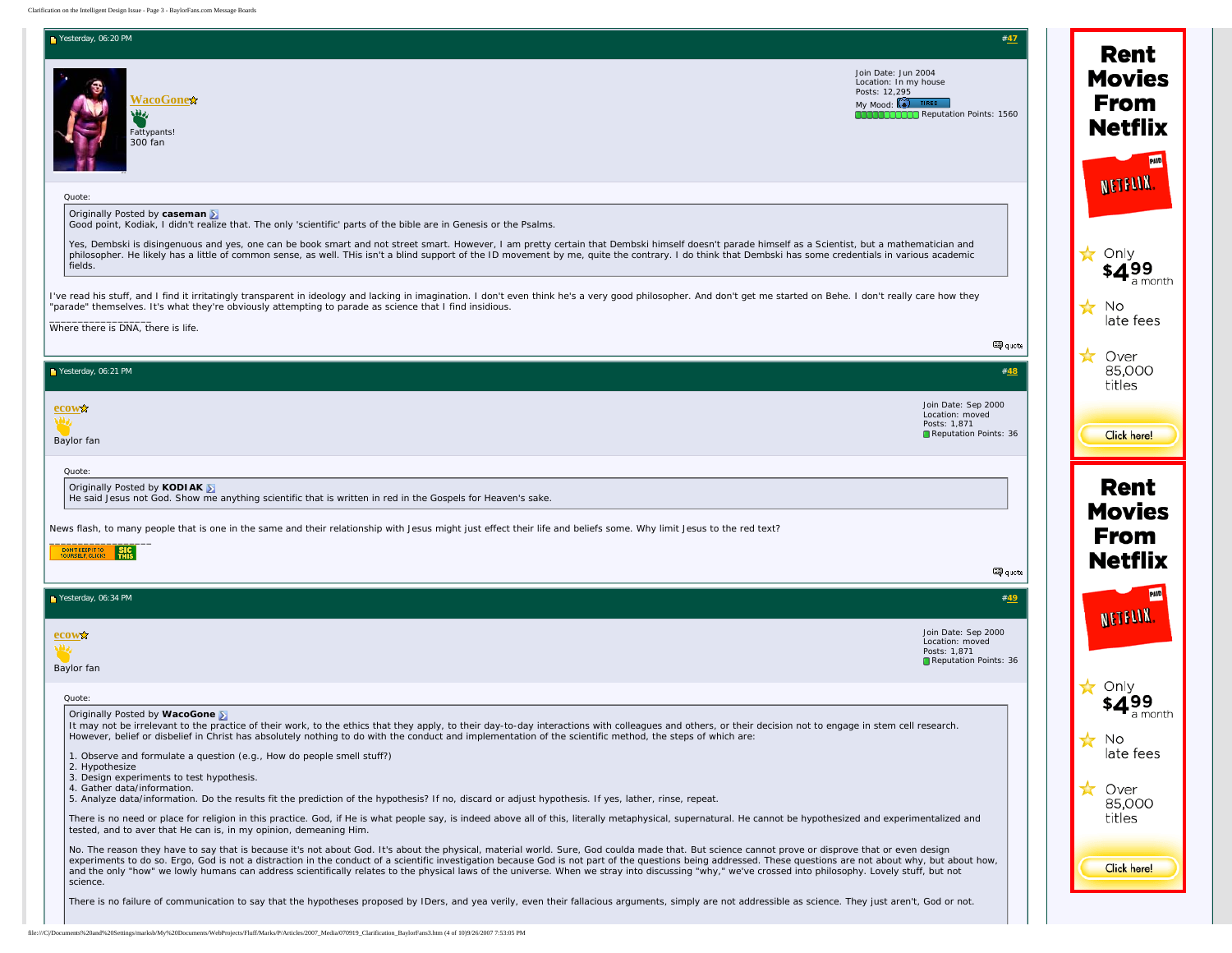Clarification on the Intelligent Design Issue - Page 3 - BaylorFans.com Message Boards

| Yesterday, 06:20 PM<br>#47                                                                                                                                                                                                                                                                                                                                                                                                                                                                                                                                                                                                              |  |
|-----------------------------------------------------------------------------------------------------------------------------------------------------------------------------------------------------------------------------------------------------------------------------------------------------------------------------------------------------------------------------------------------------------------------------------------------------------------------------------------------------------------------------------------------------------------------------------------------------------------------------------------|--|
| Join Date: Jun 2004<br>Location: In my house<br>Posts: 12,295<br>WacoGone☆<br>My Mood: (a) TIRED<br>鬯<br><b>COLOROOP</b> Reputation Points: 1560<br>Fattypants!<br>300 fan                                                                                                                                                                                                                                                                                                                                                                                                                                                              |  |
|                                                                                                                                                                                                                                                                                                                                                                                                                                                                                                                                                                                                                                         |  |
| Quote:<br>Originally Posted by caseman<br>Good point, Kodiak, I didn't realize that. The only 'scientific' parts of the bible are in Genesis or the Psalms.<br>Yes, Dembski is disingenuous and yes, one can be book smart and not street smart. However, I am pretty certain that Dembski himself doesn't parade himself as a Scientist, but a mathematician and<br>philosopher. He likely has a little of common sense, as well. This isn't a blind support of the ID movement by me, quite the contrary. I do think that Dembski has some credentials in various academic<br>fields.                                                 |  |
| I've read his stuff, and I find it irritatingly transparent in ideology and lacking in imagination. I don't even think he's a very good philosopher. And don't get me started on Behe. I don't really care how they<br>"parade" themselves. It's what they're obviously attempting to parade as science that I find insidious.<br>Where there is DNA, there is life.                                                                                                                                                                                                                                                                    |  |
| 国 quote                                                                                                                                                                                                                                                                                                                                                                                                                                                                                                                                                                                                                                 |  |
| Yesterday, 06:21 PM<br>#48                                                                                                                                                                                                                                                                                                                                                                                                                                                                                                                                                                                                              |  |
| Join Date: Sep 2000<br>ecow*<br>Location: moved<br><b>VBO</b><br>Posts: 1,871<br>Reputation Points: 36<br>Baylor fan                                                                                                                                                                                                                                                                                                                                                                                                                                                                                                                    |  |
| Quote:<br>Originally Posted by KODIAK                                                                                                                                                                                                                                                                                                                                                                                                                                                                                                                                                                                                   |  |
| He said Jesus not God. Show me anything scientific that is written in red in the Gospels for Heaven's sake.                                                                                                                                                                                                                                                                                                                                                                                                                                                                                                                             |  |
| News flash, to many people that is one in the same and their relationship with Jesus might just effect their life and beliefs some. Why limit Jesus to the red text?<br>DON'T KEEP IT TO<br>YOURSELF, CLICK!<br><b>ALC</b>                                                                                                                                                                                                                                                                                                                                                                                                              |  |
| 国 quote<br>Yesterday, 06:34 PM<br>#49                                                                                                                                                                                                                                                                                                                                                                                                                                                                                                                                                                                                   |  |
| Join Date: Sep 2000<br><b>ecows</b><br>Location: moved<br>Posts: 1,871<br>Reputation Points: 36<br>Baylor fan                                                                                                                                                                                                                                                                                                                                                                                                                                                                                                                           |  |
| Quote:                                                                                                                                                                                                                                                                                                                                                                                                                                                                                                                                                                                                                                  |  |
| Originally Posted by WacoGone<br>It may not be irrelevant to the practice of their work, to the ethics that they apply, to their day-to-day interactions with colleagues and others, or their decision not to engage in stem cell research.<br>However, belief or disbelief in Christ has absolutely nothing to do with the conduct and implementation of the scientific method, the steps of which are:                                                                                                                                                                                                                                |  |
| 1. Observe and formulate a question (e.g., How do people smell stuff?)<br>2. Hypothesize<br>3. Design experiments to test hypothesis.                                                                                                                                                                                                                                                                                                                                                                                                                                                                                                   |  |
| 4. Gather data/information.<br>5. Analyze data/information. Do the results fit the prediction of the hypothesis? If no, discard or adjust hypothesis. If yes, lather, rinse, repeat.                                                                                                                                                                                                                                                                                                                                                                                                                                                    |  |
| There is no need or place for religion in this practice. God, if He is what people say, is indeed above all of this, literally metaphysical, supernatural. He cannot be hypothesized and experimentalized and<br>tested, and to aver that He can is, in my opinion, demeaning Him.                                                                                                                                                                                                                                                                                                                                                      |  |
| No. The reason they have to say that is because it's not about God. It's about the physical, material world. Sure, God coulda made that. But science cannot prove or disprove that or even design<br>experiments to do so. Ergo, God is not a distraction in the conduct of a scientific investigation because God is not part of the questions being addressed. These questions are not about why, but about how,<br>and the only "how" we lowly humans can address scientifically relates to the physical laws of the universe. When we stray into discussing "why," we've crossed into philosophy. Lovely stuff, but not<br>science. |  |
| There is no failure of communication to say that the hypotheses proposed by IDers, and yea verily, even their fallacious arguments, simply are not addressible as science. They just aren't, God or not.                                                                                                                                                                                                                                                                                                                                                                                                                                |  |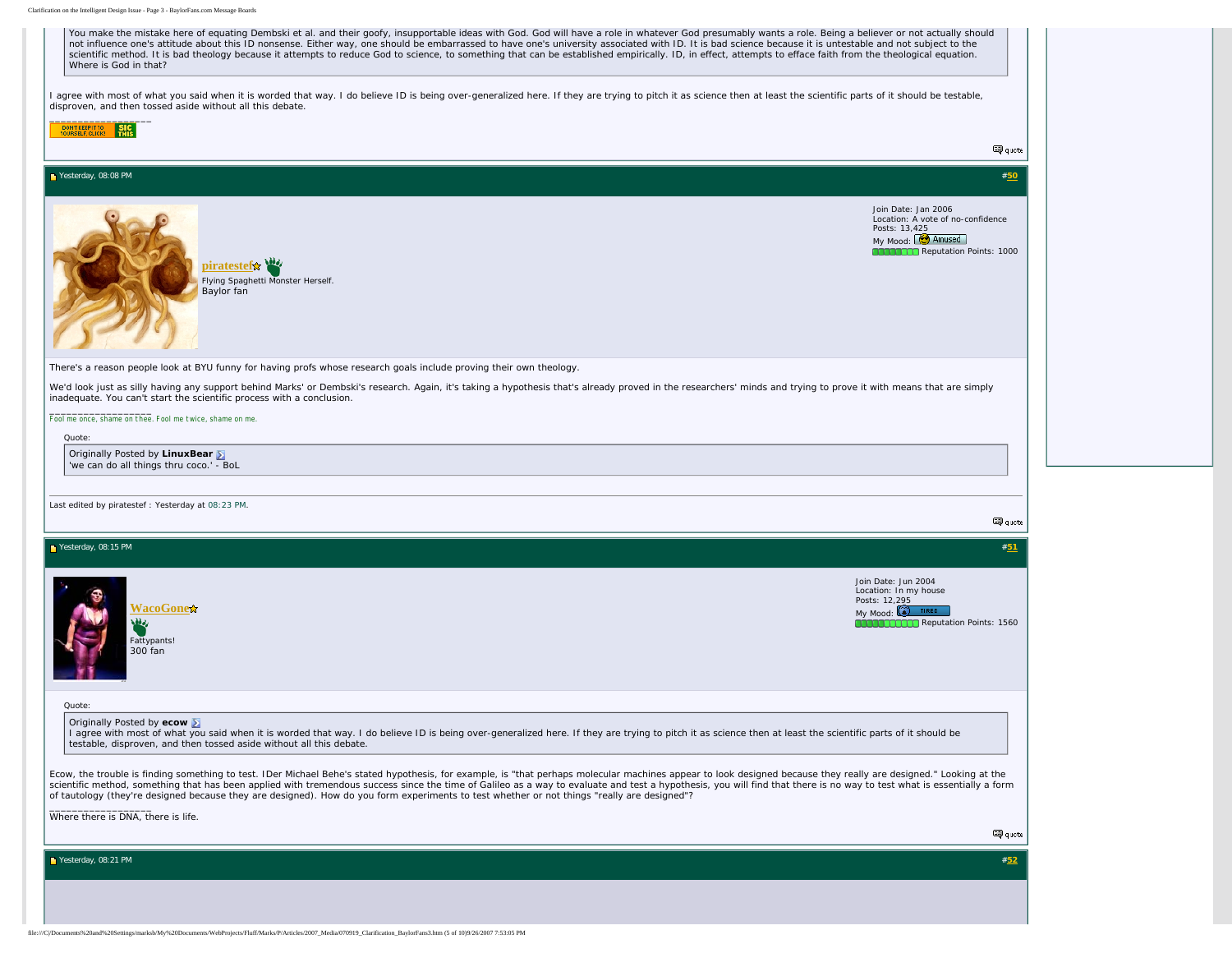#### Clarification on the Intelligent Design Issue - Page 3 - BaylorFans.com Message Boards

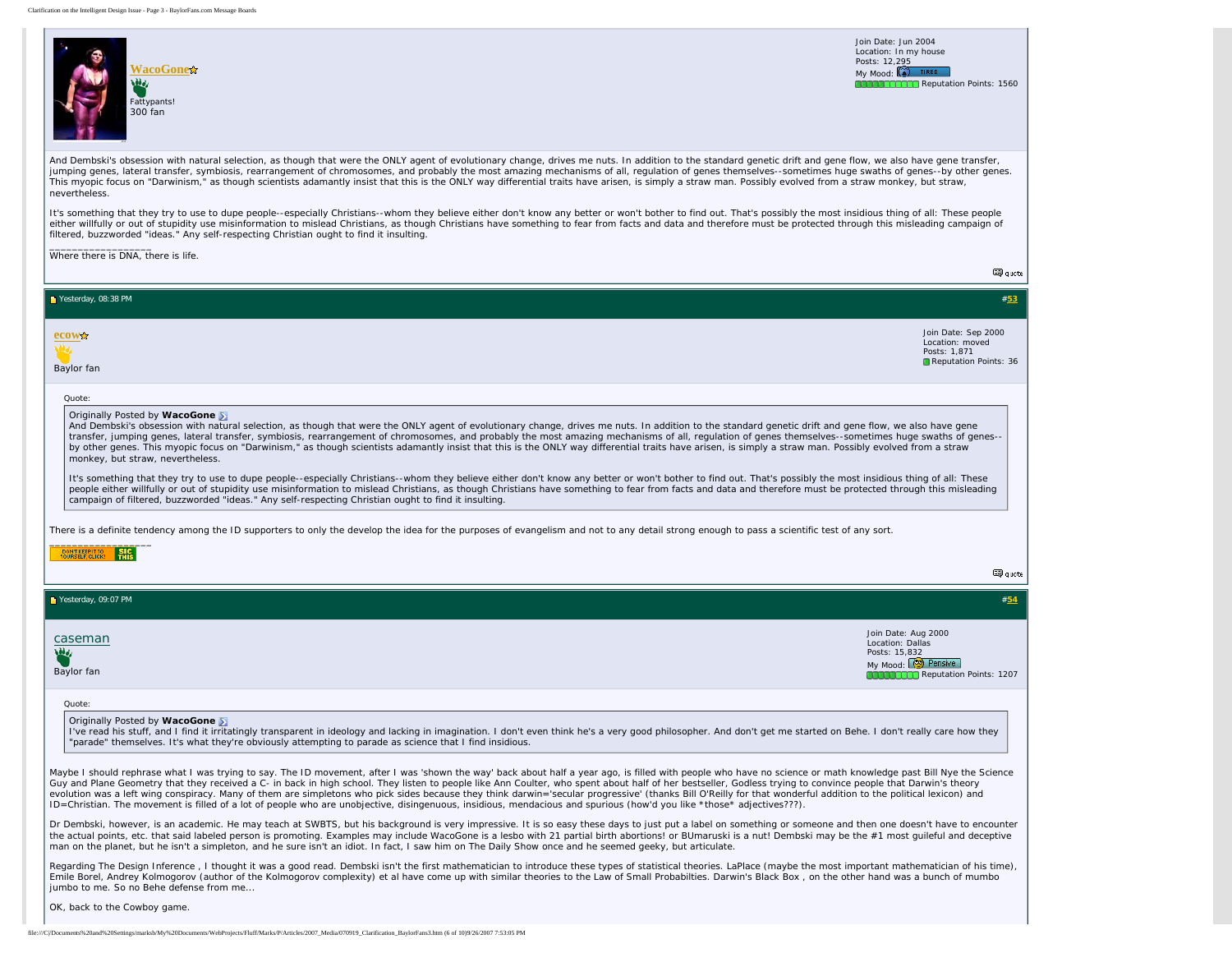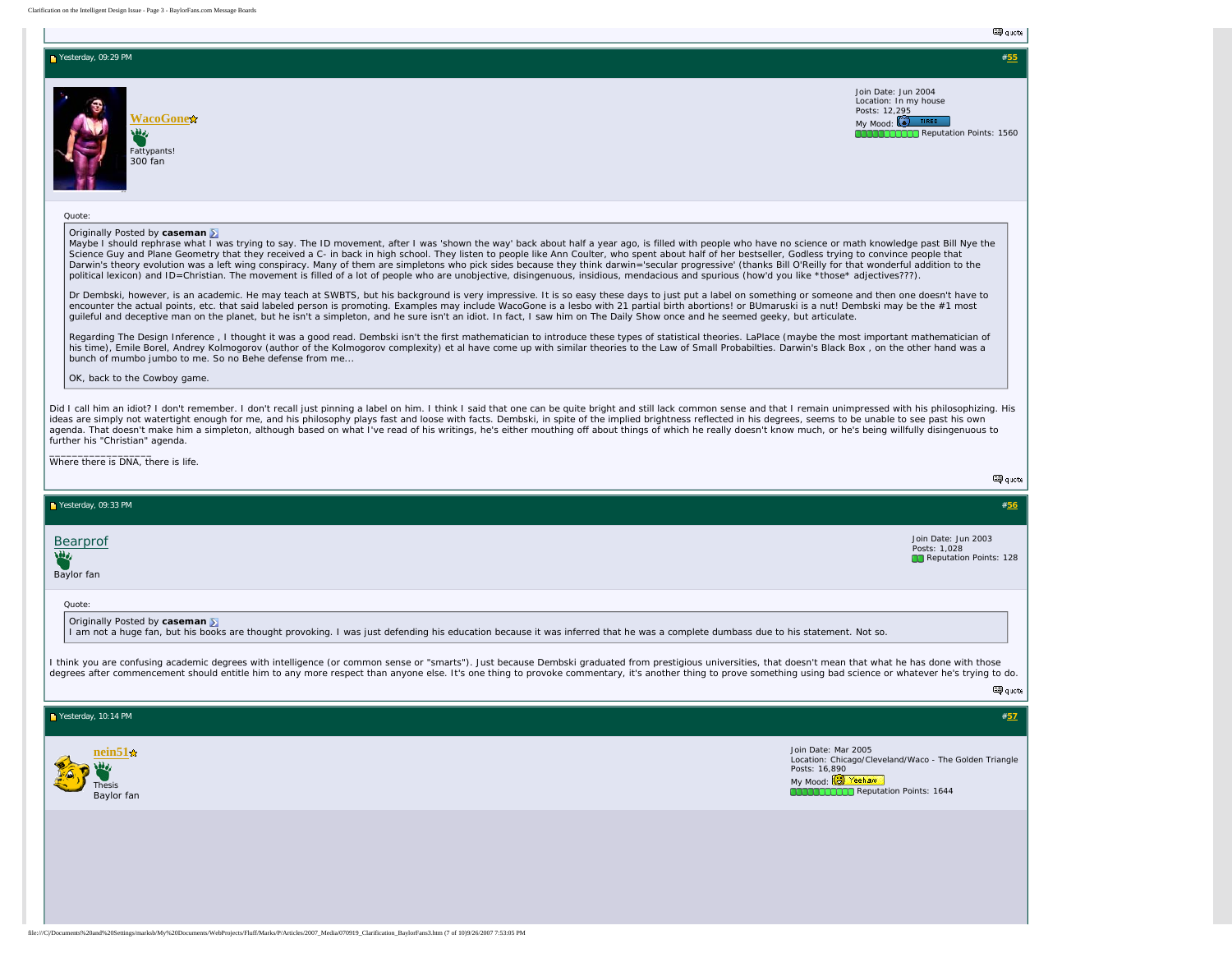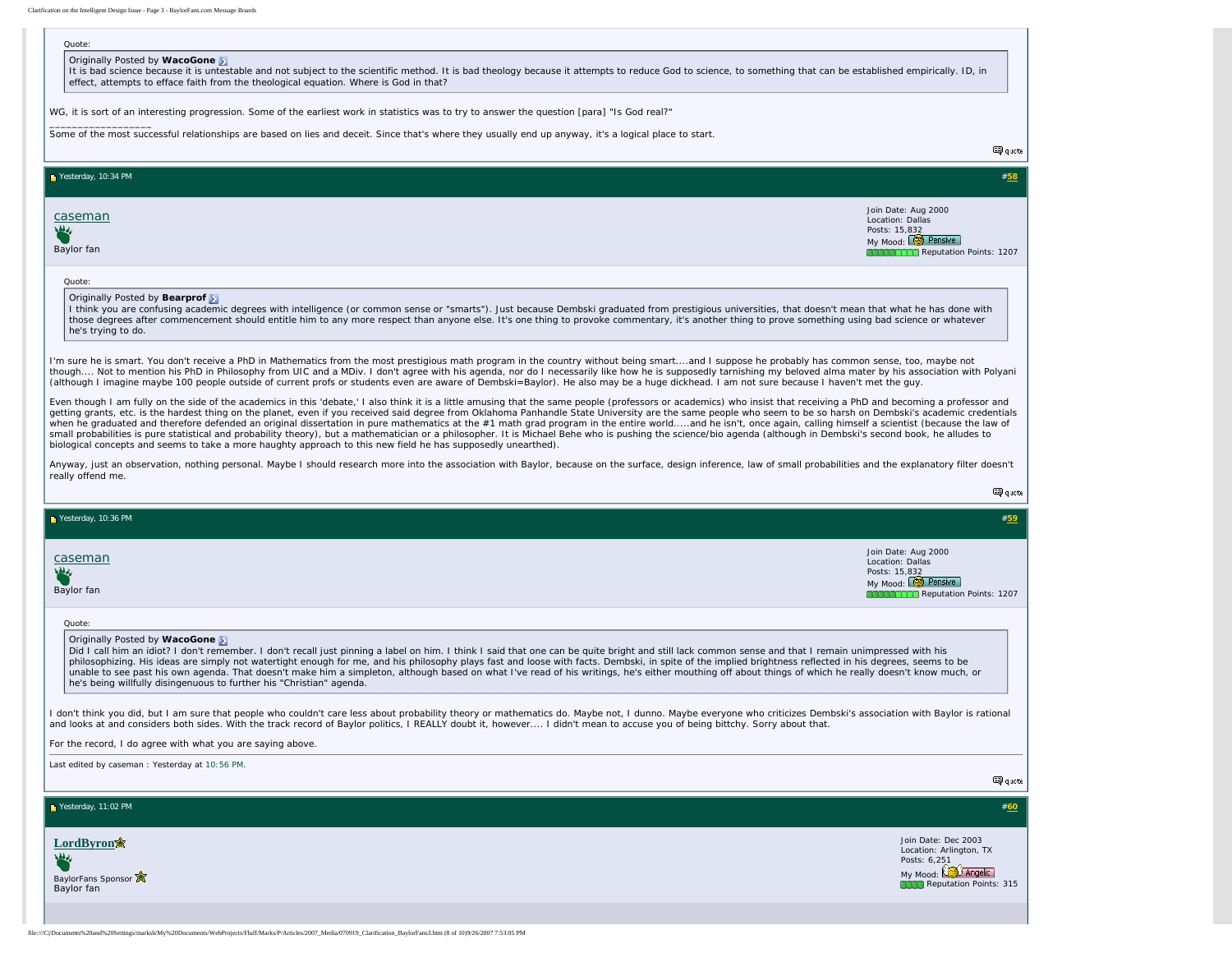## Quote: Originally Posted by **WacoGone** It is bad science because it is untestable and not subject to the scientific method. It is bad theology because it attempts to reduce God to science, to something that can be established empirically. ID, in *effect, attempts to efface faith from the theological equation. Where is God in that?* WG, it is sort of an interesting progression. Some of the earliest work in statistics was to try to answer the question [para] "Is God real?"  $\mathcal{L}=\mathcal{L}=\mathcal{L}=\mathcal{L}=\mathcal{L}=\mathcal{L}=\mathcal{L}=\mathcal{L}=\mathcal{L}=\mathcal{L}=\mathcal{L}=\mathcal{L}=\mathcal{L}=\mathcal{L}=\mathcal{L}=\mathcal{L}=\mathcal{L}=\mathcal{L}=\mathcal{L}=\mathcal{L}=\mathcal{L}=\mathcal{L}=\mathcal{L}=\mathcal{L}=\mathcal{L}=\mathcal{L}=\mathcal{L}=\mathcal{L}=\mathcal{L}=\mathcal{L}=\mathcal{L}=\mathcal{L}=\mathcal{L}=\mathcal{L}=\mathcal{L}=\mathcal{L}=\mathcal{$ Some of the most successful relationships are based on lies and deceit. Since that's where they usually end up anyway, it's a logical place to start. Eig quote Yesterday, 10:34 PM #**[58](http://baylorfans.com/forums/showpost.php?p=2201666&postcount=58)** Join Date: Aug 2000 [caseman](http://baylorfans.com/forums/member.php?u=1239) Location: Dallas Posts: 15,832 w. My Mood: (2) Pensive Baylor fan **Reputation Points: 1207** Quote: Originally Posted by **Bearprof** *I think you are confusing academic degrees with intelligence (or common sense or "smarts"). Just because Dembski graduated from prestigious universities, that doesn't mean that what he has done with those degrees after commencement should entitle him to any more respect than anyone else. It's one thing to provoke commentary, it's another thing to prove something using bad science or whatever he's trying to do.* I'm sure he is smart. You don't receive a PhD in Mathematics from the most prestigious math program in the country without being smart....and I suppose he probably has common sense, too, maybe not though.... Not to mention his PhD in Philosophy from UIC and a MDiv. I don't agree with his agenda, nor do I necessarily like how he is supposedly tarnishing my beloved alma mater by his association with Polyani (although I imagine maybe 100 people outside of current profs or students even are aware of Dembski=Baylor). He also may be a huge dickhead. I am not sure because I haven't met the guy. Even though I am fully on the side of the academics in this 'debate,' I also think it is a little amusing that the same people (professors or academics) who insist that receiving a PhD and becoming a professor and getting grants, etc. is the hardest thing on the planet, even if you received said degree from Oklahoma Panhandle State University are the same people who seem to be so harsh on Dembski's academic credentials when he graduated and therefore defended an original dissertation in pure mathematics at the #1 math grad program in the entire world.....and he isn't, once again, calling himself a scientist (because the law of small probabilities is pure statistical and probability theory), but a mathematician or a philosopher. It is Michael Behe who is pushing the science/bio agenda (although in Dembski's second book, he alludes to biological concepts and seems to take a more haughty approach to this new field he has supposedly unearthed). Anyway, just an observation, nothing personal. Maybe I should research more into the association with Baylor, because on the surface, design inference, law of small probabilities and the explanatory filter doesn't really offend me. 国 quote #**[59](http://baylorfans.com/forums/showpost.php?p=2201669&postcount=59)** Yesterday, 10:36 PM Join Date: Aug 2000 [caseman](http://baylorfans.com/forums/member.php?u=1239) Location: Dallas Posts: 15,832 My Mood: (2) Pensive Baylor fan **Reputation Points: 1207** Quote: Originally Posted by **WacoGone** Did I call him an idiot? I don't remember. I don't recall just pinning a label on him. I think I said that one can be quite bright and still lack common sense and that I remain unimpressed with his *philosophizing. His ideas are simply not watertight enough for me, and his philosophy plays fast and loose with facts. Dembski, in spite of the implied brightness reflected in his degrees, seems to be*  unable to see past his own agenda. That doesn't make him a simpleton, although based on what I've read of his writings, he's either mouthing off about things of which he really doesn't know much, or *he's being willfully disingenuous to further his "Christian" agenda.* I don't think you did, but I am sure that people who couldn't care less about probability theory or mathematics do. Maybe not, I dunno. Maybe everyone who criticizes Dembski's association with Baylor is rational and looks at and considers both sides. With the track record of Baylor politics, I REALLY doubt it, however.... I didn't mean to accuse you of being bittchy. Sorry about that. For the record, I do agree with what you are saying above. *Last edited by caseman : Yesterday at 10:56 PM.*

| Yesterday, 11:02 PM                                                                       | #60                                                                                                                                   |
|-------------------------------------------------------------------------------------------|---------------------------------------------------------------------------------------------------------------------------------------|
| <b>LordByron</b> <sup>*</sup><br><b>Made</b><br>BaylorFans Sponsor <b>☆</b><br>Baylor fan | Join Date: Dec 2003<br>Location: Arlington, TX<br>Posts: 6,251<br>My Mood: <b>Companie 1988</b><br><b>COOD</b> Reputation Points: 315 |
|                                                                                           |                                                                                                                                       |

国 quote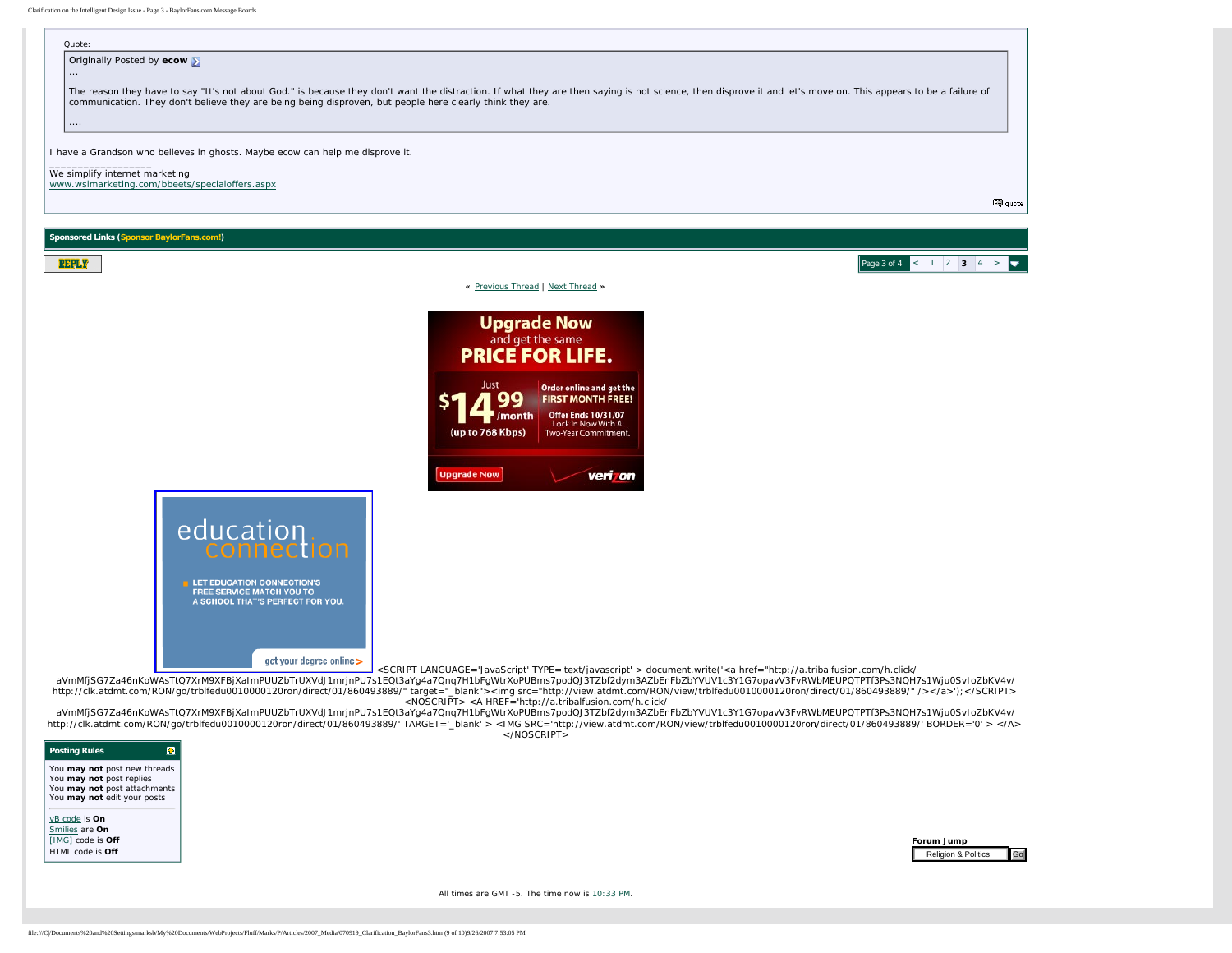

aVmMfjSG7Za46nKoWAsTtQ7XrM9XFBjXaImPUUZbTrUXVdJ1mrjnPU7s1EQt3aYg4a7Qnq7H1bFgWtrXoPUBms7podQJ3TZbf2dym3AZbEnFbZbYVUV1c3Y1G7opavV3FvRWbMEUPQTPTf3Ps3NQH7s1Wju0SvIoZbKV4v/ http://clk.atdmt.com/RON/go/trblfedu0010000120ron/direct/01/860493889/' TARGET='\_blank' > <IMG SRC='http://view.atdmt.com/RON/view/trblfedu0010000120ron/direct/01/860493889/' BORDER='0' > </A> </NOSCRIPT>



You **may not** post replies You **may not** post attachments You **may not** edit your posts

 $\bullet$ 

[vB code](http://baylorfans.com/forums/misc.php?do=bbcode) is **On** [Smilies](http://baylorfans.com/forums/misc.php?do=showsmilies) are **On** [\[IMG\]](http://baylorfans.com/forums/misc.php?do=bbcode#imgcode) code is Off HTML code is **Off**



All times are GMT -5. The time now is 10:33 PM.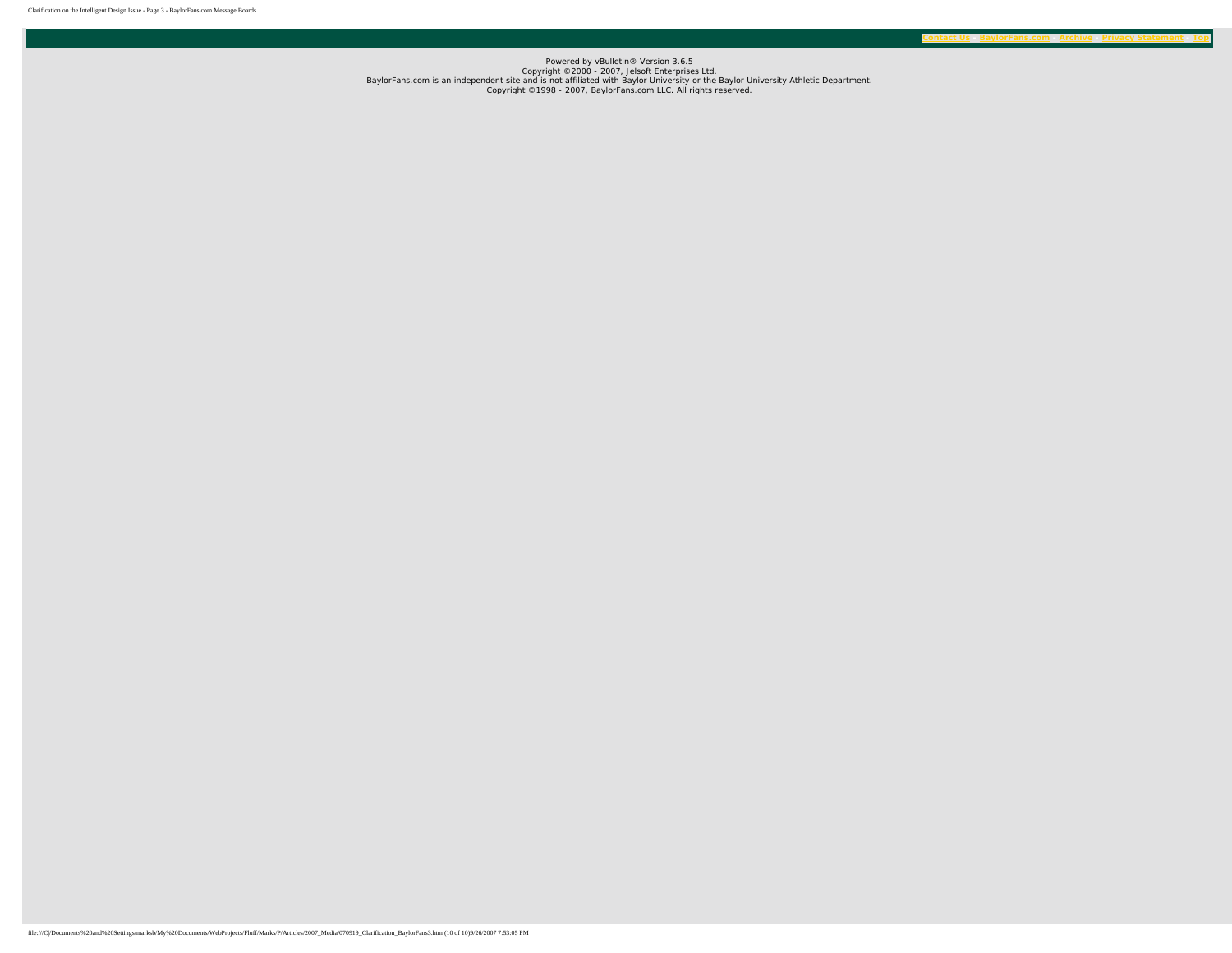Powered by vBulletin® Version 3.6.5<br>Copyright ©2000 - 2007, Jelsoft Enterprises Ltd.<br>BaylorFans.com is an independent site and is not affiliated with Baylor University or the Baylor University Athletic Department.<br>Copyrig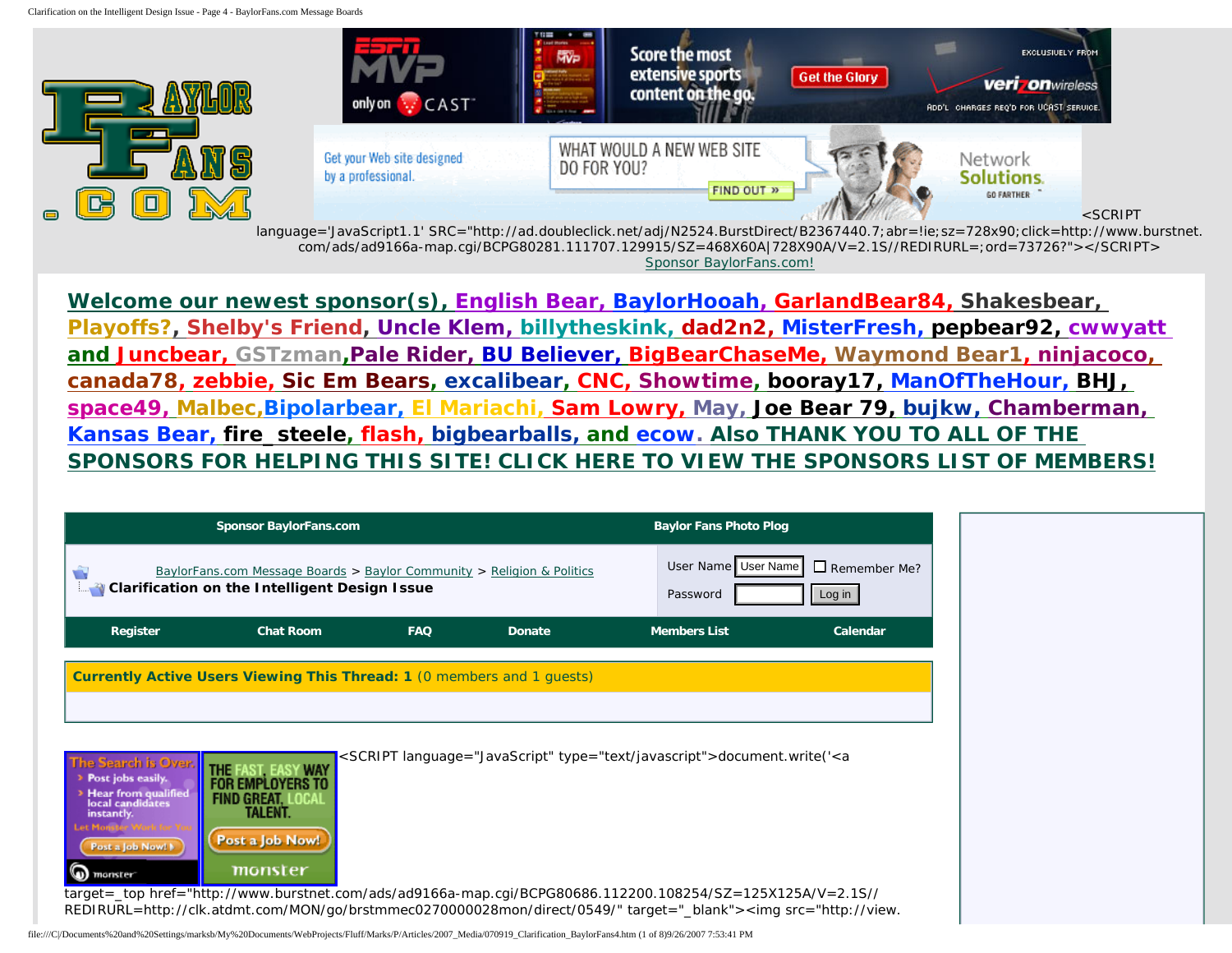Clarification on the Intelligent Design Issue - Page 4 - BaylorFans.com Message Boards



com/ads/ad9166a-map.cgi/BCPG80281.111707.129915/SZ=468X60A|728X90A/V=2.1S//REDIRURL=;ord=73726?"></SCRIPT> [Sponsor BaylorFans.com!](http://baylorfans.com/sponsor.php)

**[Welcome our newest sponsor\(s\), English Bear, BaylorHooah, GarlandBear84, Shakesbear,](http://www.baylorfans.com/forums/showgroups.php) [Playoffs?, Shelby's Friend, Uncle Klem, billytheskink,](http://www.baylorfans.com/forums/showgroups.php) dad2n2, MisterFresh, pepbear92, cwwyatt and Juncbear, GSTzman,Pale Rider, BU Believer, [BigBearChaseMe, Waymond Bear1, ninjacoco,](http://www.baylorfans.com/forums/showgroups.php)  canada78, zebbie, [Sic Em Bears, excalibear, CNC, Showtime, booray17, ManOfTheHour,](http://www.baylorfans.com/forums/showgroups.php) BHJ, space49, [Malbec,Bipolarbear, El Mariachi, Sam Lowry, May,](http://www.baylorfans.com/forums/showgroups.php) Joe Bear 79, bujkw, Chamberman, Kansas Bear, fire\_steele, flash, [bigbearballs, and ecow. Also THANK YOU TO ALL OF THE](http://www.baylorfans.com/forums/showgroups.php)  [SPONSORS FOR HELPING THIS SITE! CLICK HERE TO VIEW THE SPONSORS LIST OF MEMBERS!](http://www.baylorfans.com/forums/showgroups.php)**

| <b>Sponsor BaylorFans.com</b>                                                                                                                                                                                                                       |            |               | <b>Baylor Fans Photo Plog</b>                                  |                                       |
|-----------------------------------------------------------------------------------------------------------------------------------------------------------------------------------------------------------------------------------------------------|------------|---------------|----------------------------------------------------------------|---------------------------------------|
| BaylorFans.com Message Boards > Baylor Community > Religion & Politics<br>Clarification on the Intelligent Design Issue                                                                                                                             |            |               | User Name   User Name<br>Password                              | $\Box$ Remember Me?<br>Log in $\vert$ |
| Register<br><b>Chat Room</b>                                                                                                                                                                                                                        | <b>FAQ</b> | <b>Donate</b> | <b>Members List</b>                                            | Calendar                              |
| The Search is Over.<br><b>THE F</b><br>AST, EASY WAY<br>Post jobs easily.<br><b>FOR EMPLOYERS TO</b><br><b>Hear from qualified</b><br><b>FIND GREAT, LOCAL</b><br>local candidates<br>TALENT.<br>instantly.<br>Post a Job Now!<br>Post a Job Now! } |            |               | <script language="JavaScript" type="text/javascript"></script> |                                       |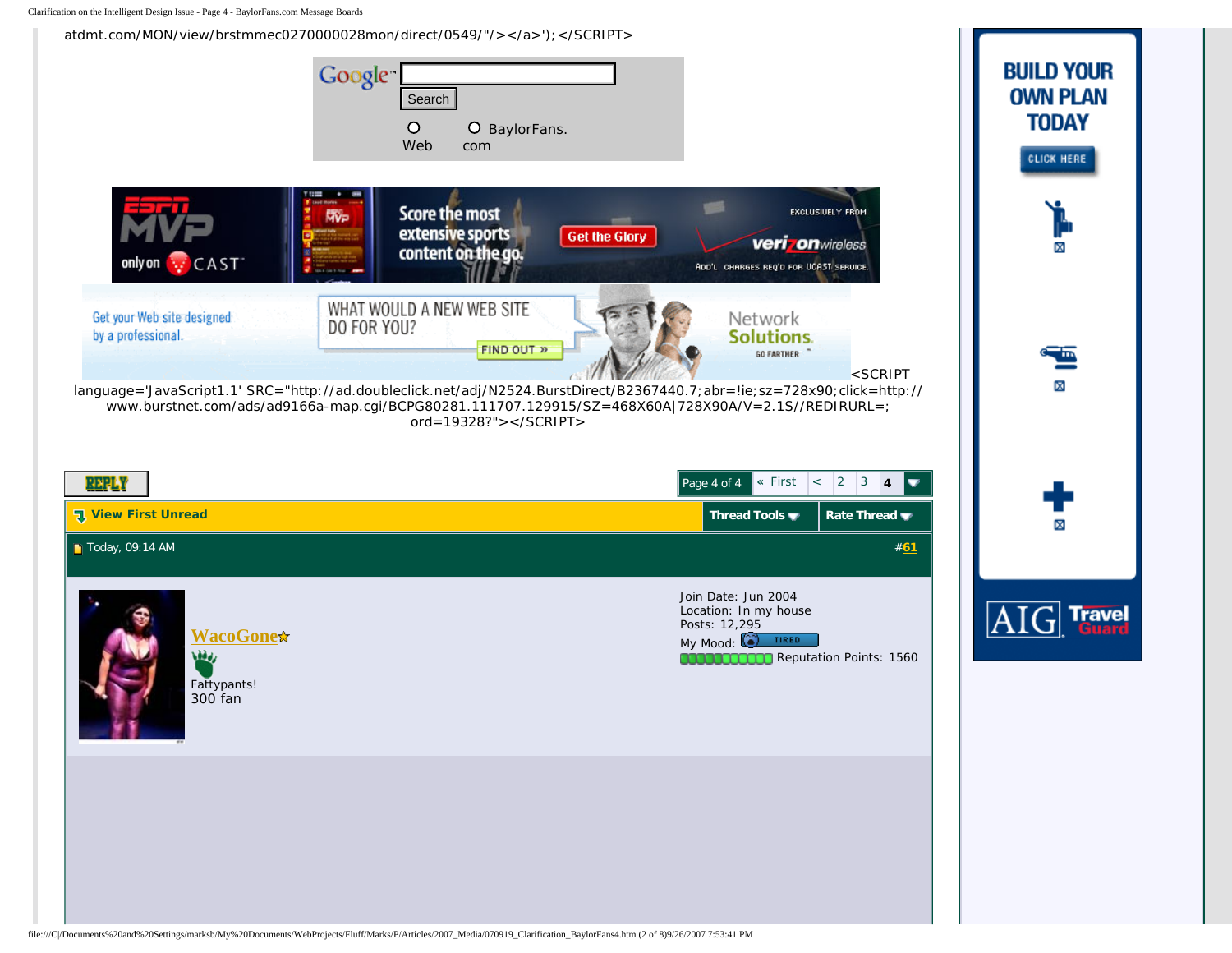Clarification on the Intelligent Design Issue - Page 4 - BaylorFans.com Message Boards

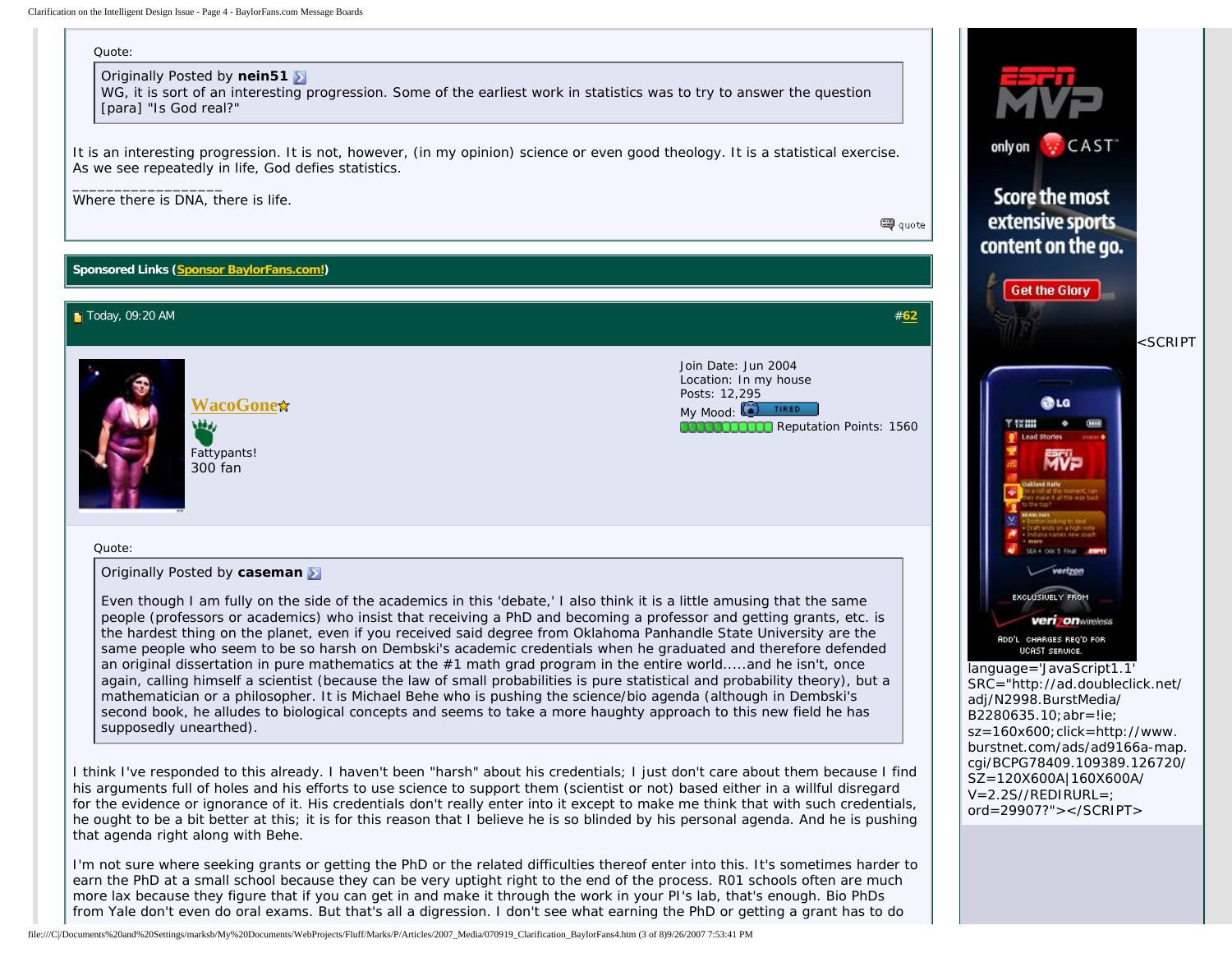### Quote:

#### Originally Posted by **nein51**

*WG, it is sort of an interesting progression. Some of the earliest work in statistics was to try to answer the question [para] "Is God real?"*

It is an interesting progression. It is not, however, (in my opinion) science or even good theology. It is a statistical exercise. As we see repeatedly in life, God defies statistics.

Where there is DNA, there is life.

 $\overline{\phantom{a}}$  , where the contract of the contract of the contract of the contract of the contract of the contract of the contract of the contract of the contract of the contract of the contract of the contract of the contr

**Sponsored Links ([Sponsor BaylorFans.com!](http://baylorfans.com/sponsor.php))**

# **T** Today, 09:20 AM



**[WacoGone](http://baylorfans.com/forums/member.php?u=7698)**

Fattypants! 300 fan

#### Join Date: Jun 2004 Location: In my house Posts: 12,295 My Mood: (4) **TIRED Reputation Points: 1560**

#**[62](http://baylorfans.com/forums/showpost.php?p=2202083&postcount=62)**

国 quote

## Quote:

## Originally Posted by **caseman**

*Even though I am fully on the side of the academics in this 'debate,' I also think it is a little amusing that the same people (professors or academics) who insist that receiving a PhD and becoming a professor and getting grants, etc. is the hardest thing on the planet, even if you received said degree from Oklahoma Panhandle State University are the same people who seem to be so harsh on Dembski's academic credentials when he graduated and therefore defended an original dissertation in pure mathematics at the #1 math grad program in the entire world.....and he isn't, once again, calling himself a scientist (because the law of small probabilities is pure statistical and probability theory), but a mathematician or a philosopher. It is Michael Behe who is pushing the science/bio agenda (although in Dembski's second book, he alludes to biological concepts and seems to take a more haughty approach to this new field he has supposedly unearthed).*

I think I've responded to this already. I haven't been "harsh" about his credentials; I just don't care about them because I find his arguments full of holes and his efforts to use science to support them (scientist or not) based either in a willful disregard for the evidence or ignorance of it. His credentials don't really enter into it except to make me think that with such credentials, he ought to be a bit better at this; it is for this reason that I believe he is so blinded by his personal agenda. And he is pushing that agenda right along with Behe.

I'm not sure where seeking grants or getting the PhD or the related difficulties thereof enter into this. It's sometimes harder to earn the PhD at a small school because they can be very uptight right to the end of the process. R01 schools often are much more lax because they figure that if you can get in and make it through the work in your PI's lab, that's enough. Bio PhDs from Yale don't even do oral exams. But that's all a digression. I don't see what earning the PhD or getting a grant has to do



| CAST<br>only on                                                                                                                                                                                                                                                  |
|------------------------------------------------------------------------------------------------------------------------------------------------------------------------------------------------------------------------------------------------------------------|
| <b>Score the most</b><br>extensive sports                                                                                                                                                                                                                        |
| content on the go.                                                                                                                                                                                                                                               |
| <b>Get the Glory</b><br><script< th=""></script<>                                                                                                                                                                                                                |
|                                                                                                                                                                                                                                                                  |
| <b>OLG</b><br><b>GBH</b><br>₩<br><b>Lead Stories</b><br>ū٣<br>ırizon<br><b>EXCLUSIVELY FROM</b><br><b>veri on</b> wireless                                                                                                                                       |
| ADD'L CHARGES REQ'D FOR<br>UCAST SERUICE.                                                                                                                                                                                                                        |
| language='JavaScript1.1'<br>SRC="http://ad.doubleclick.net/<br>adj/N2998.BurstMedia/<br>B2280635.10; abr=!ie;<br>sz=160x600;click=http://www.<br>burstnet.com/ads/ad9166a-map.<br>cgi/BCPG78409.109389.126720/<br>SZ=120X600A 160X600A/<br>$V=2.2$ S//REDIRURL=; |

ord=29907?"></SCRIPT>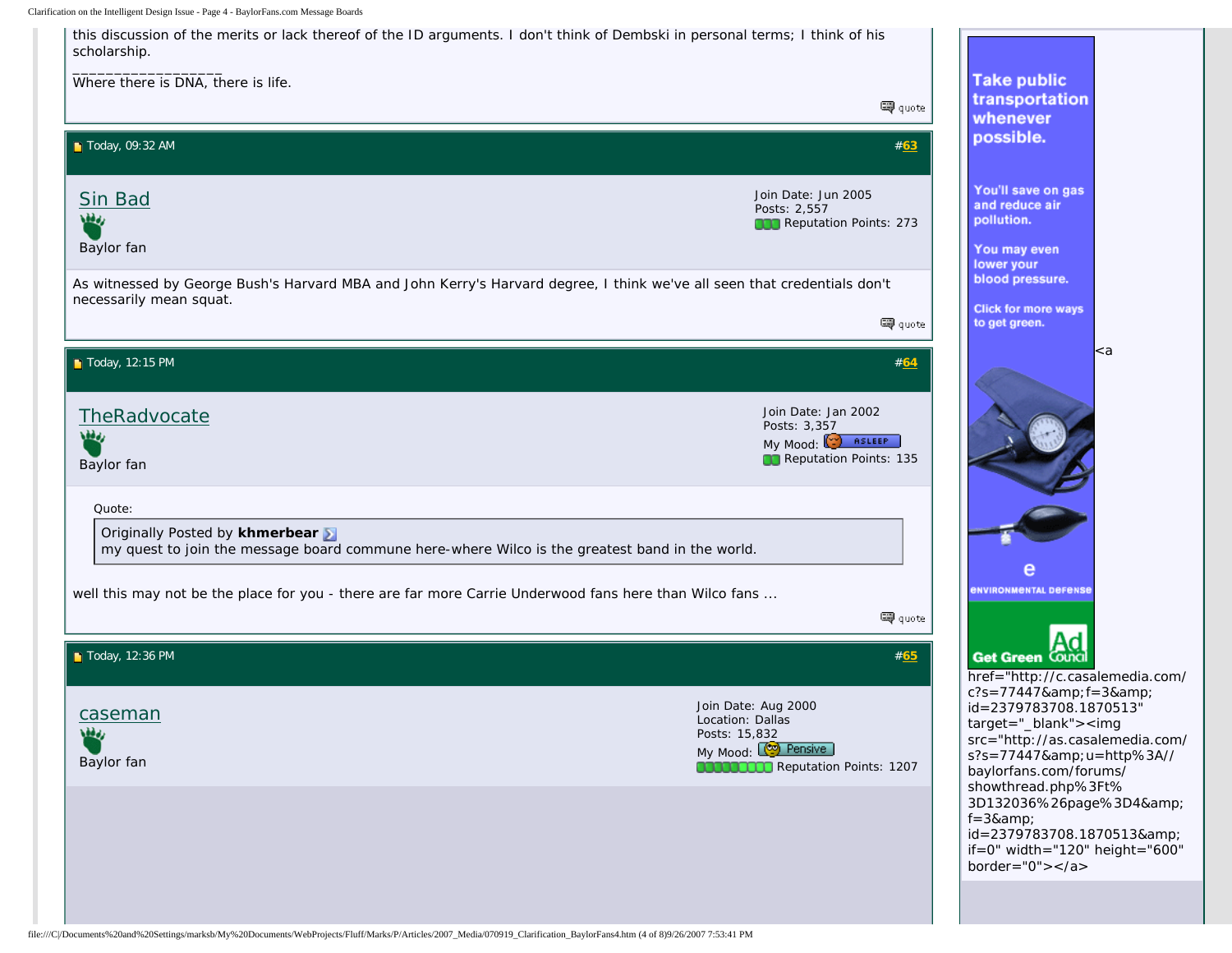Clarification on the Intelligent Design Issue - Page 4 - BaylorFans.com Message Boards

| this discussion of the merits or lack thereof of the ID arguments. I don't think of Dembski in personal terms; I think of his<br>scholarship. |                                         |                                                                                       |
|-----------------------------------------------------------------------------------------------------------------------------------------------|-----------------------------------------|---------------------------------------------------------------------------------------|
| Where there is DNA, there is life.                                                                                                            |                                         | <b>Take public</b>                                                                    |
|                                                                                                                                               | 国 quote                                 | transportation<br>whenever                                                            |
| Today, 09:32 AM                                                                                                                               | #63                                     | possible.                                                                             |
| Sin Bad                                                                                                                                       | Join Date: Jun 2005<br>Posts: 2,557     | You'll save on gas<br>and reduce air                                                  |
| <b>YAN</b><br>Baylor fan                                                                                                                      | <b>DOO</b> Reputation Points: 273       | pollution.<br>You may even                                                            |
| As witnessed by George Bush's Harvard MBA and John Kerry's Harvard degree, I think we've all seen that credentials don't                      |                                         | lower your<br>blood pressure.                                                         |
| necessarily mean squat.                                                                                                                       | 国 quote                                 | <b>Click for more ways</b><br>to get green.                                           |
| Today, 12:15 PM                                                                                                                               | #64                                     | <a< td=""></a<>                                                                       |
| TheRadvocate                                                                                                                                  | Join Date: Jan 2002                     |                                                                                       |
| ₩                                                                                                                                             | Posts: 3,357<br>My Mood: 3 ASLEEP       |                                                                                       |
| Baylor fan                                                                                                                                    | Reputation Points: 135                  |                                                                                       |
| Quote:                                                                                                                                        |                                         |                                                                                       |
| Originally Posted by khmerbear<br>my quest to join the message board commune here-where Wilco is the greatest band in the world.              |                                         |                                                                                       |
| well this may not be the place for you - there are far more Carrie Underwood fans here than Wilco fans                                        |                                         | е<br><b><i>ENVIRONMENTAL DEFENSE</i></b>                                              |
|                                                                                                                                               | 国 quote                                 |                                                                                       |
| Today, 12:36 PM                                                                                                                               | #65                                     | Get Green Council<br>href="http://c.casalemedia.com/                                  |
| caseman                                                                                                                                       | Join Date: Aug 2000<br>Location: Dallas | c?s=77447& f=3&<br>id=2379783708.1870513"                                             |
| <b>YAG</b>                                                                                                                                    | Posts: 15,832<br>My Mood: (C) Pensive   | $target="blank" > < img$<br>src="http://as.casalemedia.com/<br>s?s=77447& u=http%3A// |
| Baylor fan                                                                                                                                    | <b>COOCCOO</b> Reputation Points: 1207  | baylorfans.com/forums/<br>showthread.php%3Ft%                                         |
|                                                                                                                                               |                                         | 3D132036%26page%3D4&<br>$f = 3$ &                                                     |
|                                                                                                                                               |                                         | id=2379783708.1870513&<br>if=0" width="120" height="600"<br>border="0">               |
|                                                                                                                                               |                                         |                                                                                       |
|                                                                                                                                               |                                         |                                                                                       |

file:///C|/Documents%20and%20Settings/marksb/My%20Documents/WebProjects/Fluff/Marks/P/Articles/2007\_Media/070919\_Clarification\_BaylorFans4.htm (4 of 8)9/26/2007 7:53:41 PM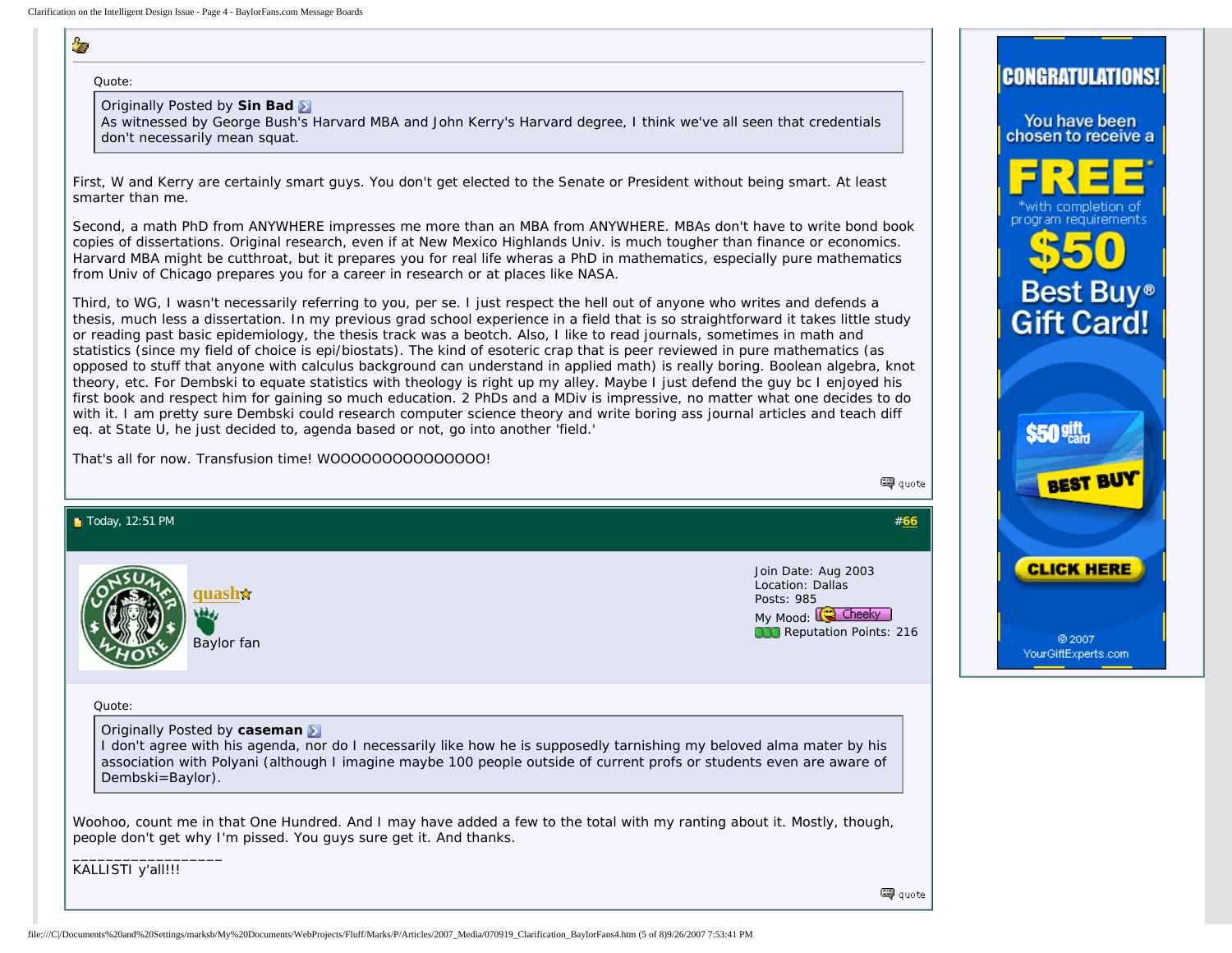俊

Quote:

# Originally Posted by **Sin Bad**

*As witnessed by George Bush's Harvard MBA and John Kerry's Harvard degree, I think we've all seen that credentials don't necessarily mean squat.*

First, W and Kerry are certainly smart guys. You don't get elected to the Senate or President without being smart. At least smarter than me.

Second, a math PhD from ANYWHERE impresses me more than an MBA from ANYWHERE. MBAs don't have to write bond book copies of dissertations. Original research, even if at New Mexico Highlands Univ. is much tougher than finance or economics. Harvard MBA might be cutthroat, but it prepares you for real life wheras a PhD in mathematics, especially pure mathematics from Univ of Chicago prepares you for a career in research or at places like NASA.

Third, to WG, I wasn't necessarily referring to you, per se. I just respect the hell out of anyone who writes and defends a thesis, much less a dissertation. In my previous grad school experience in a field that is so straightforward it takes little study or reading past basic epidemiology, the thesis track was a beotch. Also, I like to read journals, sometimes in math and statistics (since my field of choice is epi/biostats). The kind of esoteric crap that is peer reviewed in pure mathematics (as opposed to stuff that anyone with calculus background can understand in applied math) is really boring. Boolean algebra, knot theory, etc. For Dembski to equate statistics with theology is right up my alley. Maybe I just defend the guy bc I enjoyed his first book and respect him for gaining so much education. 2 PhDs and a MDiv is impressive, no matter what one decides to do with it. I am pretty sure Dembski could research computer science theory and write boring ass journal articles and teach diff eq. at State U, he just decided to, agenda based or not, go into another 'field.'

That's all for now. Transfusion time! WOOOOOOOOOOOOOOO!

| ■ Today, 12:51 PM                                                                                                                                                                                                                                                                              | #66                                                                                                                |
|------------------------------------------------------------------------------------------------------------------------------------------------------------------------------------------------------------------------------------------------------------------------------------------------|--------------------------------------------------------------------------------------------------------------------|
| quash☆<br>Baylor fan                                                                                                                                                                                                                                                                           | Join Date: Aug 2003<br>Location: Dallas<br>Posts: 985<br>My Mood: (Cal Cheeky<br><b>DOD</b> Reputation Points: 216 |
| Quote:<br><b>Originally Posted by caseman</b><br>I don't agree with his agenda, nor do I necessarily like how he is supposedly tarnishing my beloved alma mater by his<br>association with Polyani (although I imagine maybe 100 people outside of current profs or students even are aware of |                                                                                                                    |
| Dembski=Baylor).<br>Woohoo, count me in that One Hundred. And I may have added a few to the total with my ranting about it. Mostly, though,<br>people don't get why I'm pissed. You guys sure get it. And thanks.                                                                              |                                                                                                                    |
| KALLISTI y'all!!!                                                                                                                                                                                                                                                                              | 国 quote                                                                                                            |

# **CONGRATULATIONS!**

You have been chosen to receive a



国 quote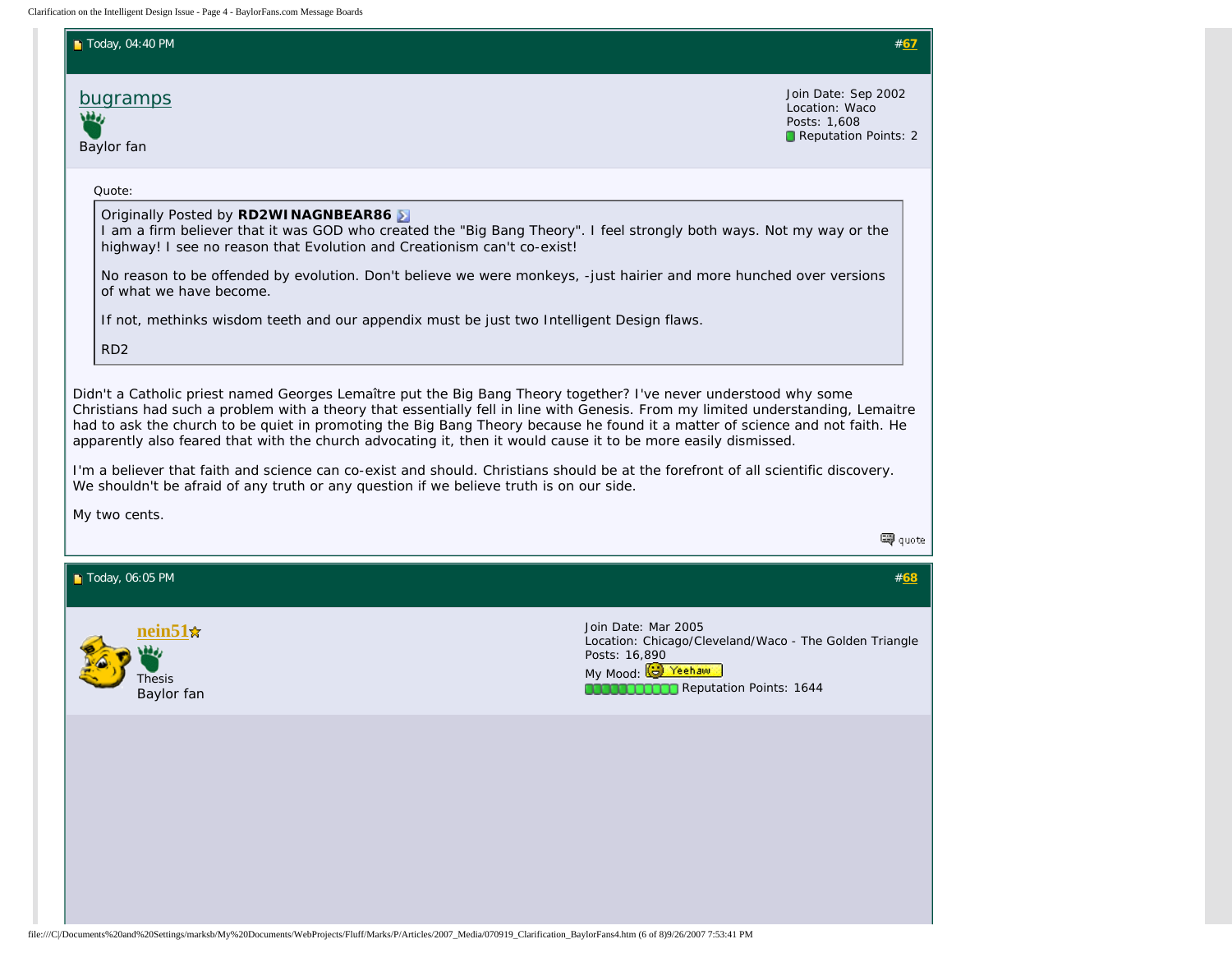Clarification on the Intelligent Design Issue - Page 4 - BaylorFans.com Message Boards

| Today, 04:40 PM                            |                                                                                                                                                                                                                                    | #67                                                                                                                                                                                                                                                             |
|--------------------------------------------|------------------------------------------------------------------------------------------------------------------------------------------------------------------------------------------------------------------------------------|-----------------------------------------------------------------------------------------------------------------------------------------------------------------------------------------------------------------------------------------------------------------|
| bugramps<br><b>Ma</b><br>Baylor fan        |                                                                                                                                                                                                                                    | Join Date: Sep 2002<br>Location: Waco<br>Posts: 1,608<br>Reputation Points: 2                                                                                                                                                                                   |
| Quote:                                     | Originally Posted by RD2WINAGNBEAR86                                                                                                                                                                                               |                                                                                                                                                                                                                                                                 |
|                                            | I am a firm believer that it was GOD who created the "Big Bang Theory". I feel strongly both ways. Not my way or the<br>highway! I see no reason that Evolution and Creationism can't co-exist!                                    |                                                                                                                                                                                                                                                                 |
| of what we have become.                    | No reason to be offended by evolution. Don't believe we were monkeys, -just hairier and more hunched over versions                                                                                                                 |                                                                                                                                                                                                                                                                 |
|                                            | If not, methinks wisdom teeth and our appendix must be just two Intelligent Design flaws.                                                                                                                                          |                                                                                                                                                                                                                                                                 |
| RD <sub>2</sub>                            |                                                                                                                                                                                                                                    |                                                                                                                                                                                                                                                                 |
|                                            | Didn't a Catholic priest named Georges Lemaître put the Big Bang Theory together? I've never understood why some<br>apparently also feared that with the church advocating it, then it would cause it to be more easily dismissed. | Christians had such a problem with a theory that essentially fell in line with Genesis. From my limited understanding, Lemaitre<br>had to ask the church to be quiet in promoting the Big Bang Theory because he found it a matter of science and not faith. He |
|                                            | I'm a believer that faith and science can co-exist and should. Christians should be at the forefront of all scientific discovery.<br>We shouldn't be afraid of any truth or any question if we believe truth is on our side.       |                                                                                                                                                                                                                                                                 |
| My two cents.                              |                                                                                                                                                                                                                                    | 国 quote                                                                                                                                                                                                                                                         |
| Today, 06:05 PM                            |                                                                                                                                                                                                                                    | #68                                                                                                                                                                                                                                                             |
| $nein 51$ *<br><b>Thesis</b><br>Baylor fan |                                                                                                                                                                                                                                    | Join Date: Mar 2005<br>Location: Chicago/Cleveland/Waco - The Golden Triangle<br>Posts: 16,890<br>My Mood: (c) Yeehaw<br><b>COLORADO DE Reputation Points: 1644</b>                                                                                             |
|                                            |                                                                                                                                                                                                                                    |                                                                                                                                                                                                                                                                 |
|                                            |                                                                                                                                                                                                                                    |                                                                                                                                                                                                                                                                 |
|                                            |                                                                                                                                                                                                                                    |                                                                                                                                                                                                                                                                 |
|                                            |                                                                                                                                                                                                                                    |                                                                                                                                                                                                                                                                 |
|                                            |                                                                                                                                                                                                                                    |                                                                                                                                                                                                                                                                 |
|                                            |                                                                                                                                                                                                                                    |                                                                                                                                                                                                                                                                 |

file:///C|/Documents%20and%20Settings/marksb/My%20Documents/WebProjects/Fluff/Marks/P/Articles/2007\_Media/070919\_Clarification\_BaylorFans4.htm (6 of 8)9/26/2007 7:53:41 PM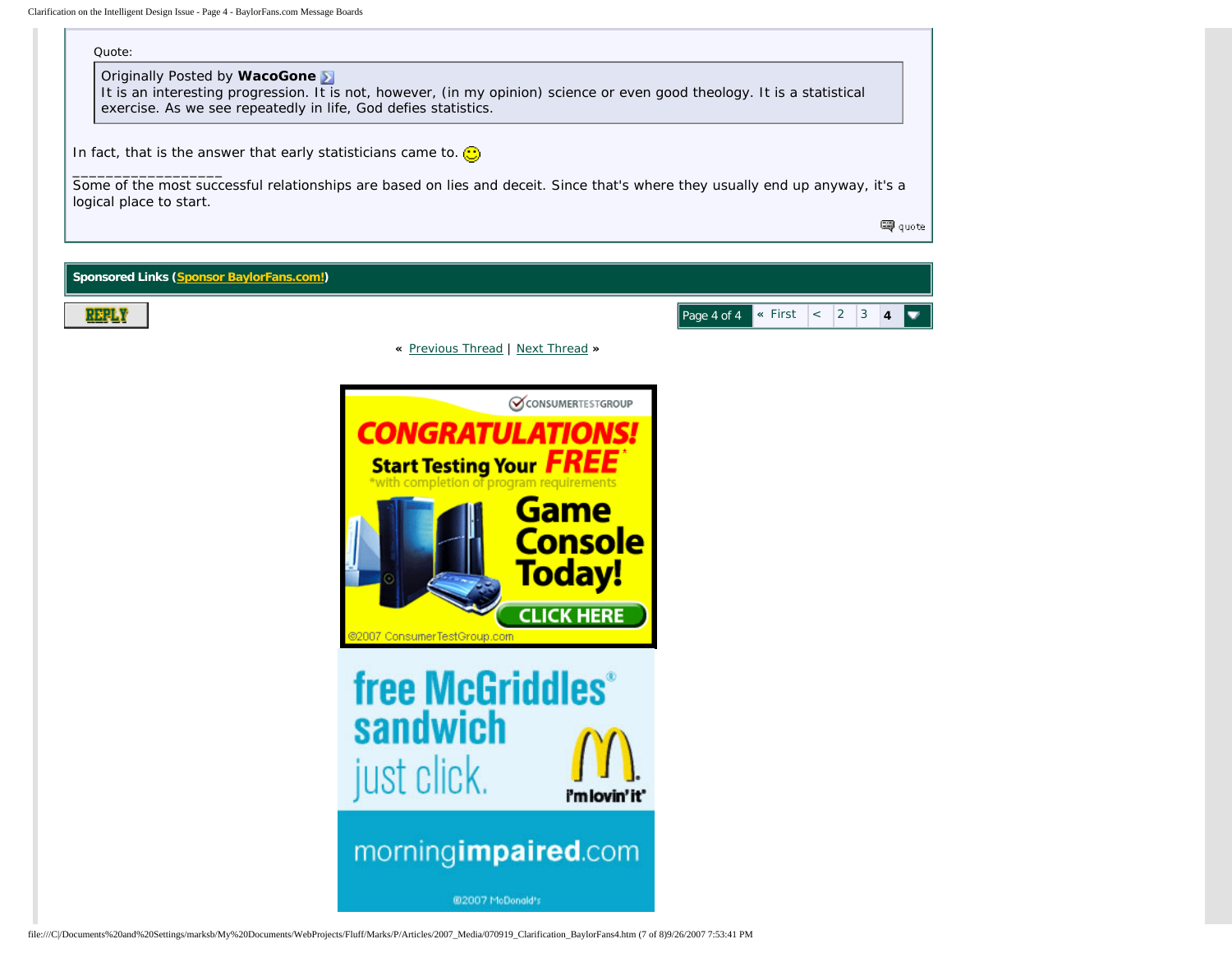